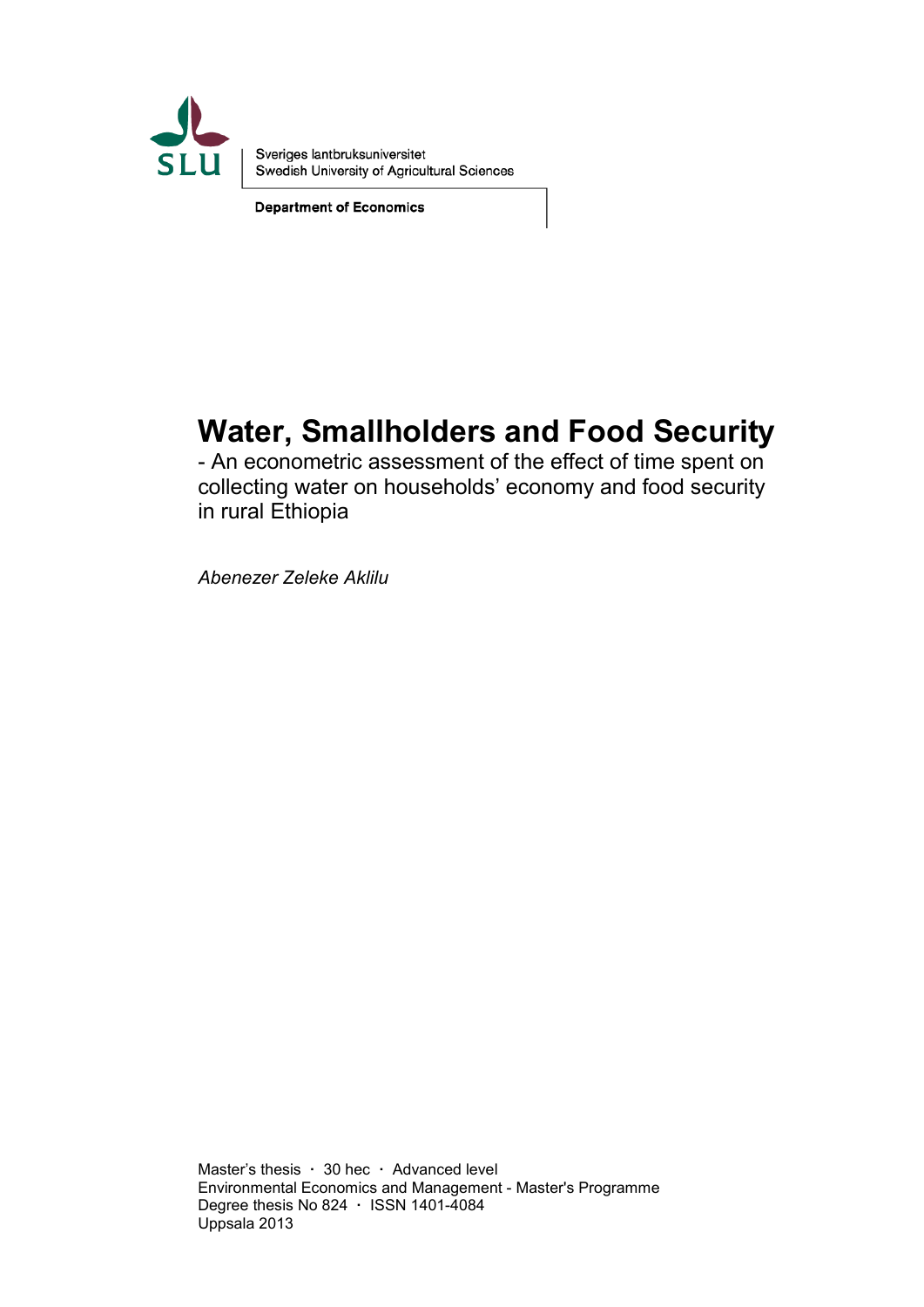

Sveriges lantbruksuniversitet Swedish University of Agricultural Sciences

**Department of Economics** 

# **Water, Smallholders and Food Security**

- An econometric assessment of the effect of time spent on collecting water on households' economy and food security in rural Ethiopia

*Abenezer Zeleke Aklilu*

Master's thesis **·** 30 hec **·** Advanced level Environmental Economics and Management - Master's Programme Degree thesis No 824 **·** ISSN 1401-4084 Uppsala 2013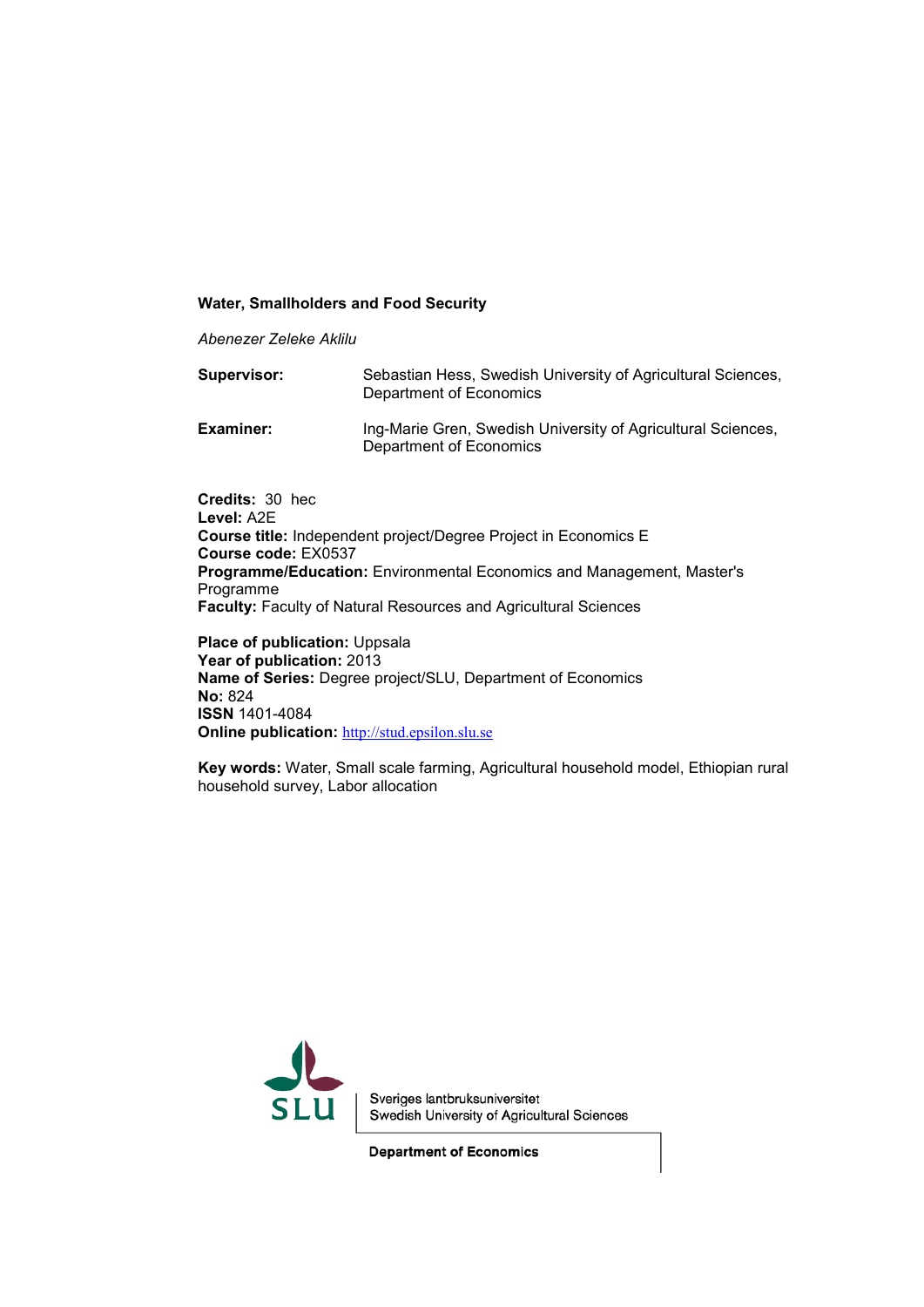#### **Water, Smallholders and Food Security**

*Abenezer Zeleke Aklilu*

| Supervisor: | Sebastian Hess, Swedish University of Agricultural Sciences,<br>Department of Economics |
|-------------|-----------------------------------------------------------------------------------------|
| Examiner:   | Ing-Marie Gren, Swedish University of Agricultural Sciences,<br>Department of Economics |

**Credits:** 30 hec **Level:** A2E **Course title:** Independent project/Degree Project in Economics E **Course code:** EX0537 **Programme/Education:** Environmental Economics and Management, Master's Programme **Faculty:** Faculty of Natural Resources and Agricultural Sciences

**Place of publication: Uppsala Year of publication:** 2013 **Name of Series:** Degree project/SLU, Department of Economics **No:** 824 **ISSN** 1401-4084 **Online publication:** [http://stud.epsilon.slu.se](http://stud.epsilon.slu.se/)

**Key words:** Water, Small scale farming, Agricultural household model, Ethiopian rural household survey, Labor allocation



Sveriges lantbruksuniversitet Swedish University of Agricultural Sciences

**Department of Economics**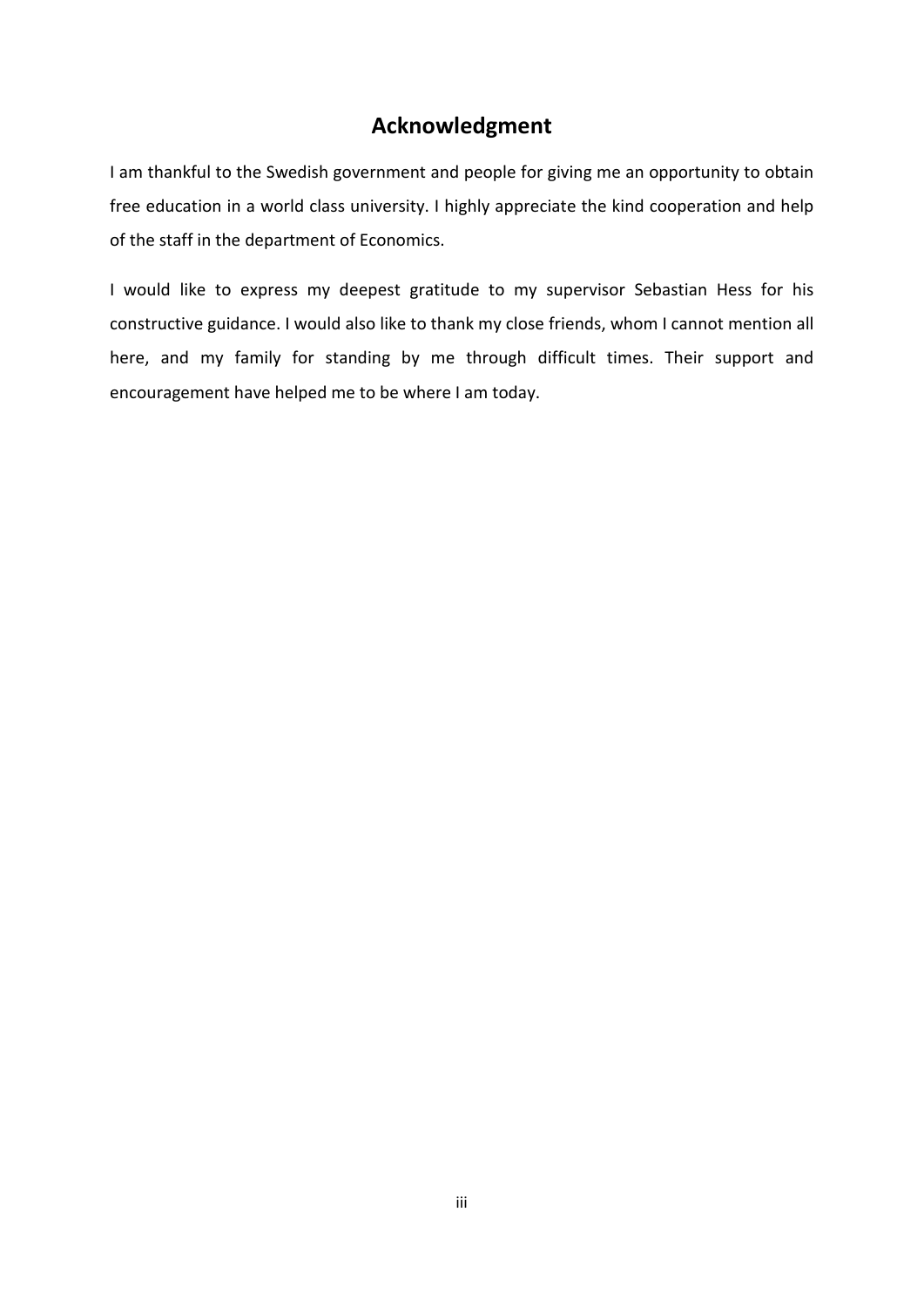# **Acknowledgment**

I am thankful to the Swedish government and people for giving me an opportunity to obtain free education in a world class university. I highly appreciate the kind cooperation and help of the staff in the department of Economics.

I would like to express my deepest gratitude to my supervisor Sebastian Hess for his constructive guidance. I would also like to thank my close friends, whom I cannot mention all here, and my family for standing by me through difficult times. Their support and encouragement have helped me to be where I am today.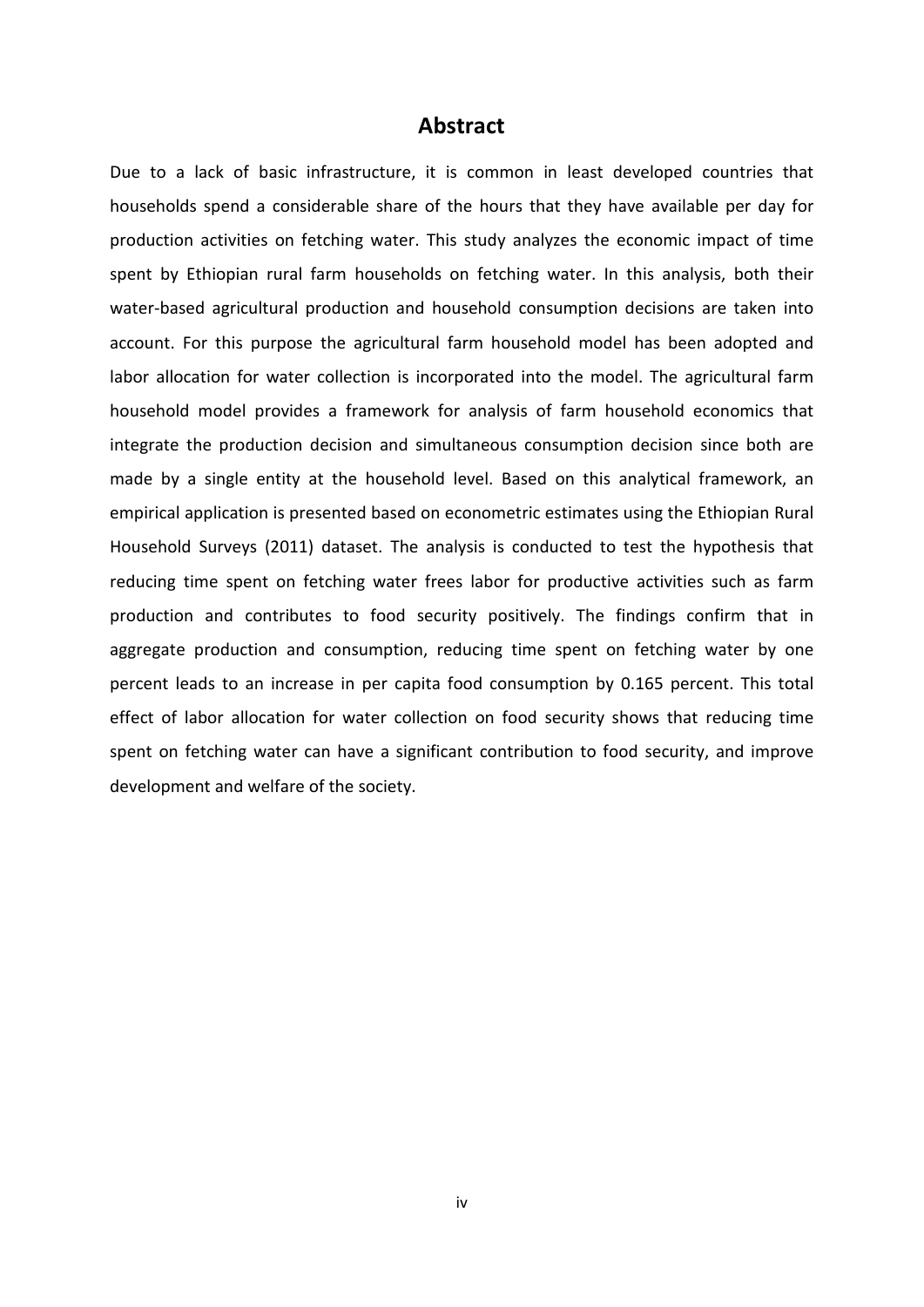### **Abstract**

Due to a lack of basic infrastructure, it is common in least developed countries that households spend a considerable share of the hours that they have available per day for production activities on fetching water. This study analyzes the economic impact of time spent by Ethiopian rural farm households on fetching water. In this analysis, both their water-based agricultural production and household consumption decisions are taken into account. For this purpose the agricultural farm household model has been adopted and labor allocation for water collection is incorporated into the model. The agricultural farm household model provides a framework for analysis of farm household economics that integrate the production decision and simultaneous consumption decision since both are made by a single entity at the household level. Based on this analytical framework, an empirical application is presented based on econometric estimates using the Ethiopian Rural Household Surveys (2011) dataset. The analysis is conducted to test the hypothesis that reducing time spent on fetching water frees labor for productive activities such as farm production and contributes to food security positively. The findings confirm that in aggregate production and consumption, reducing time spent on fetching water by one percent leads to an increase in per capita food consumption by 0.165 percent. This total effect of labor allocation for water collection on food security shows that reducing time spent on fetching water can have a significant contribution to food security, and improve development and welfare of the society.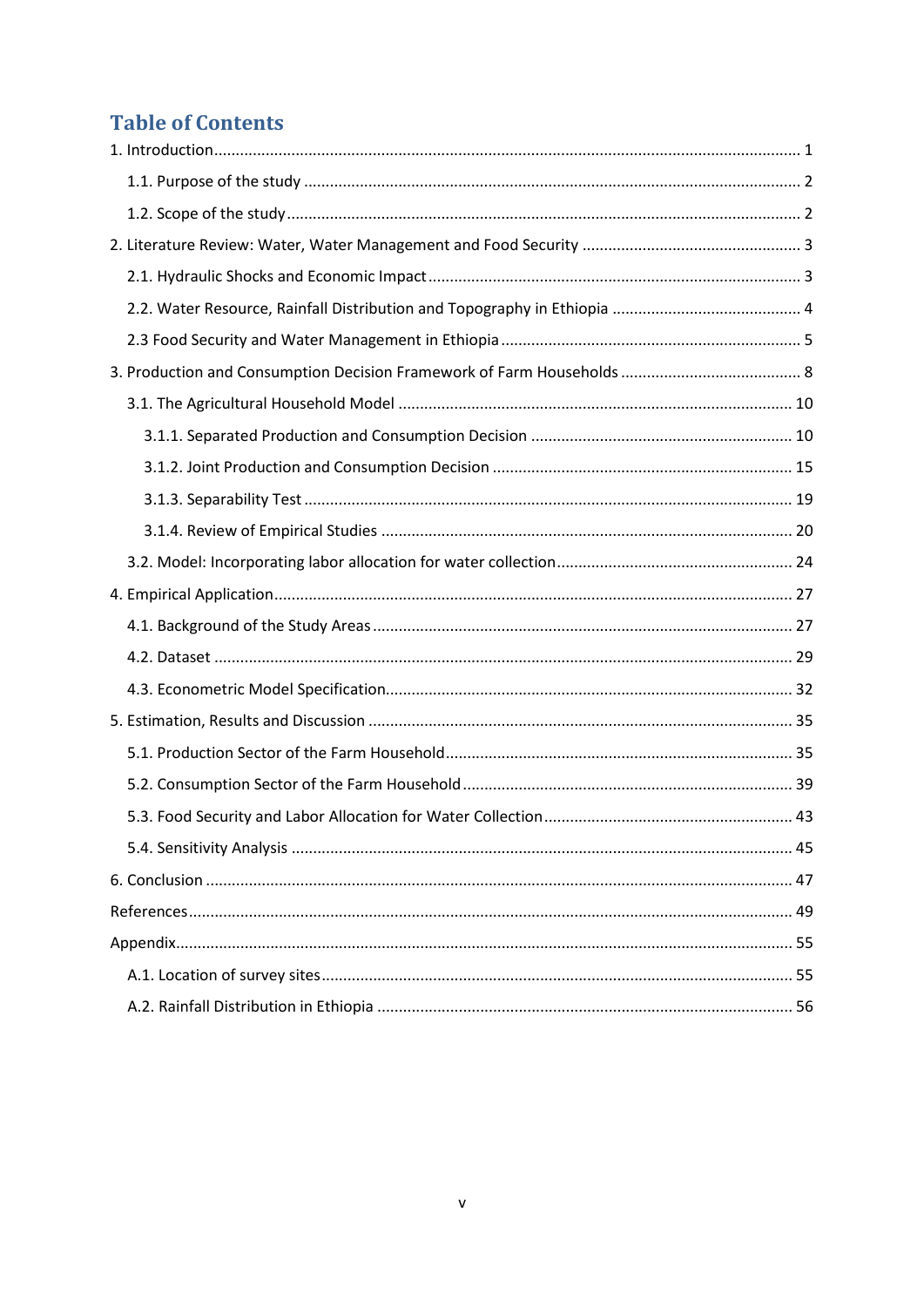## **Table of Contents**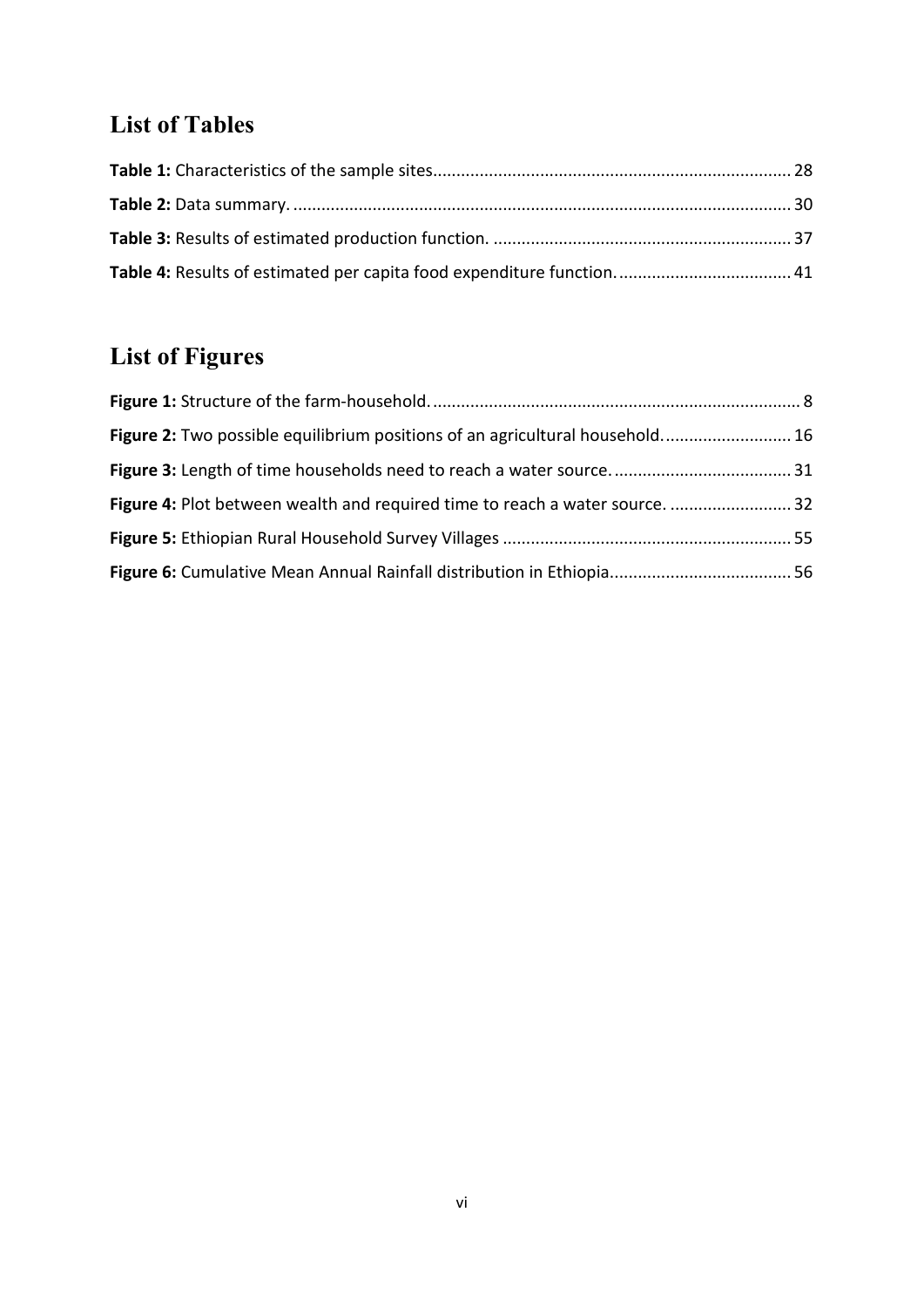# **List of Tables**

# **List of Figures**

| Figure 2: Two possible equilibrium positions of an agricultural household 16 |  |
|------------------------------------------------------------------------------|--|
|                                                                              |  |
| Figure 4: Plot between wealth and required time to reach a water source.  32 |  |
|                                                                              |  |
|                                                                              |  |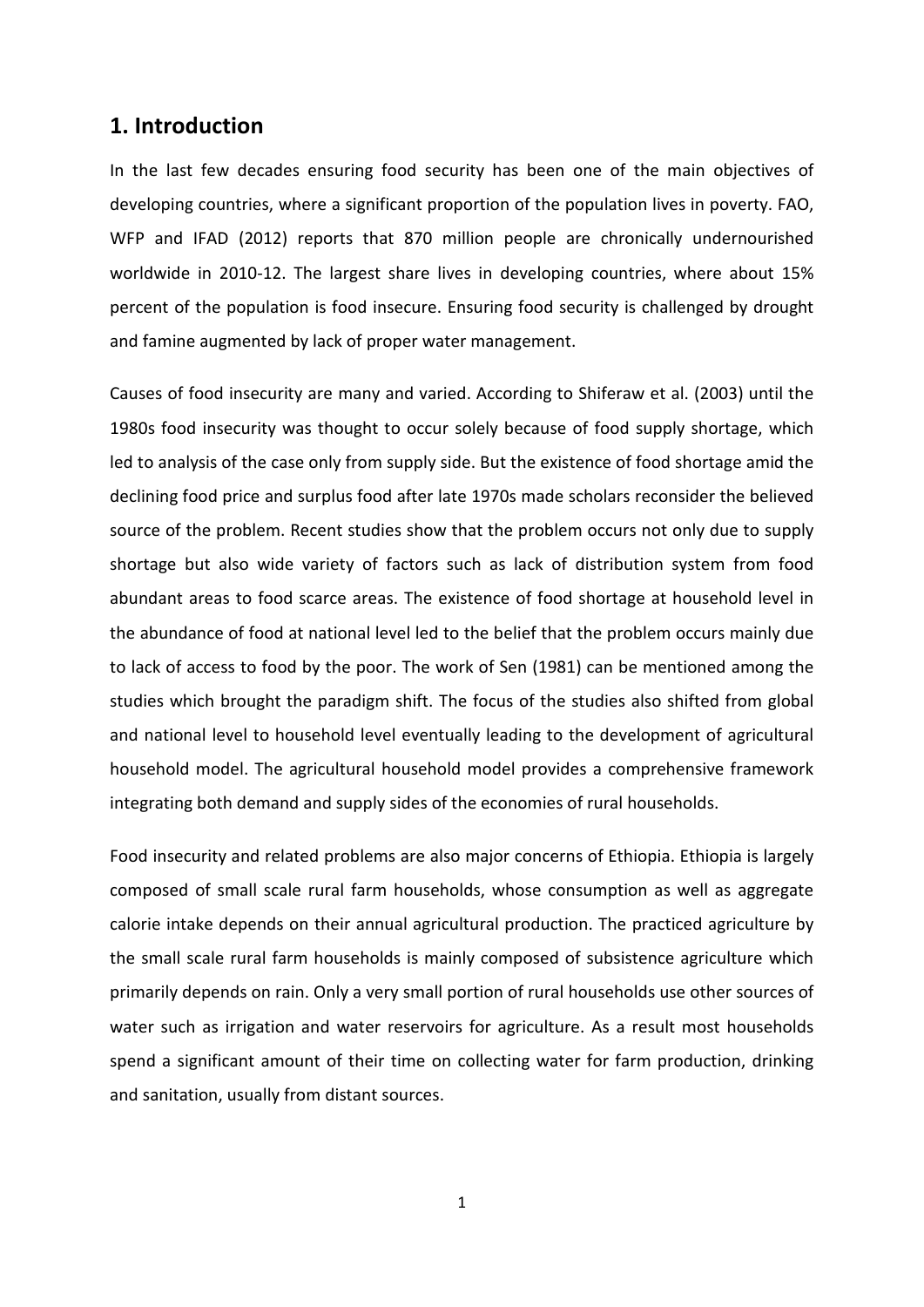### <span id="page-6-0"></span>**1. Introduction**

In the last few decades ensuring food security has been one of the main objectives of developing countries, where a significant proportion of the population lives in poverty. FAO, WFP and IFAD (2012) reports that 870 million people are chronically undernourished worldwide in 2010-12. The largest share lives in developing countries, where about 15% percent of the population is food insecure. Ensuring food security is challenged by drought and famine augmented by lack of proper water management.

Causes of food insecurity are many and varied. According to Shiferaw et al. (2003) until the 1980s food insecurity was thought to occur solely because of food supply shortage, which led to analysis of the case only from supply side. But the existence of food shortage amid the declining food price and surplus food after late 1970s made scholars reconsider the believed source of the problem. Recent studies show that the problem occurs not only due to supply shortage but also wide variety of factors such as lack of distribution system from food abundant areas to food scarce areas. The existence of food shortage at household level in the abundance of food at national level led to the belief that the problem occurs mainly due to lack of access to food by the poor. The work of Sen (1981) can be mentioned among the studies which brought the paradigm shift. The focus of the studies also shifted from global and national level to household level eventually leading to the development of agricultural household model. The agricultural household model provides a comprehensive framework integrating both demand and supply sides of the economies of rural households.

Food insecurity and related problems are also major concerns of Ethiopia. Ethiopia is largely composed of small scale rural farm households, whose consumption as well as aggregate calorie intake depends on their annual agricultural production. The practiced agriculture by the small scale rural farm households is mainly composed of subsistence agriculture which primarily depends on rain. Only a very small portion of rural households use other sources of water such as irrigation and water reservoirs for agriculture. As a result most households spend a significant amount of their time on collecting water for farm production, drinking and sanitation, usually from distant sources.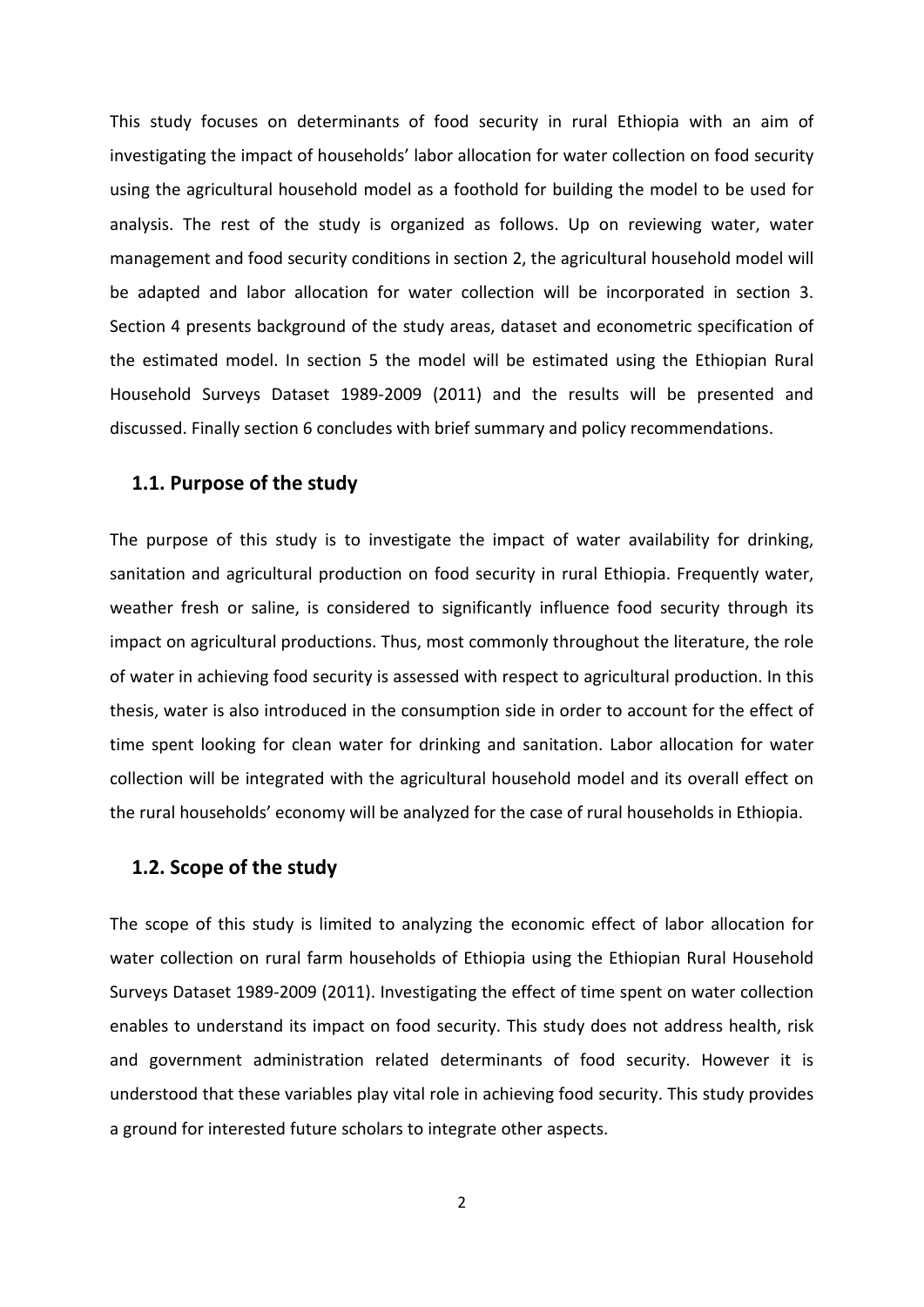This study focuses on determinants of food security in rural Ethiopia with an aim of investigating the impact of households' labor allocation for water collection on food security using the agricultural household model as a foothold for building the model to be used for analysis. The rest of the study is organized as follows. Up on reviewing water, water management and food security conditions in section 2, the agricultural household model will be adapted and labor allocation for water collection will be incorporated in section 3. Section 4 presents background of the study areas, dataset and econometric specification of the estimated model. In section 5 the model will be estimated using the Ethiopian Rural Household Surveys Dataset 1989-2009 (2011) and the results will be presented and discussed. Finally section 6 concludes with brief summary and policy recommendations.

#### <span id="page-7-0"></span>**1.1. Purpose of the study**

The purpose of this study is to investigate the impact of water availability for drinking, sanitation and agricultural production on food security in rural Ethiopia. Frequently water, weather fresh or saline, is considered to significantly influence food security through its impact on agricultural productions. Thus, most commonly throughout the literature, the role of water in achieving food security is assessed with respect to agricultural production. In this thesis, water is also introduced in the consumption side in order to account for the effect of time spent looking for clean water for drinking and sanitation. Labor allocation for water collection will be integrated with the agricultural household model and its overall effect on the rural households' economy will be analyzed for the case of rural households in Ethiopia.

#### <span id="page-7-1"></span>**1.2. Scope of the study**

The scope of this study is limited to analyzing the economic effect of labor allocation for water collection on rural farm households of Ethiopia using the Ethiopian Rural Household Surveys Dataset 1989-2009 (2011). Investigating the effect of time spent on water collection enables to understand its impact on food security. This study does not address health, risk and government administration related determinants of food security. However it is understood that these variables play vital role in achieving food security. This study provides a ground for interested future scholars to integrate other aspects.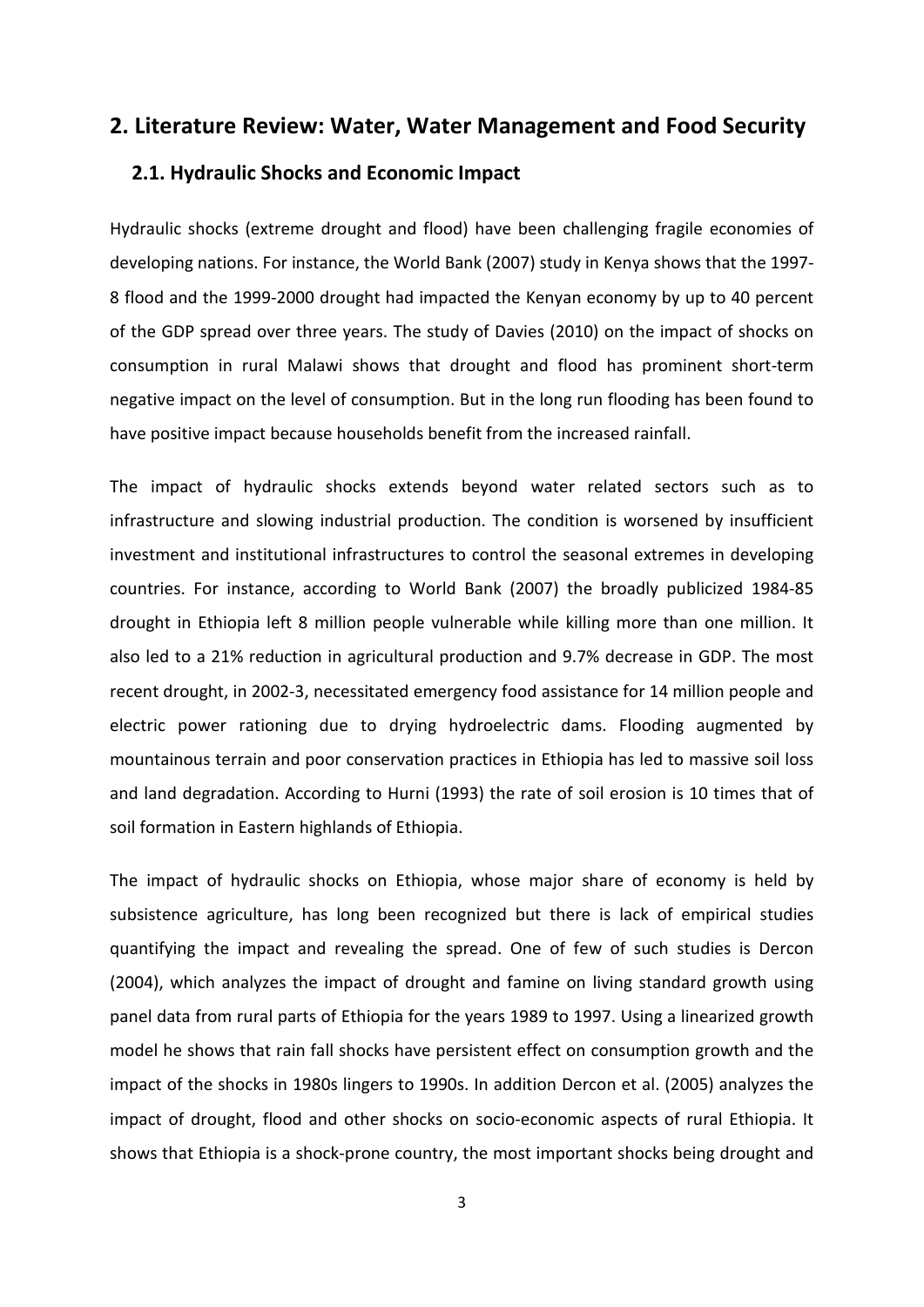### <span id="page-8-1"></span><span id="page-8-0"></span>**2. Literature Review: Water, Water Management and Food Security**

#### **2.1. Hydraulic Shocks and Economic Impact**

Hydraulic shocks (extreme drought and flood) have been challenging fragile economies of developing nations. For instance, the World Bank (2007) study in Kenya shows that the 1997- 8 flood and the 1999-2000 drought had impacted the Kenyan economy by up to 40 percent of the GDP spread over three years. The study of Davies (2010) on the impact of shocks on consumption in rural Malawi shows that drought and flood has prominent short-term negative impact on the level of consumption. But in the long run flooding has been found to have positive impact because households benefit from the increased rainfall.

The impact of hydraulic shocks extends beyond water related sectors such as to infrastructure and slowing industrial production. The condition is worsened by insufficient investment and institutional infrastructures to control the seasonal extremes in developing countries. For instance, according to World Bank (2007) the broadly publicized 1984-85 drought in Ethiopia left 8 million people vulnerable while killing more than one million. It also led to a 21% reduction in agricultural production and 9.7% decrease in GDP. The most recent drought, in 2002-3, necessitated emergency food assistance for 14 million people and electric power rationing due to drying hydroelectric dams. Flooding augmented by mountainous terrain and poor conservation practices in Ethiopia has led to massive soil loss and land degradation. According to Hurni (1993) the rate of soil erosion is 10 times that of soil formation in Eastern highlands of Ethiopia.

The impact of hydraulic shocks on Ethiopia, whose major share of economy is held by subsistence agriculture, has long been recognized but there is lack of empirical studies quantifying the impact and revealing the spread. One of few of such studies is Dercon (2004), which analyzes the impact of drought and famine on living standard growth using panel data from rural parts of Ethiopia for the years 1989 to 1997. Using a linearized growth model he shows that rain fall shocks have persistent effect on consumption growth and the impact of the shocks in 1980s lingers to 1990s. In addition Dercon et al. (2005) analyzes the impact of drought, flood and other shocks on socio-economic aspects of rural Ethiopia. It shows that Ethiopia is a shock-prone country, the most important shocks being drought and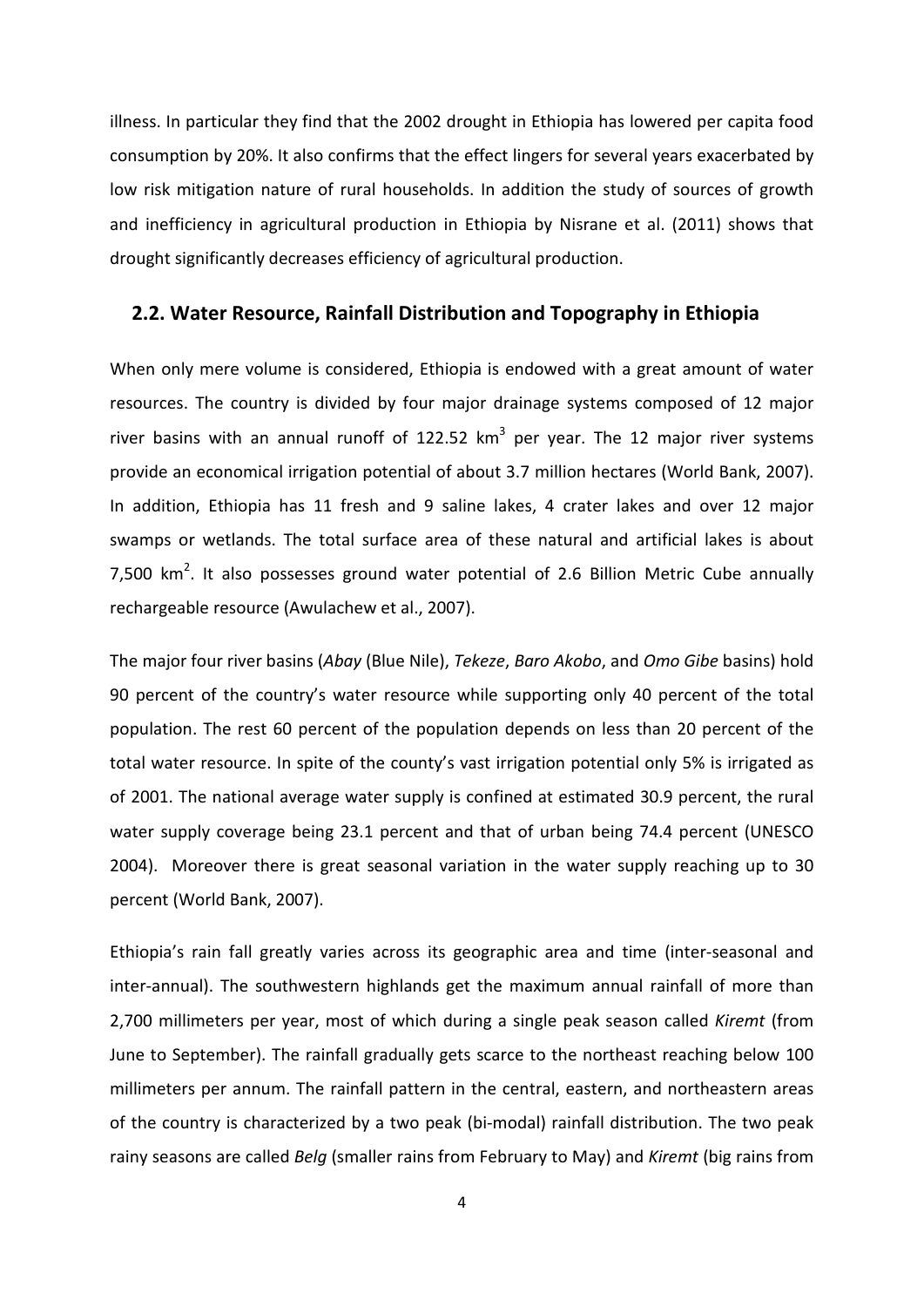illness. In particular they find that the 2002 drought in Ethiopia has lowered per capita food consumption by 20%. It also confirms that the effect lingers for several years exacerbated by low risk mitigation nature of rural households. In addition the study of sources of growth and inefficiency in agricultural production in Ethiopia by Nisrane et al. (2011) shows that drought significantly decreases efficiency of agricultural production.

#### <span id="page-9-0"></span>**2.2. Water Resource, Rainfall Distribution and Topography in Ethiopia**

When only mere volume is considered, Ethiopia is endowed with a great amount of water resources. The country is divided by four major drainage systems composed of 12 major river basins with an annual runoff of 122.52  $km^3$  per year. The 12 major river systems provide an economical irrigation potential of about 3.7 million hectares (World Bank, 2007). In addition, Ethiopia has 11 fresh and 9 saline lakes, 4 crater lakes and over 12 major swamps or wetlands. The total surface area of these natural and artificial lakes is about 7,500  $km<sup>2</sup>$ . It also possesses ground water potential of 2.6 Billion Metric Cube annually rechargeable resource (Awulachew et al., 2007).

The major four river basins (*Abay* (Blue Nile), *Tekeze*, *Baro Akobo*, and *Omo Gibe* basins) hold 90 percent of the country's water resource while supporting only 40 percent of the total population. The rest 60 percent of the population depends on less than 20 percent of the total water resource. In spite of the county's vast irrigation potential only 5% is irrigated as of 2001. The national average water supply is confined at estimated 30.9 percent, the rural water supply coverage being 23.1 percent and that of urban being 74.4 percent (UNESCO 2004). Moreover there is great seasonal variation in the water supply reaching up to 30 percent (World Bank, 2007).

Ethiopia's rain fall greatly varies across its geographic area and time (inter-seasonal and inter-annual). The southwestern highlands get the maximum annual rainfall of more than 2,700 millimeters per year, most of which during a single peak season called *Kiremt* (from June to September). The rainfall gradually gets scarce to the northeast reaching below 100 millimeters per annum. The rainfall pattern in the central, eastern, and northeastern areas of the country is characterized by a two peak (bi-modal) rainfall distribution. The two peak rainy seasons are called *Belg* (smaller rains from February to May) and *Kiremt* (big rains from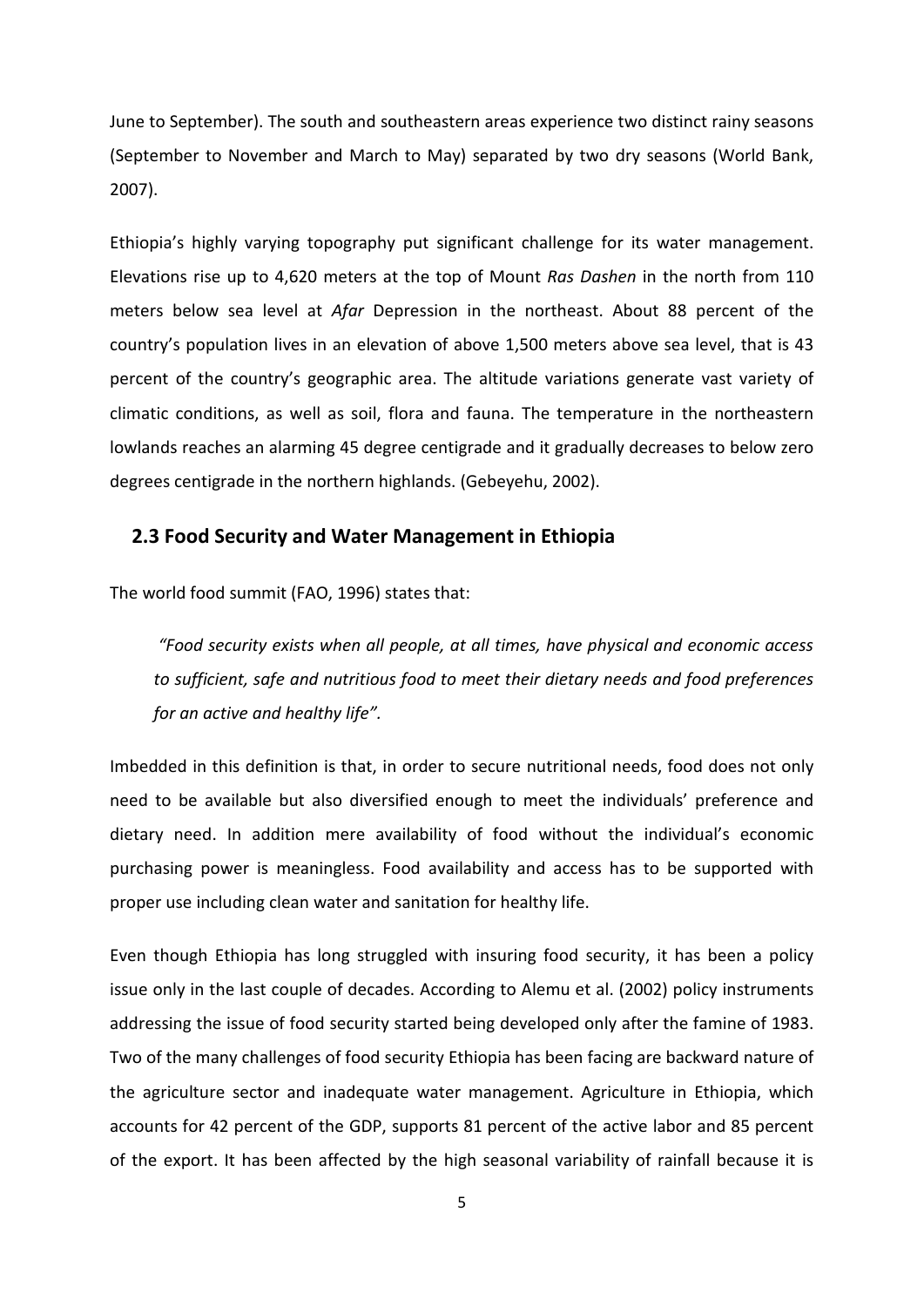June to September). The south and southeastern areas experience two distinct rainy seasons (September to November and March to May) separated by two dry seasons (World Bank, 2007).

Ethiopia's highly varying topography put significant challenge for its water management. Elevations rise up to 4,620 meters at the top of Mount *Ras Dashen* in the north from 110 meters below sea level at *Afar* Depression in the northeast. About 88 percent of the country's population lives in an elevation of above 1,500 meters above sea level, that is 43 percent of the country's geographic area. The altitude variations generate vast variety of climatic conditions, as well as soil, flora and fauna. The temperature in the northeastern lowlands reaches an alarming 45 degree centigrade and it gradually decreases to below zero degrees centigrade in the northern highlands. (Gebeyehu, 2002).

#### <span id="page-10-0"></span>**2.3 Food Security and Water Management in Ethiopia**

The world food summit (FAO, 1996) states that:

*"Food security exists when all people, at all times, have physical and economic access to sufficient, safe and nutritious food to meet their dietary needs and food preferences for an active and healthy life".* 

Imbedded in this definition is that, in order to secure nutritional needs, food does not only need to be available but also diversified enough to meet the individuals' preference and dietary need. In addition mere availability of food without the individual's economic purchasing power is meaningless. Food availability and access has to be supported with proper use including clean water and sanitation for healthy life.

Even though Ethiopia has long struggled with insuring food security, it has been a policy issue only in the last couple of decades. According to Alemu et al. (2002) policy instruments addressing the issue of food security started being developed only after the famine of 1983. Two of the many challenges of food security Ethiopia has been facing are backward nature of the agriculture sector and inadequate water management. Agriculture in Ethiopia, which accounts for 42 percent of the GDP, supports 81 percent of the active labor and 85 percent of the export. It has been affected by the high seasonal variability of rainfall because it is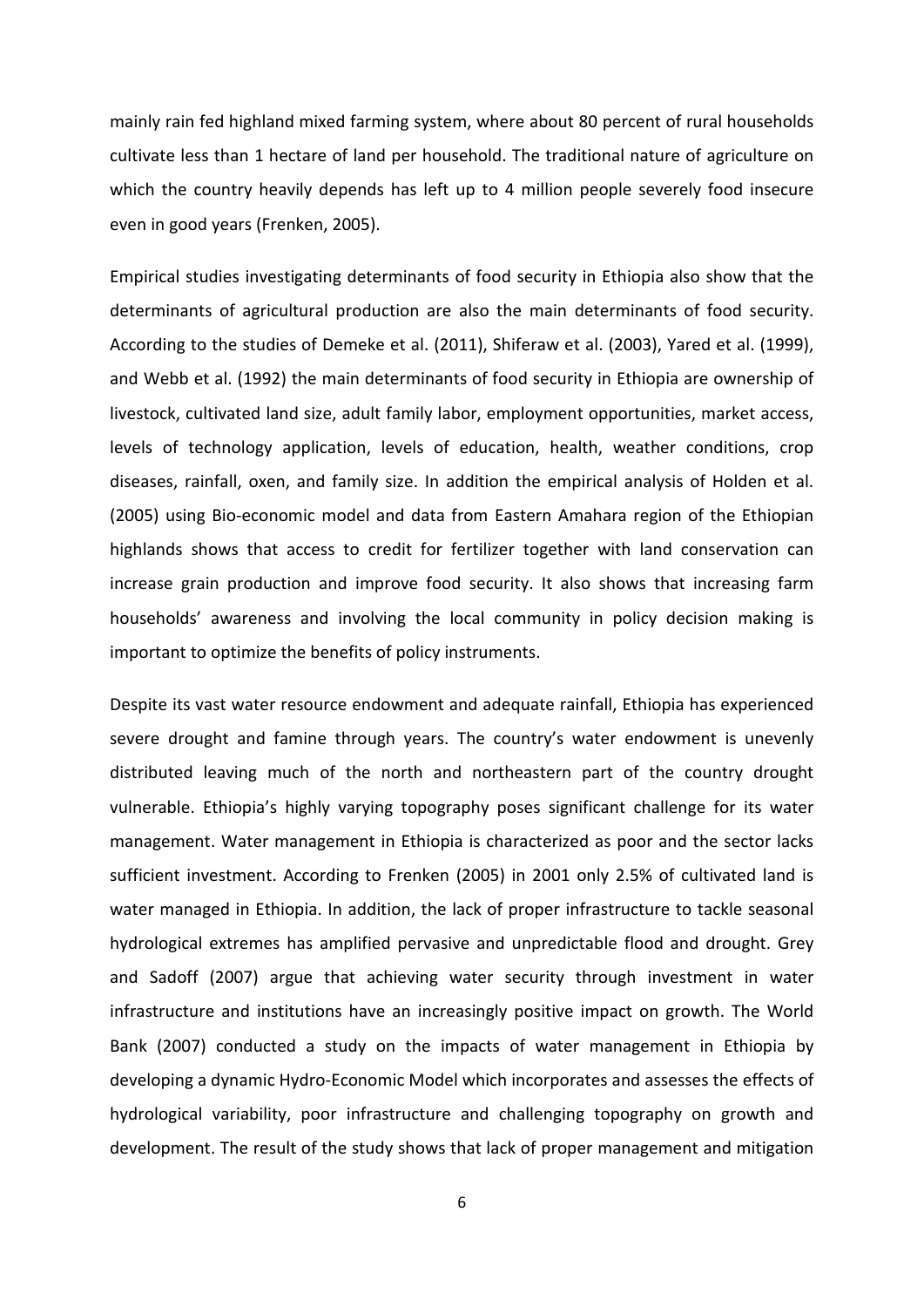mainly rain fed highland mixed farming system, where about 80 percent of rural households cultivate less than 1 hectare of land per household. The traditional nature of agriculture on which the country heavily depends has left up to 4 million people severely food insecure even in good years (Frenken, 2005).

Empirical studies investigating determinants of food security in Ethiopia also show that the determinants of agricultural production are also the main determinants of food security. According to the studies of Demeke et al. (2011), Shiferaw et al. (2003), Yared et al. (1999), and Webb et al. (1992) the main determinants of food security in Ethiopia are ownership of livestock, cultivated land size, adult family labor, employment opportunities, market access, levels of technology application, levels of education, health, weather conditions, crop diseases, rainfall, oxen, and family size. In addition the empirical analysis of Holden et al. (2005) using Bio-economic model and data from Eastern Amahara region of the Ethiopian highlands shows that access to credit for fertilizer together with land conservation can increase grain production and improve food security. It also shows that increasing farm households' awareness and involving the local community in policy decision making is important to optimize the benefits of policy instruments.

Despite its vast water resource endowment and adequate rainfall, Ethiopia has experienced severe drought and famine through years. The country's water endowment is unevenly distributed leaving much of the north and northeastern part of the country drought vulnerable. Ethiopia's highly varying topography poses significant challenge for its water management. Water management in Ethiopia is characterized as poor and the sector lacks sufficient investment. According to Frenken (2005) in 2001 only 2.5% of cultivated land is water managed in Ethiopia. In addition, the lack of proper infrastructure to tackle seasonal hydrological extremes has amplified pervasive and unpredictable flood and drought. Grey and Sadoff (2007) argue that achieving water security through investment in water infrastructure and institutions have an increasingly positive impact on growth. The World Bank (2007) conducted a study on the impacts of water management in Ethiopia by developing a dynamic Hydro-Economic Model which incorporates and assesses the effects of hydrological variability, poor infrastructure and challenging topography on growth and development. The result of the study shows that lack of proper management and mitigation

6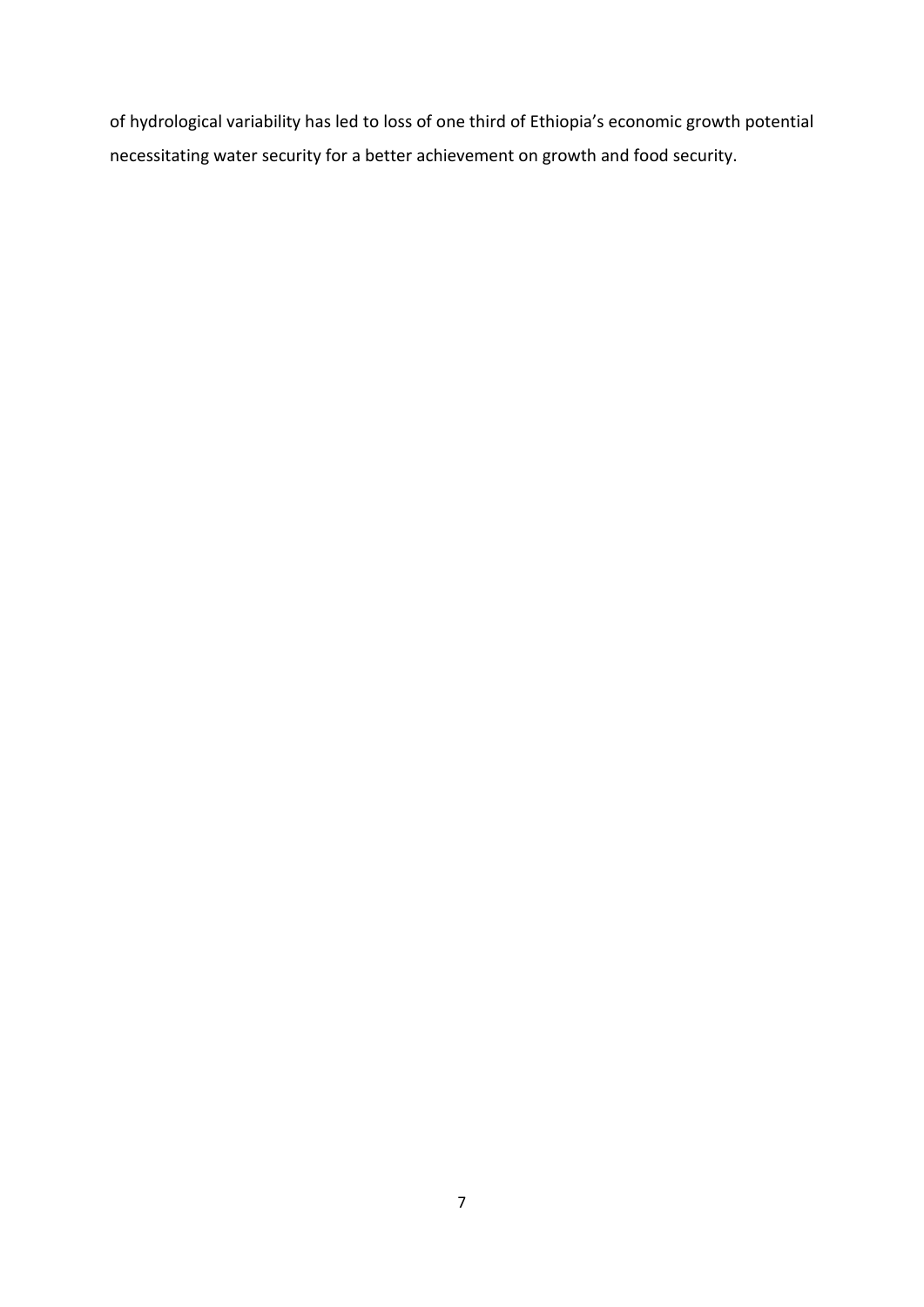of hydrological variability has led to loss of one third of Ethiopia's economic growth potential necessitating water security for a better achievement on growth and food security.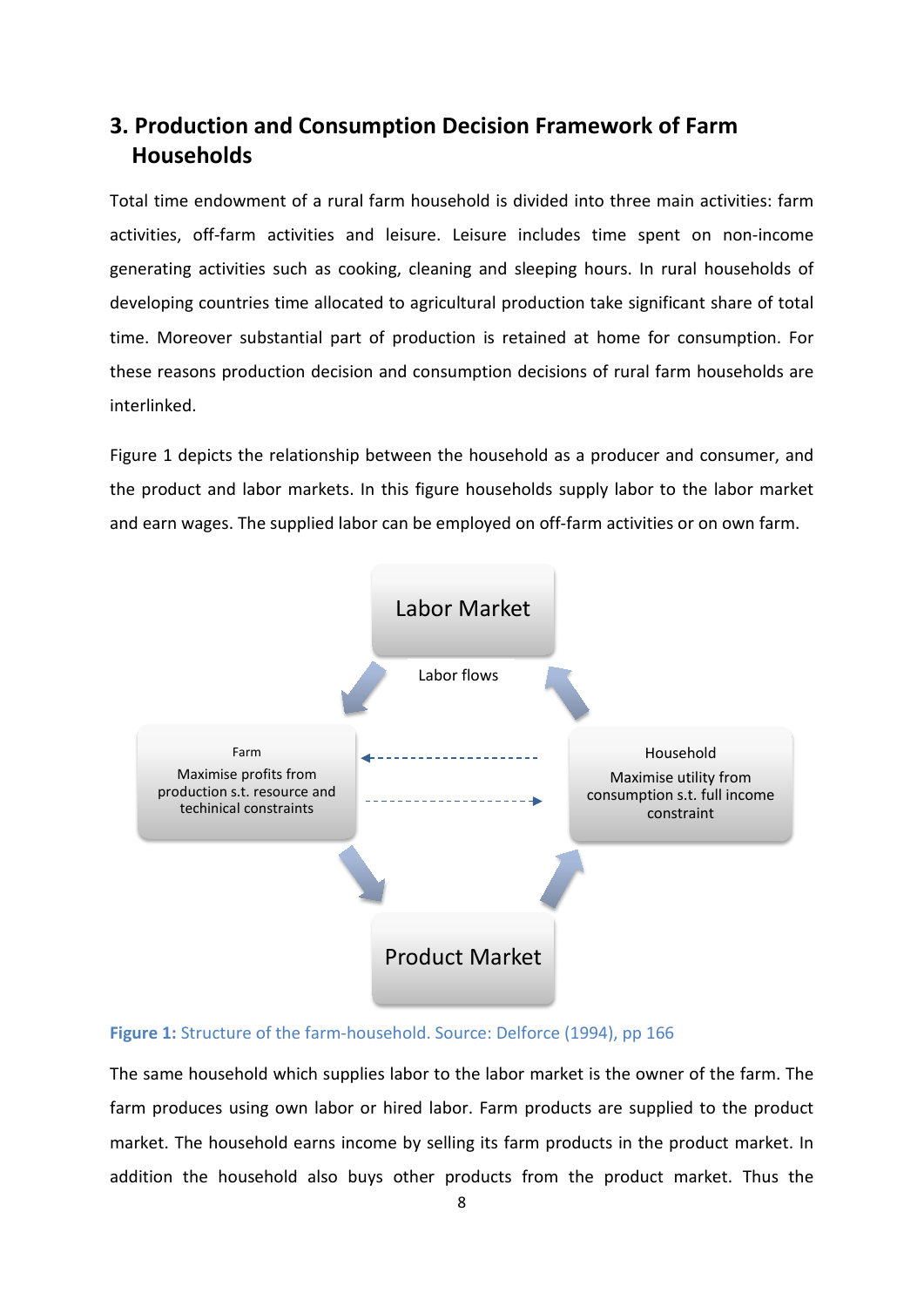## <span id="page-13-0"></span>**3. Production and Consumption Decision Framework of Farm Households**

Total time endowment of a rural farm household is divided into three main activities: farm activities, off-farm activities and leisure. Leisure includes time spent on non-income generating activities such as cooking, cleaning and sleeping hours. In rural households of developing countries time allocated to agricultural production take significant share of total time. Moreover substantial part of production is retained at home for consumption. For these reasons production decision and consumption decisions of rural farm households are interlinked.

Figure 1 depicts the relationship between the household as a producer and consumer, and the product and labor markets. In this figure households supply labor to the labor market and earn wages. The supplied labor can be employed on off-farm activities or on own farm.



#### <span id="page-13-1"></span>**Figure 1:** Structure of the farm-household. Source: Delforce (1994), pp 166

The same household which supplies labor to the labor market is the owner of the farm. The farm produces using own labor or hired labor. Farm products are supplied to the product market. The household earns income by selling its farm products in the product market. In addition the household also buys other products from the product market. Thus the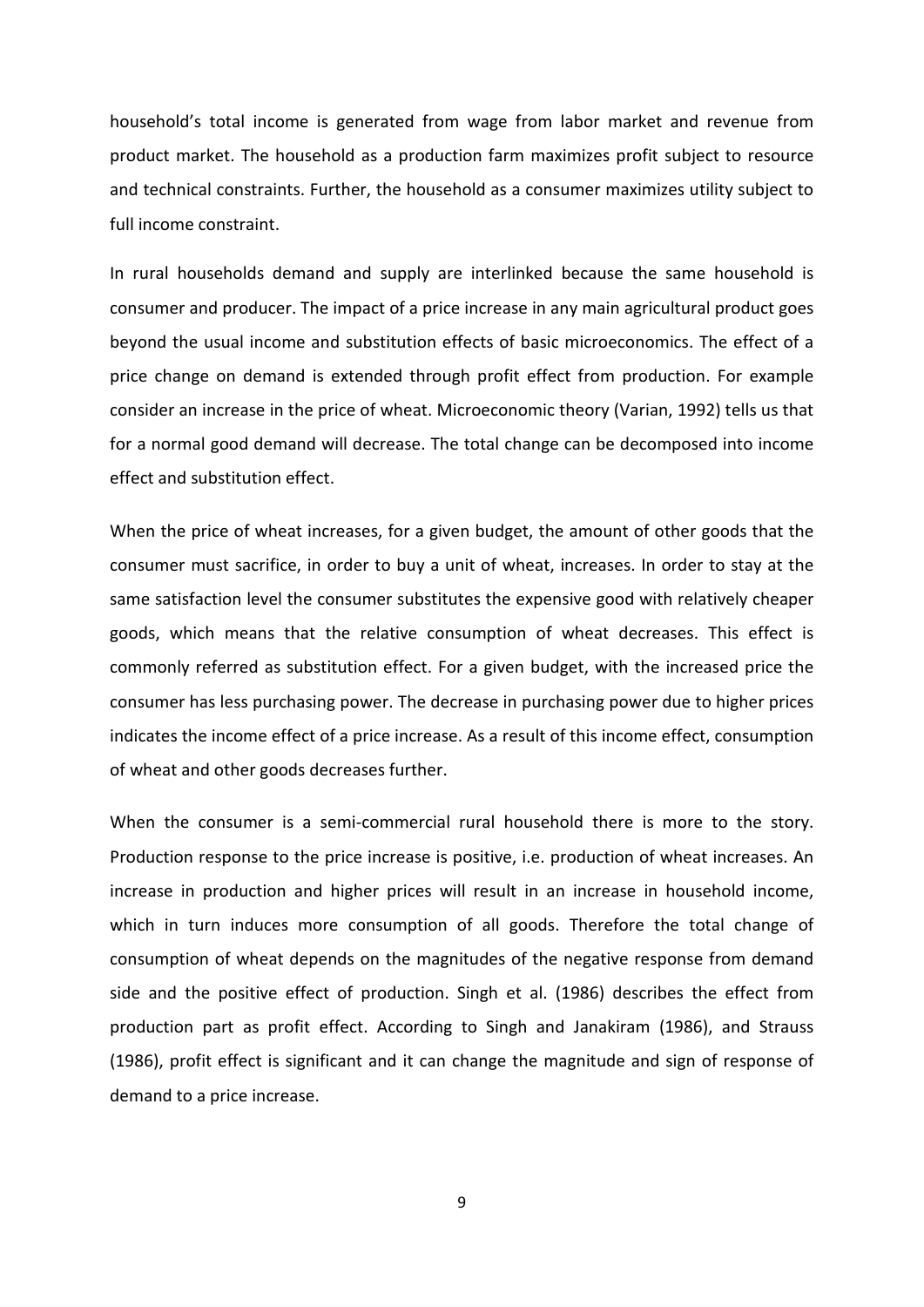household's total income is generated from wage from labor market and revenue from product market. The household as a production farm maximizes profit subject to resource and technical constraints. Further, the household as a consumer maximizes utility subject to full income constraint.

In rural households demand and supply are interlinked because the same household is consumer and producer. The impact of a price increase in any main agricultural product goes beyond the usual income and substitution effects of basic microeconomics. The effect of a price change on demand is extended through profit effect from production. For example consider an increase in the price of wheat. Microeconomic theory (Varian, 1992) tells us that for a normal good demand will decrease. The total change can be decomposed into income effect and substitution effect.

When the price of wheat increases, for a given budget, the amount of other goods that the consumer must sacrifice, in order to buy a unit of wheat, increases. In order to stay at the same satisfaction level the consumer substitutes the expensive good with relatively cheaper goods, which means that the relative consumption of wheat decreases. This effect is commonly referred as substitution effect. For a given budget, with the increased price the consumer has less purchasing power. The decrease in purchasing power due to higher prices indicates the income effect of a price increase. As a result of this income effect, consumption of wheat and other goods decreases further.

When the consumer is a semi-commercial rural household there is more to the story. Production response to the price increase is positive, i.e. production of wheat increases. An increase in production and higher prices will result in an increase in household income, which in turn induces more consumption of all goods. Therefore the total change of consumption of wheat depends on the magnitudes of the negative response from demand side and the positive effect of production. Singh et al. (1986) describes the effect from production part as profit effect. According to Singh and Janakiram (1986), and Strauss (1986), profit effect is significant and it can change the magnitude and sign of response of demand to a price increase.

9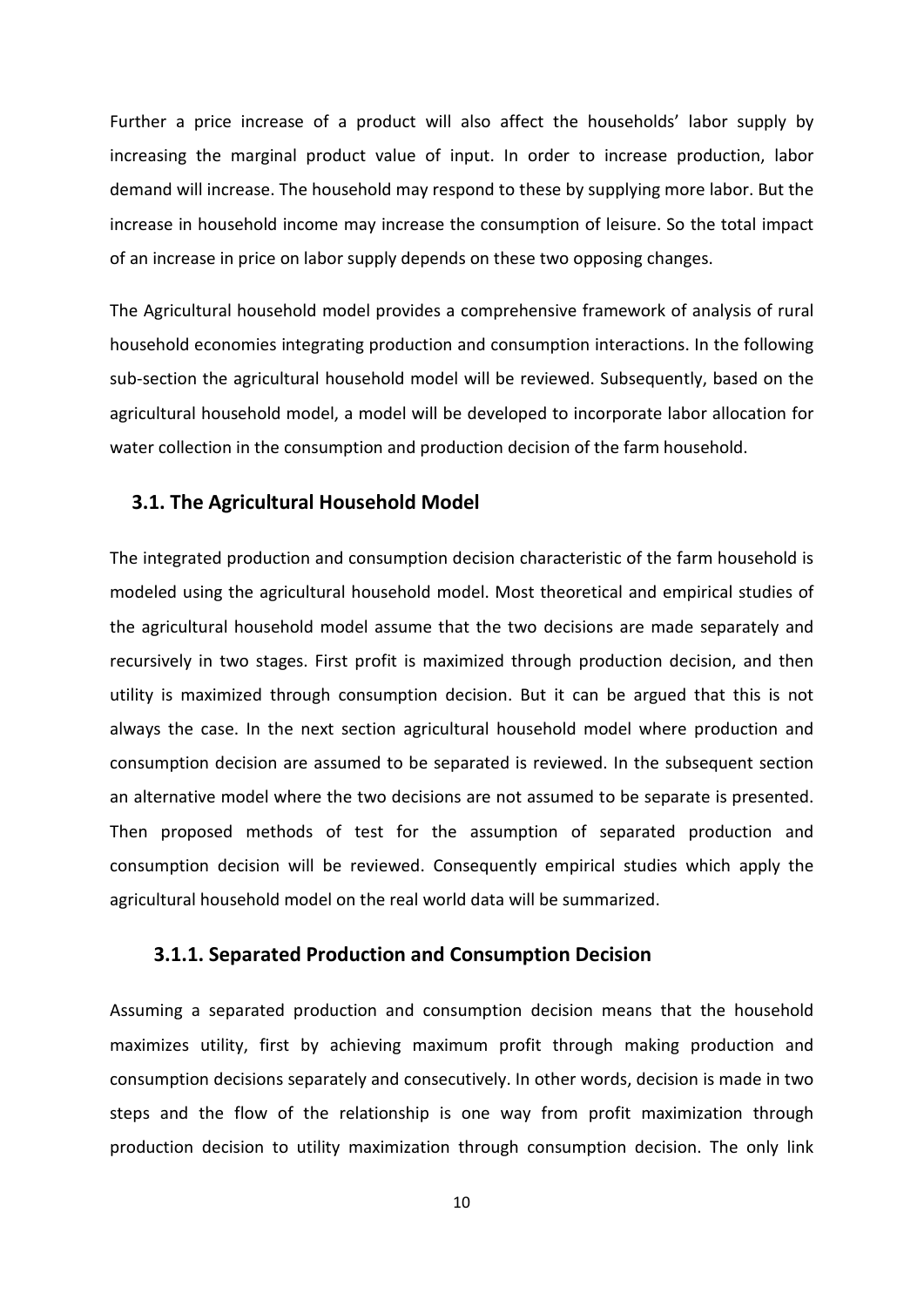Further a price increase of a product will also affect the households' labor supply by increasing the marginal product value of input. In order to increase production, labor demand will increase. The household may respond to these by supplying more labor. But the increase in household income may increase the consumption of leisure. So the total impact of an increase in price on labor supply depends on these two opposing changes.

The Agricultural household model provides a comprehensive framework of analysis of rural household economies integrating production and consumption interactions. In the following sub-section the agricultural household model will be reviewed. Subsequently, based on the agricultural household model, a model will be developed to incorporate labor allocation for water collection in the consumption and production decision of the farm household.

#### <span id="page-15-0"></span>**3.1. The Agricultural Household Model**

The integrated production and consumption decision characteristic of the farm household is modeled using the agricultural household model. Most theoretical and empirical studies of the agricultural household model assume that the two decisions are made separately and recursively in two stages. First profit is maximized through production decision, and then utility is maximized through consumption decision. But it can be argued that this is not always the case. In the next section agricultural household model where production and consumption decision are assumed to be separated is reviewed. In the subsequent section an alternative model where the two decisions are not assumed to be separate is presented. Then proposed methods of test for the assumption of separated production and consumption decision will be reviewed. Consequently empirical studies which apply the agricultural household model on the real world data will be summarized.

#### <span id="page-15-1"></span>**3.1.1. Separated Production and Consumption Decision**

Assuming a separated production and consumption decision means that the household maximizes utility, first by achieving maximum profit through making production and consumption decisions separately and consecutively. In other words, decision is made in two steps and the flow of the relationship is one way from profit maximization through production decision to utility maximization through consumption decision. The only link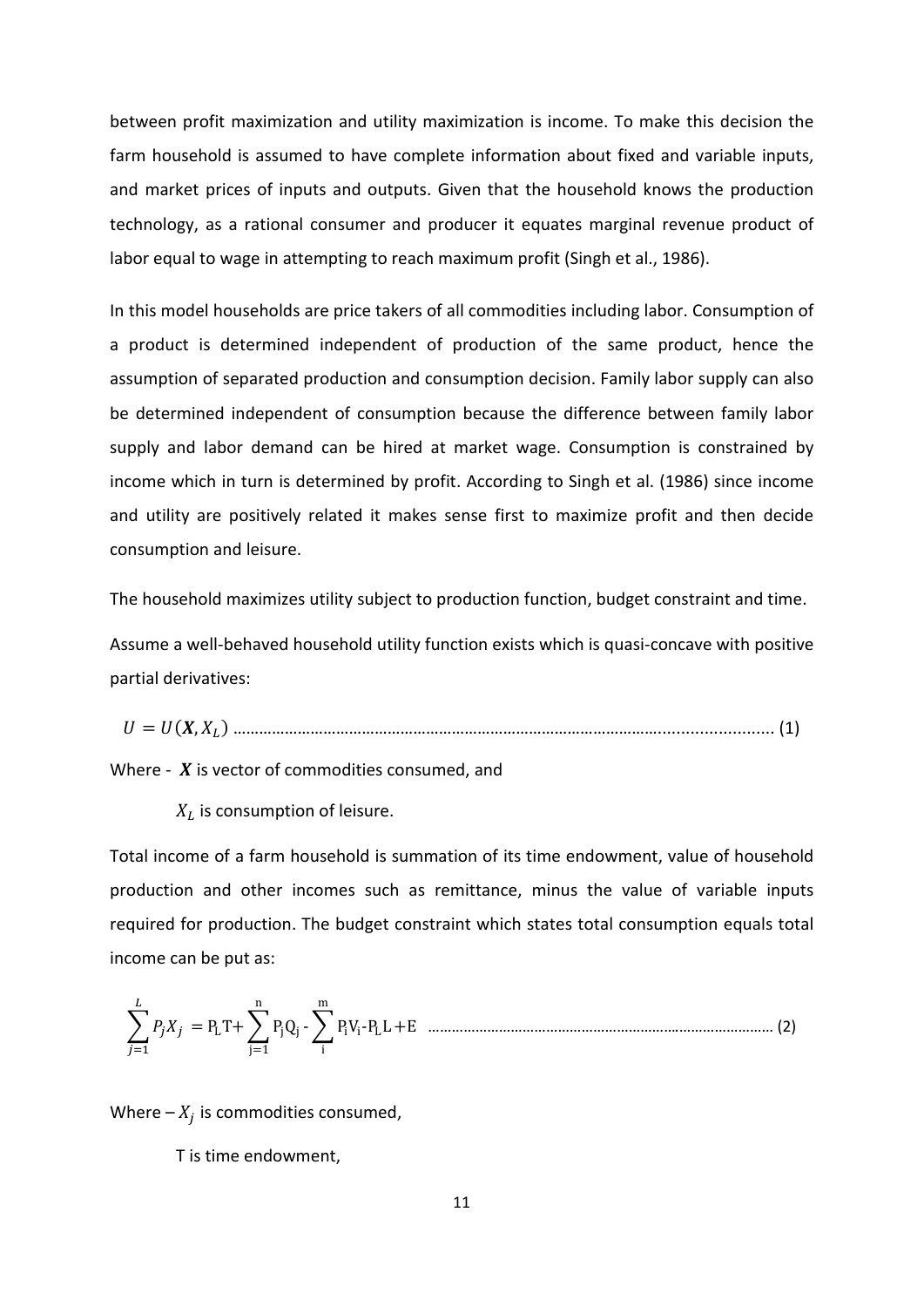between profit maximization and utility maximization is income. To make this decision the farm household is assumed to have complete information about fixed and variable inputs, and market prices of inputs and outputs. Given that the household knows the production technology, as a rational consumer and producer it equates marginal revenue product of labor equal to wage in attempting to reach maximum profit (Singh et al., 1986).

In this model households are price takers of all commodities including labor. Consumption of a product is determined independent of production of the same product, hence the assumption of separated production and consumption decision. Family labor supply can also be determined independent of consumption because the difference between family labor supply and labor demand can be hired at market wage. Consumption is constrained by income which in turn is determined by profit. According to Singh et al. (1986) since income and utility are positively related it makes sense first to maximize profit and then decide consumption and leisure.

The household maximizes utility subject to production function, budget constraint and time.

Assume a well-behaved household utility function exists which is quasi-concave with positive partial derivatives:

= (, ) ………………………………………………………………………………………......................... (1)

Where -  $X$  is vector of commodities consumed, and

 $X_L$  is consumption of leisure.

Total income of a farm household is summation of its time endowment, value of household production and other incomes such as remittance, minus the value of variable inputs required for production. The budget constraint which states total consumption equals total income can be put as:

$$
\sum_{j=1}^{L} P_j X_j = P_L T + \sum_{j=1}^{n} P_j Q_j - \sum_{i}^{m} P_i V_i - P_L L + E
$$
 .......

Where  $-X_i$  is commodities consumed,

T is time endowment,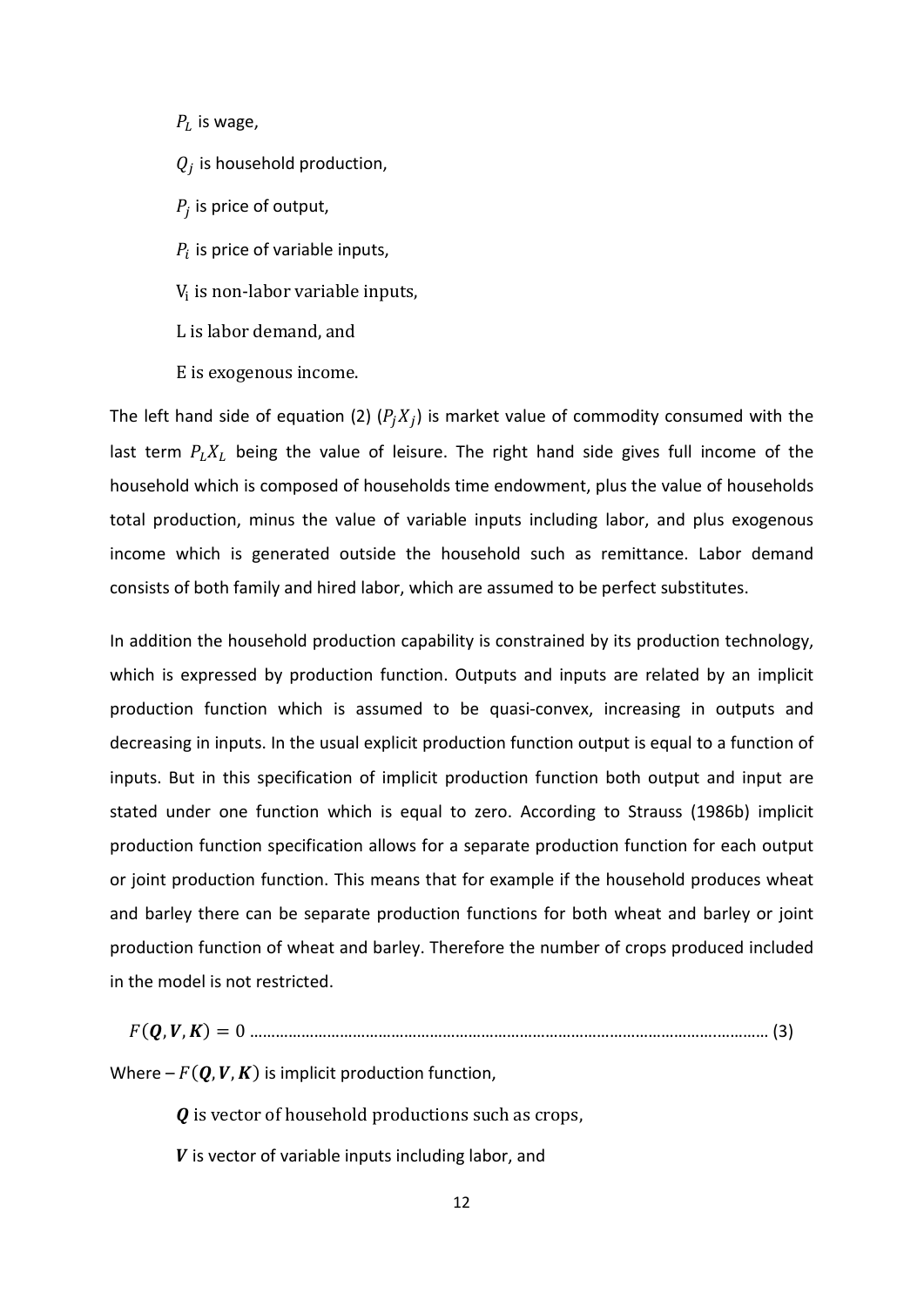$P_L$  is wage,  $Q_i$  is household production,  $P_i$  is price of output,  $P_i$  is price of variable inputs, V<sub>i</sub> is non-labor variable inputs, L is labor demand, and

E is exogenous income.

The left hand side of equation (2)  $(P_j X_j)$  is market value of commodity consumed with the last term  $P_L X_L$  being the value of leisure. The right hand side gives full income of the household which is composed of households time endowment, plus the value of households total production, minus the value of variable inputs including labor, and plus exogenous income which is generated outside the household such as remittance. Labor demand consists of both family and hired labor, which are assumed to be perfect substitutes.

In addition the household production capability is constrained by its production technology, which is expressed by production function. Outputs and inputs are related by an implicit production function which is assumed to be quasi-convex, increasing in outputs and decreasing in inputs. In the usual explicit production function output is equal to a function of inputs. But in this specification of implicit production function both output and input are stated under one function which is equal to zero. According to Strauss (1986b) implicit production function specification allows for a separate production function for each output or joint production function. This means that for example if the household produces wheat and barley there can be separate production functions for both wheat and barley or joint production function of wheat and barley. Therefore the number of crops produced included in the model is not restricted.

| Where $-F(Q, V, K)$ is implicit production function, |  |
|------------------------------------------------------|--|

 *is vector of household productions such as crops,* 

 $V$  is vector of variable inputs including labor, and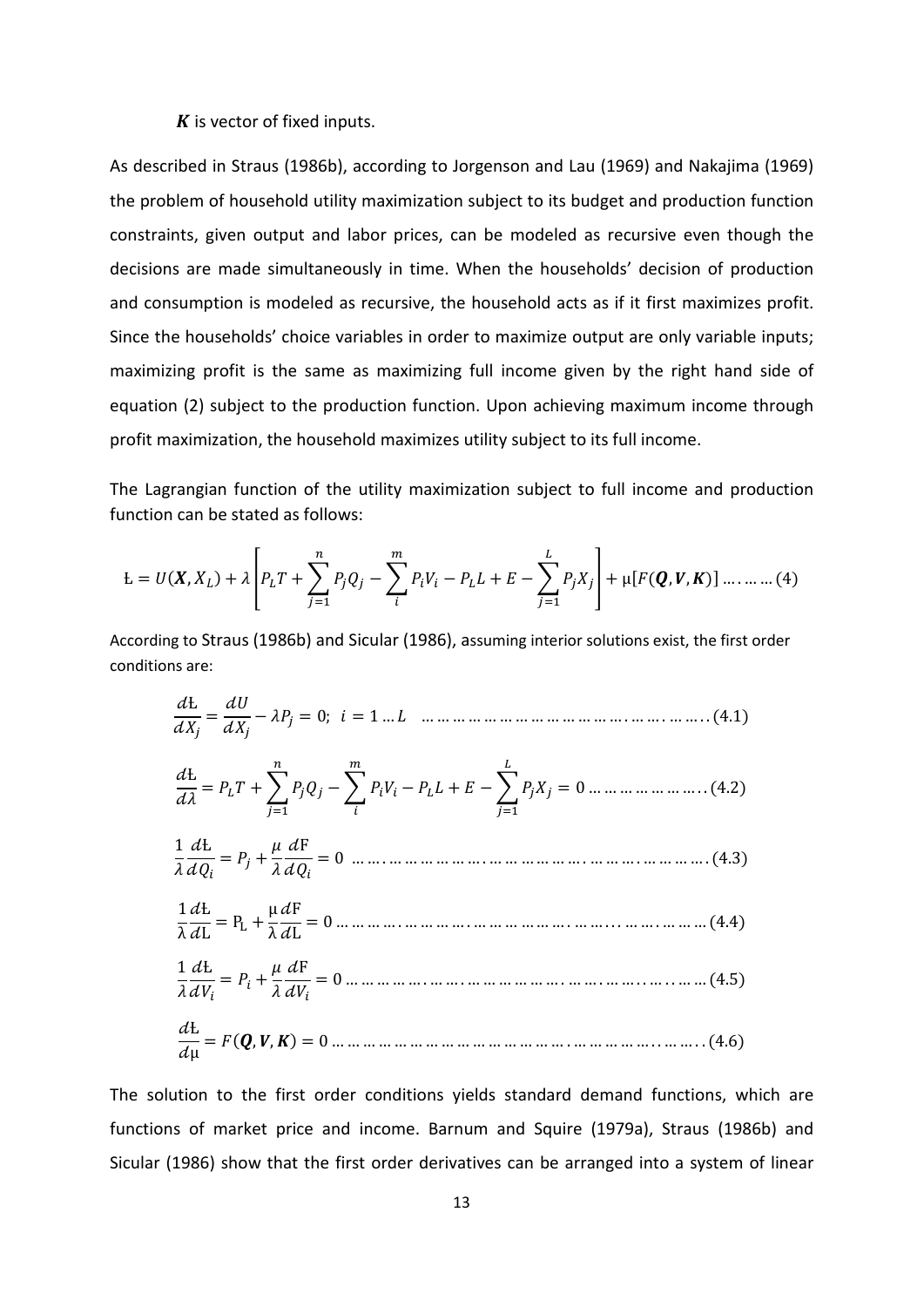#### $\boldsymbol{K}$  is vector of fixed inputs.

As described in Straus (1986b), according to Jorgenson and Lau (1969) and Nakajima (1969) the problem of household utility maximization subject to its budget and production function constraints, given output and labor prices, can be modeled as recursive even though the decisions are made simultaneously in time. When the households' decision of production and consumption is modeled as recursive, the household acts as if it first maximizes profit. Since the households' choice variables in order to maximize output are only variable inputs; maximizing profit is the same as maximizing full income given by the right hand side of equation (2) subject to the production function. Upon achieving maximum income through profit maximization, the household maximizes utility subject to its full income.

The Lagrangian function of the utility maximization subject to full income and production function can be stated as follows:

$$
L = U(X, X_L) + \lambda \left[ P_L T + \sum_{j=1}^n P_j Q_j - \sum_i^m P_i V_i - P_L L + E - \sum_{j=1}^L P_j X_j \right] + \mu [F(Q, V, K)] \dots \dots \dots (4)
$$

According to Straus (1986b) and Sicular (1986), assuming interior solutions exist, the first order conditions are:

Ƚ <sup>=</sup> − = 0; = 1 … … … … … … … … … … … … … … . … … . … … . . (4.1) Ƚ <sup>=</sup> <sup>+</sup>� =1 −� − + −� =1 = 0 … … … … … … … . . (4.2) 1 Ƚ <sup>=</sup> <sup>+</sup> F = 0 … … . … … … … … … . … … … … … … . … … … . … … … … . (4.3) 1 λ Ƚ <sup>L</sup> <sup>=</sup> <sup>P</sup><sup>L</sup> <sup>+</sup> <sup>µ</sup> λ F <sup>L</sup> <sup>=</sup> <sup>0</sup> … … … … . … … … … . … … … … … … . … … . . . … … . … … … (4.4) 1 Ƚ <sup>=</sup> <sup>+</sup> F = 0 … … … … … . … … . … … … … … … . … … . … … . . … . . … … (4.5) Ƚ µ <sup>=</sup> (, , ) <sup>=</sup> <sup>0</sup> … … … … … … … … … … … … … … … . … … … … … . . … … . . (4.6)

The solution to the first order conditions yields standard demand functions, which are functions of market price and income. Barnum and Squire (1979a), Straus (1986b) and Sicular (1986) show that the first order derivatives can be arranged into a system of linear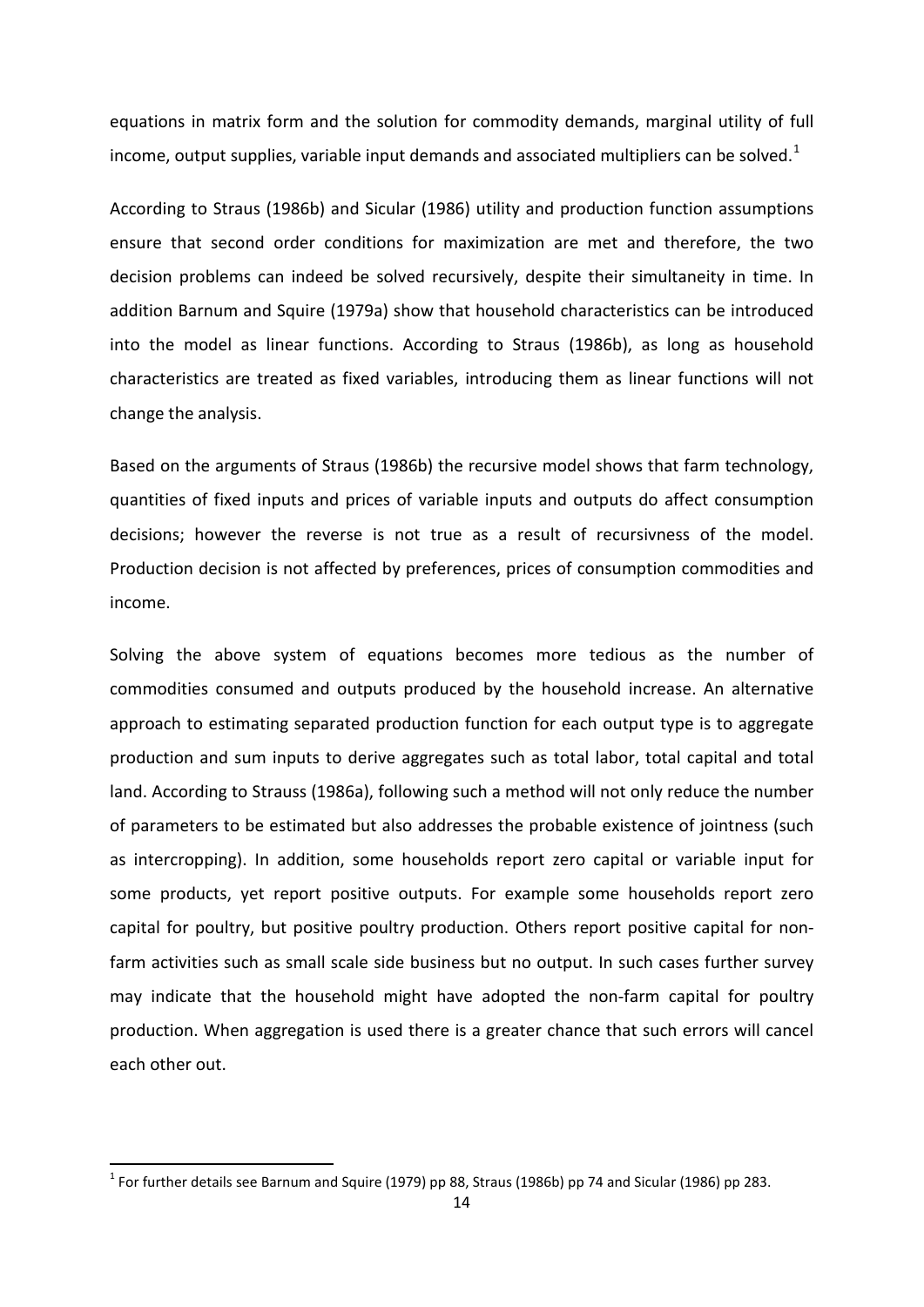equations in matrix form and the solution for commodity demands, marginal utility of full income, output supplies, variable input demands and associated multipliers can be solved.<sup>[1](#page-19-0)</sup>

According to Straus (1986b) and Sicular (1986) utility and production function assumptions ensure that second order conditions for maximization are met and therefore, the two decision problems can indeed be solved recursively, despite their simultaneity in time. In addition Barnum and Squire (1979a) show that household characteristics can be introduced into the model as linear functions. According to Straus (1986b), as long as household characteristics are treated as fixed variables, introducing them as linear functions will not change the analysis.

Based on the arguments of Straus (1986b) the recursive model shows that farm technology, quantities of fixed inputs and prices of variable inputs and outputs do affect consumption decisions; however the reverse is not true as a result of recursivness of the model. Production decision is not affected by preferences, prices of consumption commodities and income.

Solving the above system of equations becomes more tedious as the number of commodities consumed and outputs produced by the household increase. An alternative approach to estimating separated production function for each output type is to aggregate production and sum inputs to derive aggregates such as total labor, total capital and total land. According to Strauss (1986a), following such a method will not only reduce the number of parameters to be estimated but also addresses the probable existence of jointness (such as intercropping). In addition, some households report zero capital or variable input for some products, yet report positive outputs. For example some households report zero capital for poultry, but positive poultry production. Others report positive capital for nonfarm activities such as small scale side business but no output. In such cases further survey may indicate that the household might have adopted the non-farm capital for poultry production. When aggregation is used there is a greater chance that such errors will cancel each other out.

 $\overline{a}$ 

<span id="page-19-0"></span> $1$  For further details see Barnum and Squire (1979) pp 88, Straus (1986b) pp 74 and Sicular (1986) pp 283.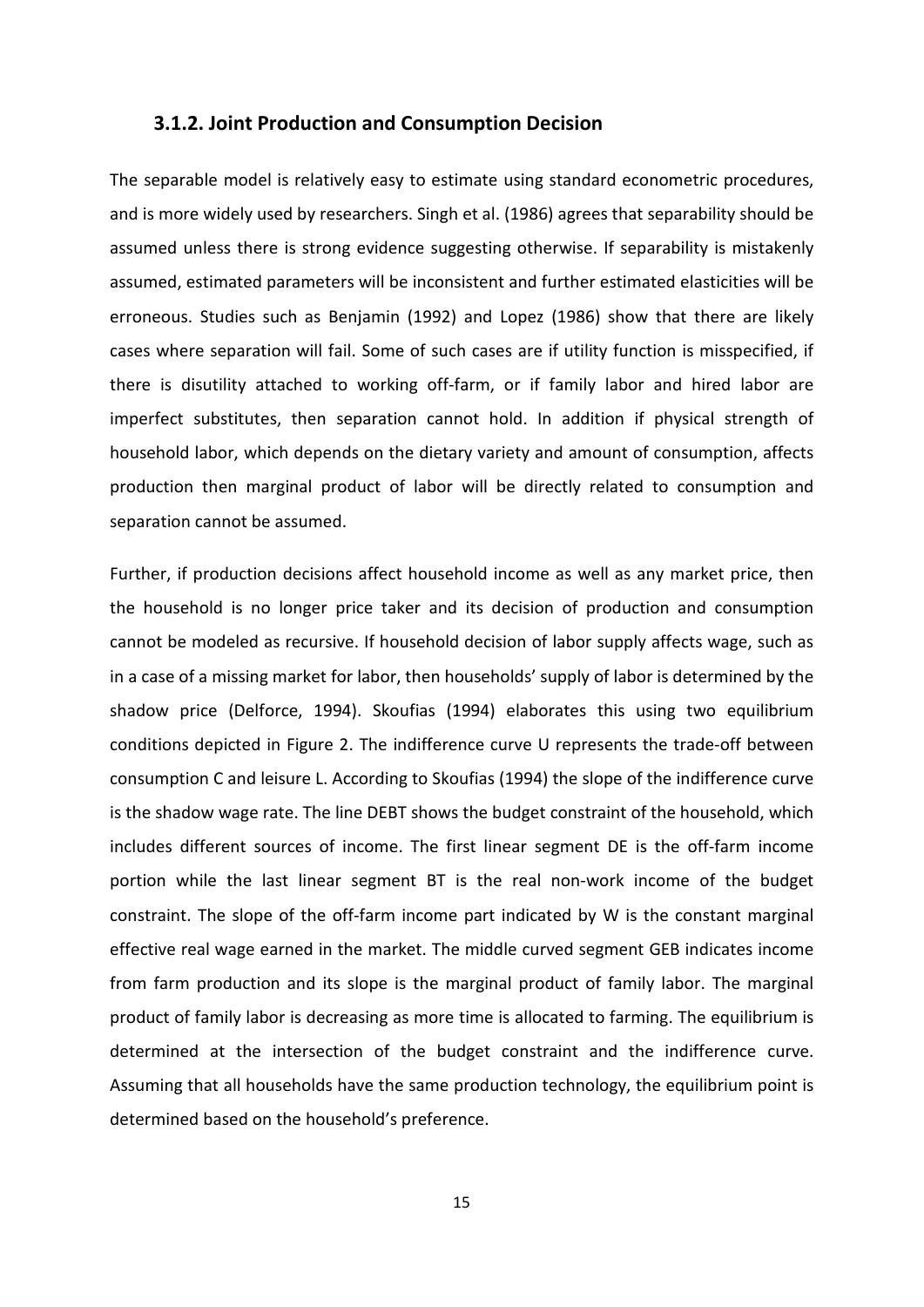#### <span id="page-20-0"></span>**3.1.2. Joint Production and Consumption Decision**

The separable model is relatively easy to estimate using standard econometric procedures, and is more widely used by researchers. Singh et al. (1986) agrees that separability should be assumed unless there is strong evidence suggesting otherwise. If separability is mistakenly assumed, estimated parameters will be inconsistent and further estimated elasticities will be erroneous. Studies such as Benjamin (1992) and Lopez (1986) show that there are likely cases where separation will fail. Some of such cases are if utility function is misspecified, if there is disutility attached to working off-farm, or if family labor and hired labor are imperfect substitutes, then separation cannot hold. In addition if physical strength of household labor, which depends on the dietary variety and amount of consumption, affects production then marginal product of labor will be directly related to consumption and separation cannot be assumed.

Further, if production decisions affect household income as well as any market price, then the household is no longer price taker and its decision of production and consumption cannot be modeled as recursive. If household decision of labor supply affects wage, such as in a case of a missing market for labor, then households' supply of labor is determined by the shadow price (Delforce, 1994). Skoufias (1994) elaborates this using two equilibrium conditions depicted in Figure 2. The indifference curve U represents the trade-off between consumption C and leisure L. According to Skoufias (1994) the slope of the indifference curve is the shadow wage rate. The line DEBT shows the budget constraint of the household, which includes different sources of income. The first linear segment DE is the off-farm income portion while the last linear segment BT is the real non-work income of the budget constraint. The slope of the off-farm income part indicated by W is the constant marginal effective real wage earned in the market. The middle curved segment GEB indicates income from farm production and its slope is the marginal product of family labor. The marginal product of family labor is decreasing as more time is allocated to farming. The equilibrium is determined at the intersection of the budget constraint and the indifference curve. Assuming that all households have the same production technology, the equilibrium point is determined based on the household's preference.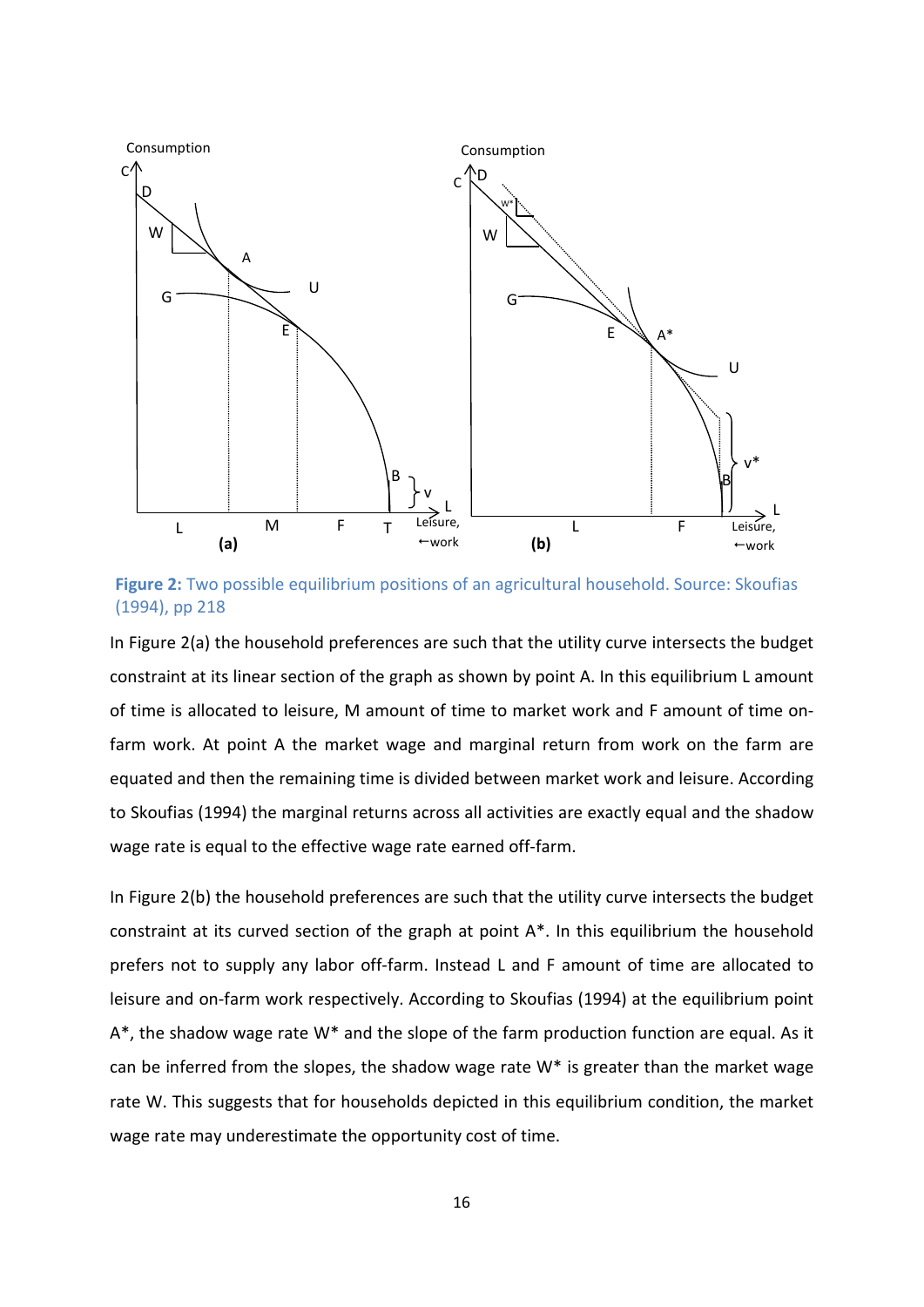

**Figure 2:** Two possible equilibrium positions of an agricultural household. Source: Skoufias (1994), pp 218

In Figure 2(a) the household preferences are such that the utility curve intersects the budget constraint at its linear section of the graph as shown by point A. In this equilibrium L amount of time is allocated to leisure, M amount of time to market work and F amount of time onfarm work. At point A the market wage and marginal return from work on the farm are equated and then the remaining time is divided between market work and leisure. According to Skoufias (1994) the marginal returns across all activities are exactly equal and the shadow wage rate is equal to the effective wage rate earned off-farm.

In Figure 2(b) the household preferences are such that the utility curve intersects the budget constraint at its curved section of the graph at point A\*. In this equilibrium the household prefers not to supply any labor off-farm. Instead L and F amount of time are allocated to leisure and on-farm work respectively. According to Skoufias (1994) at the equilibrium point  $A^*$ , the shadow wage rate W\* and the slope of the farm production function are equal. As it can be inferred from the slopes, the shadow wage rate  $W^*$  is greater than the market wage rate W. This suggests that for households depicted in this equilibrium condition, the market wage rate may underestimate the opportunity cost of time.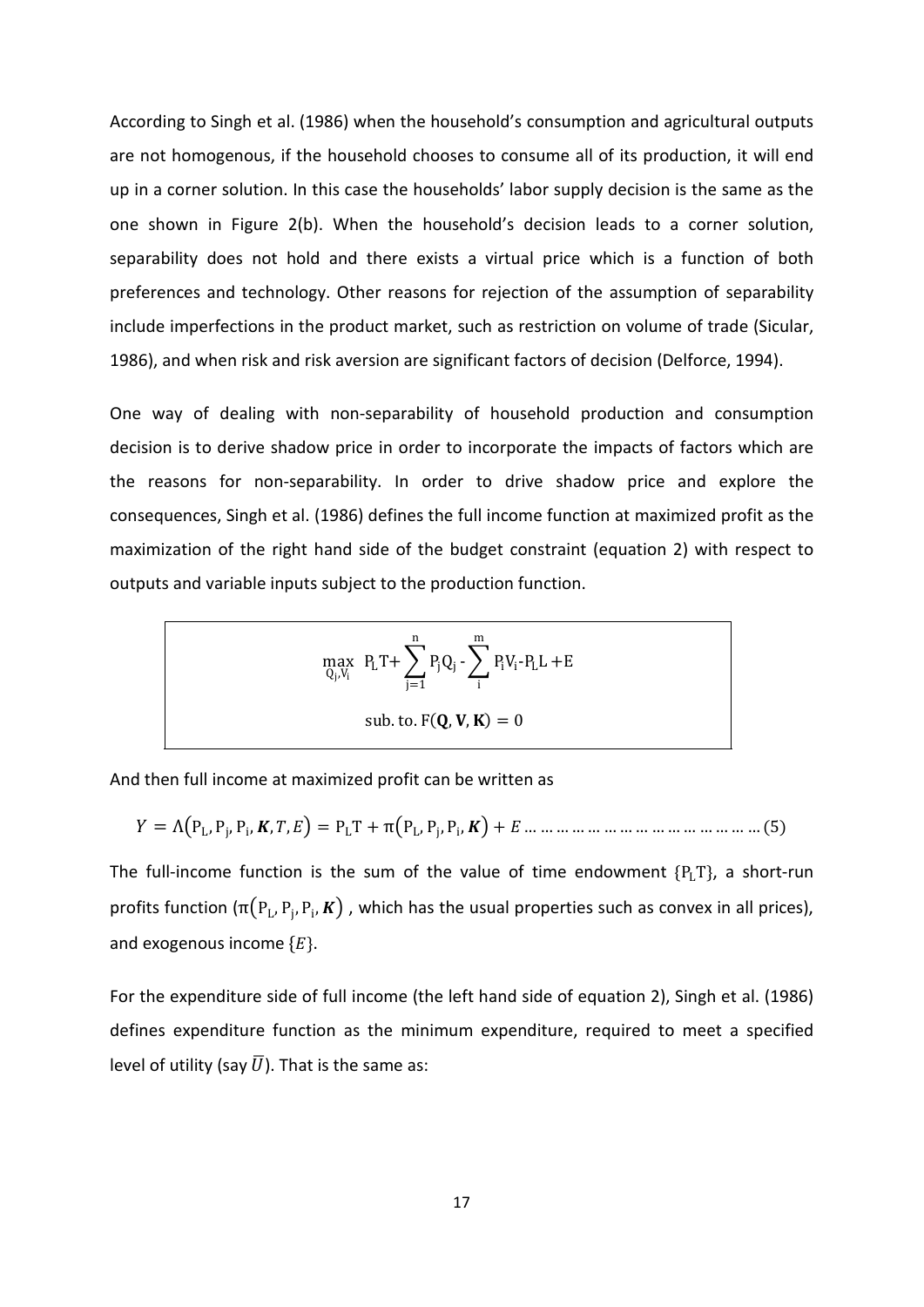According to Singh et al. (1986) when the household's consumption and agricultural outputs are not homogenous, if the household chooses to consume all of its production, it will end up in a corner solution. In this case the households' labor supply decision is the same as the one shown in Figure 2(b). When the household's decision leads to a corner solution, separability does not hold and there exists a virtual price which is a function of both preferences and technology. Other reasons for rejection of the assumption of separability include imperfections in the product market, such as restriction on volume of trade (Sicular, 1986), and when risk and risk aversion are significant factors of decision (Delforce, 1994).

One way of dealing with non-separability of household production and consumption decision is to derive shadow price in order to incorporate the impacts of factors which are the reasons for non-separability. In order to drive shadow price and explore the consequences, Singh et al. (1986) defines the full income function at maximized profit as the maximization of the right hand side of the budget constraint (equation 2) with respect to outputs and variable inputs subject to the production function.

$$
\max_{Q_j, V_i} \ P_L T + \sum_{j=1}^n P_j Q_j - \sum_i^m P_i V_i - P_L L + E
$$
  
sub. to.  $F(\mathbf{Q}, \mathbf{V}, \mathbf{K}) = 0$ 

And then full income at maximized profit can be written as

= Λ�PL, Pj, Pi, , , � = PLT + π�PL, Pj, Pi, � + … … … … … … … … … … … … … … … (5)

The full-income function is the sum of the value of time endowment  ${P_L}T$ , a short-run profits function  $(\pi(P_L, P_i, P_i, K))$ , which has the usual properties such as convex in all prices), and exogenous income  ${E}$ .

For the expenditure side of full income (the left hand side of equation 2), Singh et al. (1986) defines expenditure function as the minimum expenditure, required to meet a specified level of utility (say  $\bar{U}$ ). That is the same as: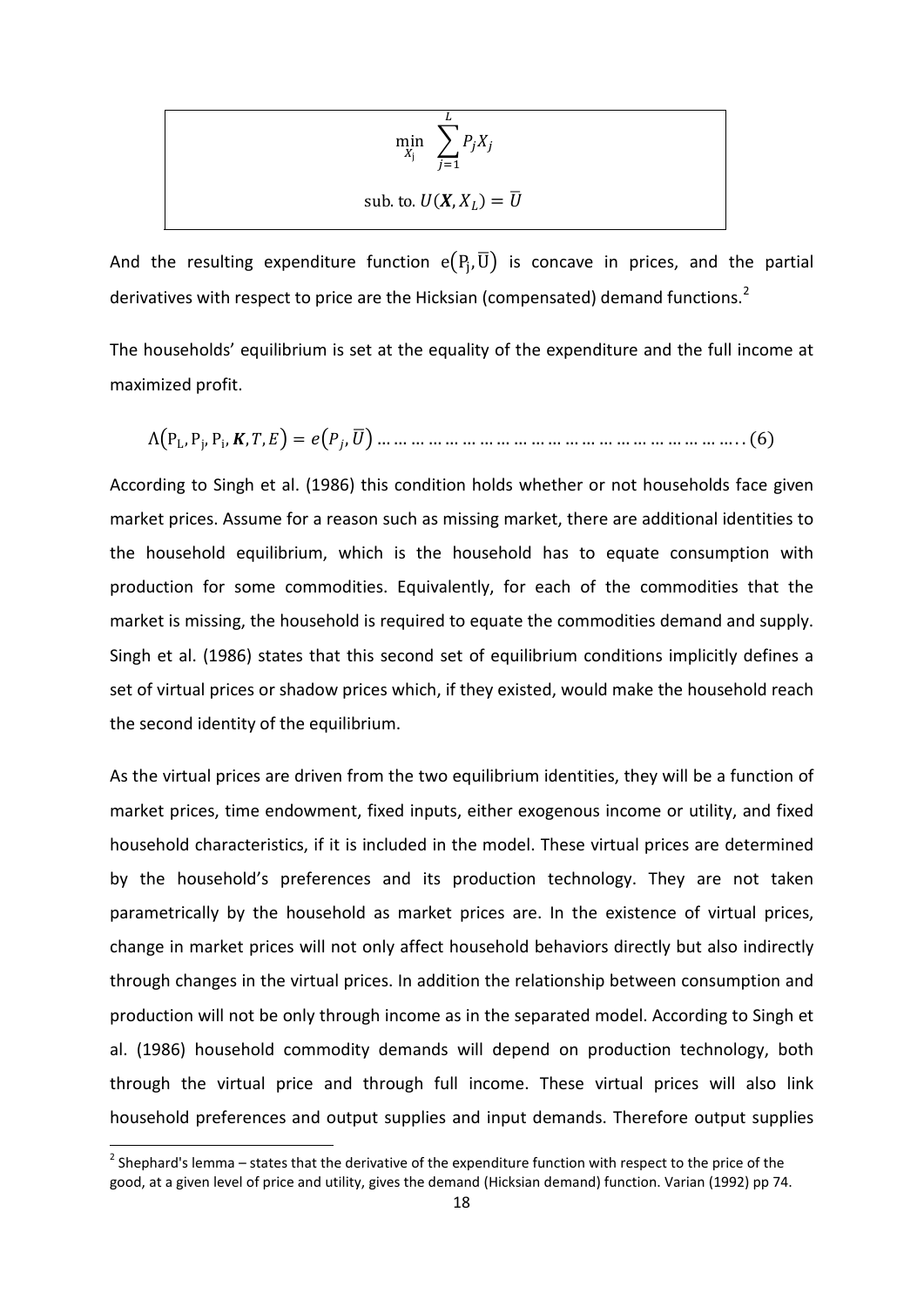$$
\min_{X_j} \sum_{j=1}^{L} P_j X_j
$$
  
sub. to.  $U(X, X_L) = \overline{U}$ 

And the resulting expenditure function  $e(P_i, \overline{U})$  is concave in prices, and the partial derivatives with respect to price are the Hicksian (compensated) demand functions.<sup>[2](#page-23-0)</sup>

The households' equilibrium is set at the equality of the expenditure and the full income at maximized profit.

Λ�PL, Pj, Pi, , , � = �,�� … … … … … … … … … … … … … … … … … … … … … . . (6)

According to Singh et al. (1986) this condition holds whether or not households face given market prices. Assume for a reason such as missing market, there are additional identities to the household equilibrium, which is the household has to equate consumption with production for some commodities. Equivalently, for each of the commodities that the market is missing, the household is required to equate the commodities demand and supply. Singh et al. (1986) states that this second set of equilibrium conditions implicitly defines a set of virtual prices or shadow prices which, if they existed, would make the household reach the second identity of the equilibrium.

As the virtual prices are driven from the two equilibrium identities, they will be a function of market prices, time endowment, fixed inputs, either exogenous income or utility, and fixed household characteristics, if it is included in the model. These virtual prices are determined by the household's preferences and its production technology. They are not taken parametrically by the household as market prices are. In the existence of virtual prices, change in market prices will not only affect household behaviors directly but also indirectly through changes in the virtual prices. In addition the relationship between consumption and production will not be only through income as in the separated model. According to Singh et al. (1986) household commodity demands will depend on production technology, both through the virtual price and through full income. These virtual prices will also link household preferences and output supplies and input demands. Therefore output supplies

 $\overline{a}$ 

<span id="page-23-0"></span> $2$  Shephard's lemma – states that the derivative of the expenditure function with respect to the price of the good, at a given level of price and utility, gives the demand (Hicksian demand) function. Varian (1992) pp 74.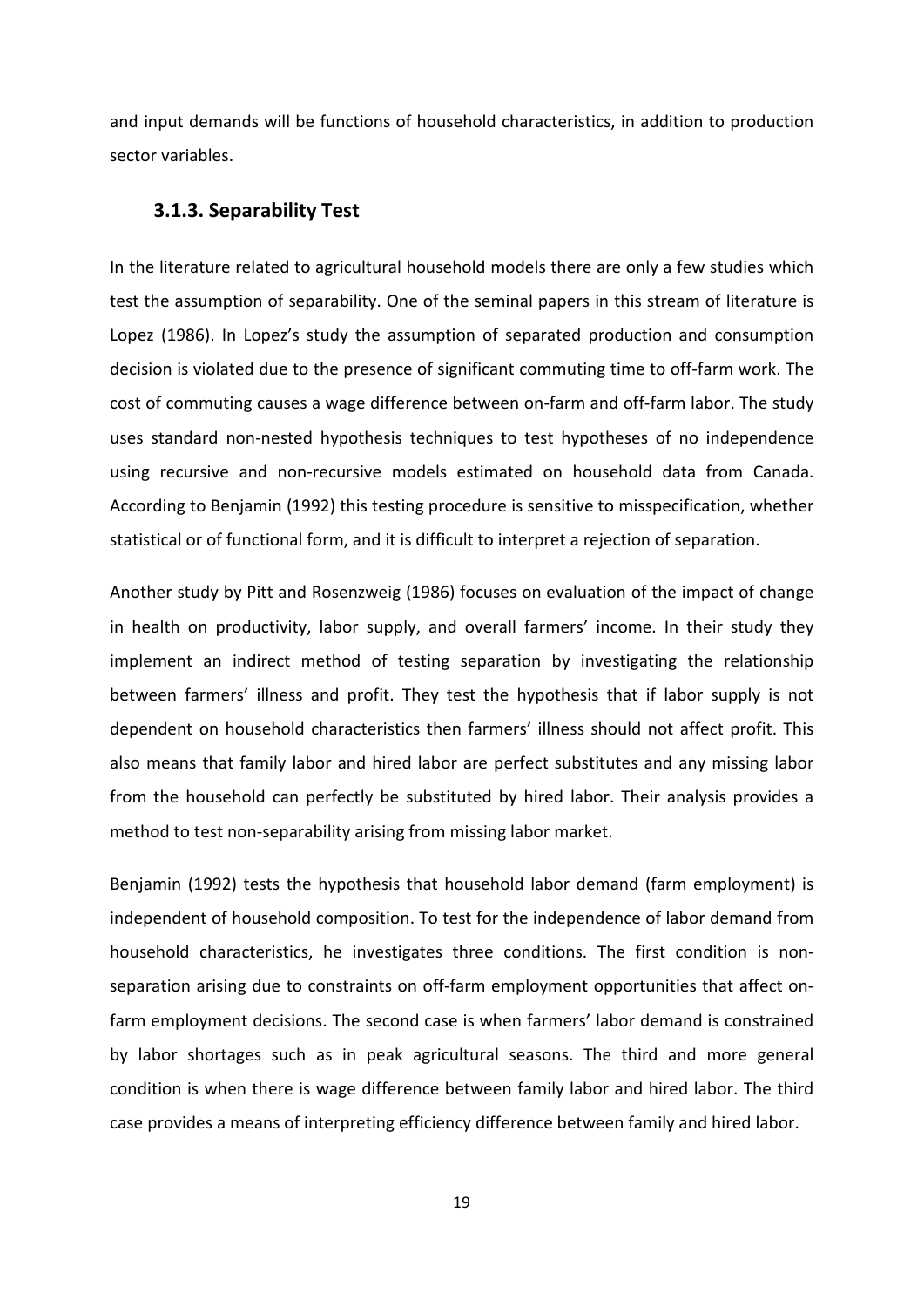and input demands will be functions of household characteristics, in addition to production sector variables.

#### <span id="page-24-0"></span>**3.1.3. Separability Test**

In the literature related to agricultural household models there are only a few studies which test the assumption of separability. One of the seminal papers in this stream of literature is Lopez (1986). In Lopez's study the assumption of separated production and consumption decision is violated due to the presence of significant commuting time to off-farm work. The cost of commuting causes a wage difference between on-farm and off-farm labor. The study uses standard non-nested hypothesis techniques to test hypotheses of no independence using recursive and non-recursive models estimated on household data from Canada. According to Benjamin (1992) this testing procedure is sensitive to misspecification, whether statistical or of functional form, and it is difficult to interpret a rejection of separation.

Another study by Pitt and Rosenzweig (1986) focuses on evaluation of the impact of change in health on productivity, labor supply, and overall farmers' income. In their study they implement an indirect method of testing separation by investigating the relationship between farmers' illness and profit. They test the hypothesis that if labor supply is not dependent on household characteristics then farmers' illness should not affect profit. This also means that family labor and hired labor are perfect substitutes and any missing labor from the household can perfectly be substituted by hired labor. Their analysis provides a method to test non-separability arising from missing labor market.

Benjamin (1992) tests the hypothesis that household labor demand (farm employment) is independent of household composition. To test for the independence of labor demand from household characteristics, he investigates three conditions. The first condition is nonseparation arising due to constraints on off-farm employment opportunities that affect onfarm employment decisions. The second case is when farmers' labor demand is constrained by labor shortages such as in peak agricultural seasons. The third and more general condition is when there is wage difference between family labor and hired labor. The third case provides a means of interpreting efficiency difference between family and hired labor.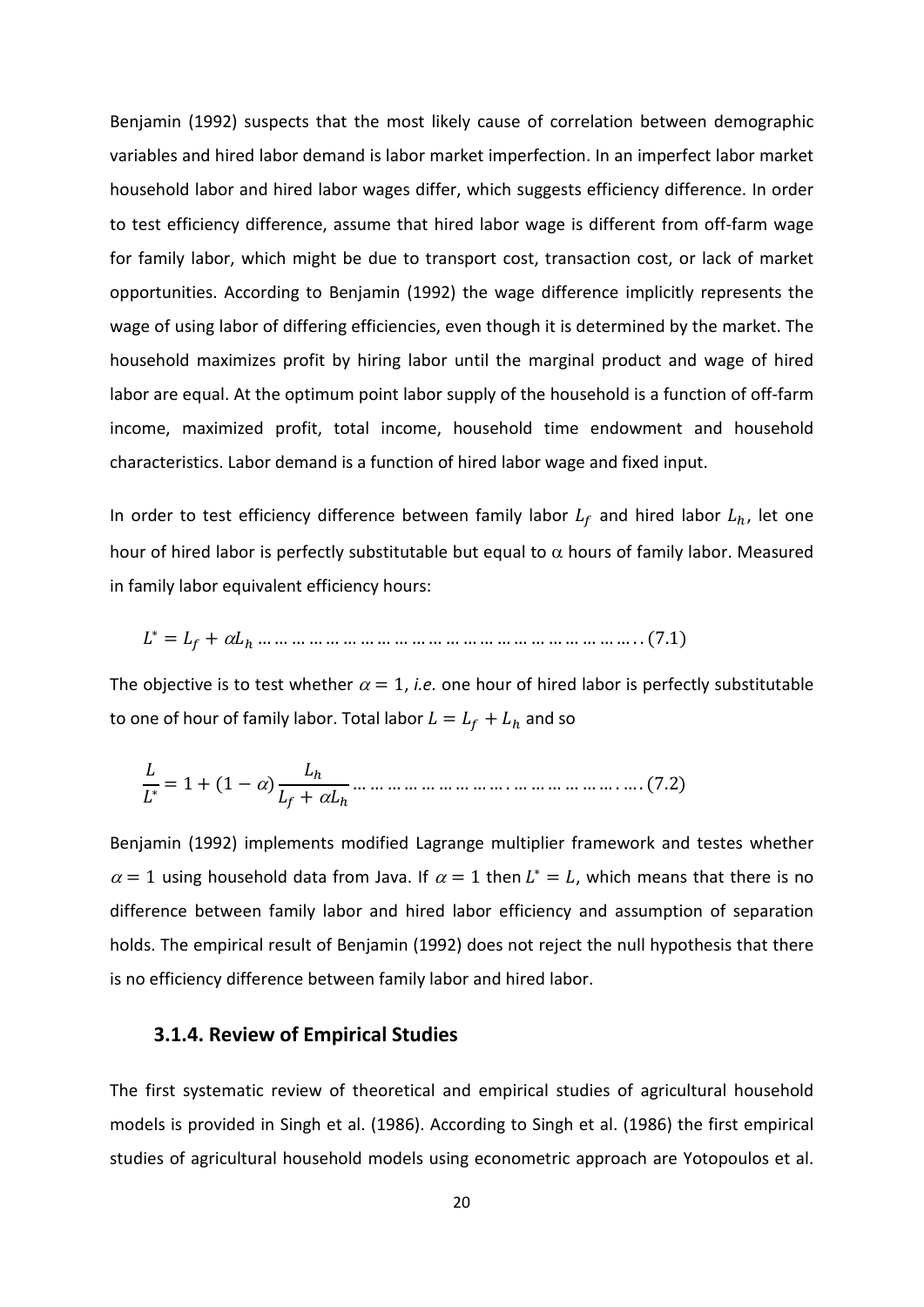Benjamin (1992) suspects that the most likely cause of correlation between demographic variables and hired labor demand is labor market imperfection. In an imperfect labor market household labor and hired labor wages differ, which suggests efficiency difference. In order to test efficiency difference, assume that hired labor wage is different from off-farm wage for family labor, which might be due to transport cost, transaction cost, or lack of market opportunities. According to Benjamin (1992) the wage difference implicitly represents the wage of using labor of differing efficiencies, even though it is determined by the market. The household maximizes profit by hiring labor until the marginal product and wage of hired labor are equal. At the optimum point labor supply of the household is a function of off-farm income, maximized profit, total income, household time endowment and household characteristics. Labor demand is a function of hired labor wage and fixed input.

In order to test efficiency difference between family labor  $L_f$  and hired labor  $L_h$ , let one hour of hired labor is perfectly substitutable but equal to  $\alpha$  hours of family labor. Measured in family labor equivalent efficiency hours:

∗ = + <sup>α</sup>ℎ … … … … … … … … … … … … … … … … … … … … … … . . (7.1)

The objective is to test whether  $\alpha = 1$ , *i.e.* one hour of hired labor is perfectly substitutable to one of hour of family labor. Total labor  $L = L_f + L_h$  and so

 ∗ <sup>=</sup> <sup>1</sup> <sup>+</sup> (1 <sup>−</sup> <sup>α</sup>) ℎ + <sup>α</sup>ℎ … … … … … … … … … . … … … … … … . … . (7.2)

Benjamin (1992) implements modified Lagrange multiplier framework and testes whether  $\alpha = 1$  using household data from Java. If  $\alpha = 1$  then  $L^* = L$ , which means that there is no difference between family labor and hired labor efficiency and assumption of separation holds. The empirical result of Benjamin (1992) does not reject the null hypothesis that there is no efficiency difference between family labor and hired labor.

#### <span id="page-25-0"></span>**3.1.4. Review of Empirical Studies**

The first systematic review of theoretical and empirical studies of agricultural household models is provided in Singh et al. (1986). According to Singh et al. (1986) the first empirical studies of agricultural household models using econometric approach are Yotopoulos et al.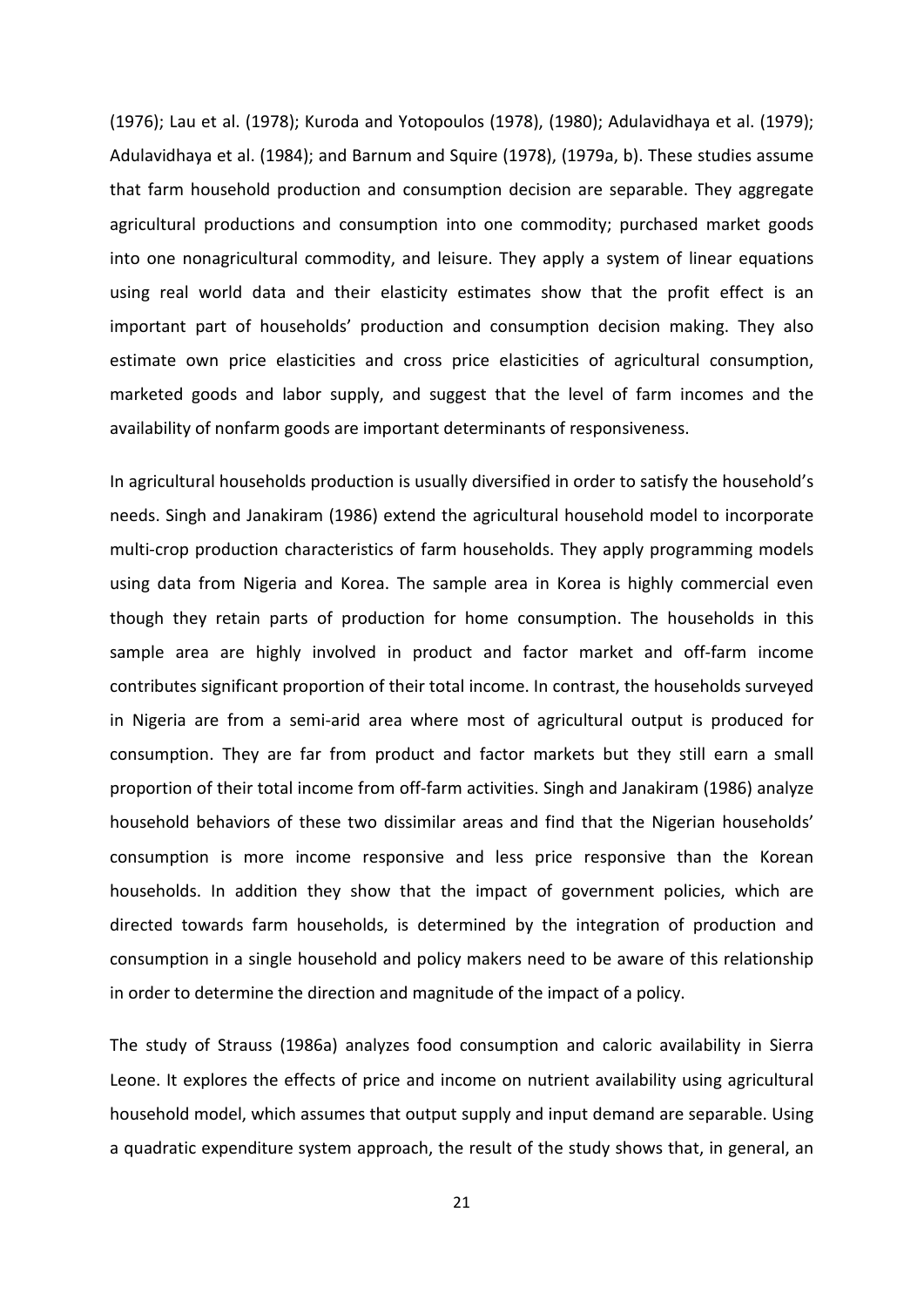(1976); Lau et al. (1978); Kuroda and Yotopoulos (1978), (1980); Adulavidhaya et al. (1979); Adulavidhaya et al. (1984); and Barnum and Squire (1978), (1979a, b). These studies assume that farm household production and consumption decision are separable. They aggregate agricultural productions and consumption into one commodity; purchased market goods into one nonagricultural commodity, and leisure. They apply a system of linear equations using real world data and their elasticity estimates show that the profit effect is an important part of households' production and consumption decision making. They also estimate own price elasticities and cross price elasticities of agricultural consumption, marketed goods and labor supply, and suggest that the level of farm incomes and the availability of nonfarm goods are important determinants of responsiveness.

In agricultural households production is usually diversified in order to satisfy the household's needs. Singh and Janakiram (1986) extend the agricultural household model to incorporate multi-crop production characteristics of farm households. They apply programming models using data from Nigeria and Korea. The sample area in Korea is highly commercial even though they retain parts of production for home consumption. The households in this sample area are highly involved in product and factor market and off-farm income contributes significant proportion of their total income. In contrast, the households surveyed in Nigeria are from a semi-arid area where most of agricultural output is produced for consumption. They are far from product and factor markets but they still earn a small proportion of their total income from off-farm activities. Singh and Janakiram (1986) analyze household behaviors of these two dissimilar areas and find that the Nigerian households' consumption is more income responsive and less price responsive than the Korean households. In addition they show that the impact of government policies, which are directed towards farm households, is determined by the integration of production and consumption in a single household and policy makers need to be aware of this relationship in order to determine the direction and magnitude of the impact of a policy.

The study of Strauss (1986a) analyzes food consumption and caloric availability in Sierra Leone. It explores the effects of price and income on nutrient availability using agricultural household model, which assumes that output supply and input demand are separable. Using a quadratic expenditure system approach, the result of the study shows that, in general, an

21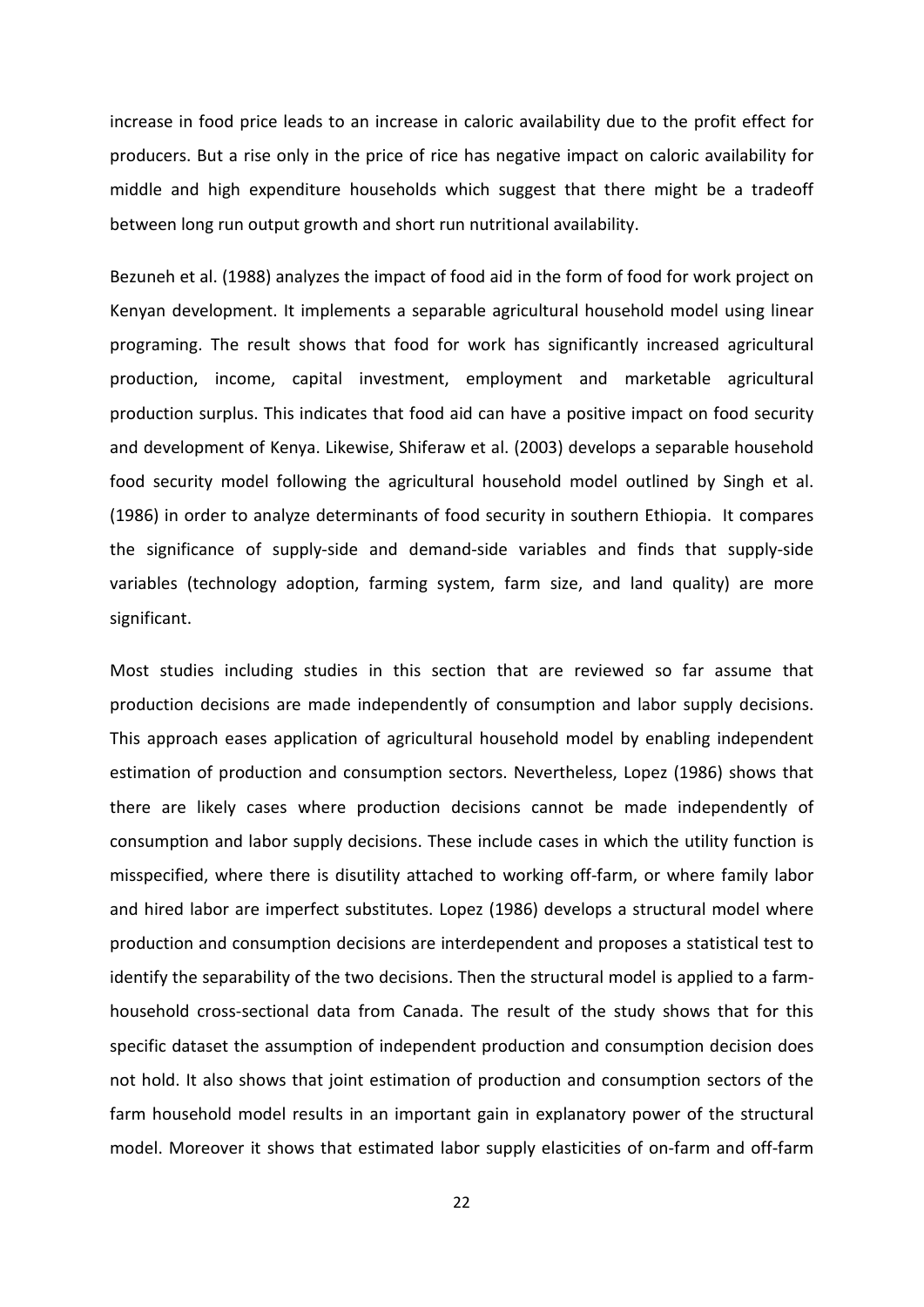increase in food price leads to an increase in caloric availability due to the profit effect for producers. But a rise only in the price of rice has negative impact on caloric availability for middle and high expenditure households which suggest that there might be a tradeoff between long run output growth and short run nutritional availability.

Bezuneh et al. (1988) analyzes the impact of food aid in the form of food for work project on Kenyan development. It implements a separable agricultural household model using linear programing. The result shows that food for work has significantly increased agricultural production, income, capital investment, employment and marketable agricultural production surplus. This indicates that food aid can have a positive impact on food security and development of Kenya. Likewise, Shiferaw et al. (2003) develops a separable household food security model following the agricultural household model outlined by Singh et al. (1986) in order to analyze determinants of food security in southern Ethiopia. It compares the significance of supply-side and demand-side variables and finds that supply-side variables (technology adoption, farming system, farm size, and land quality) are more significant.

Most studies including studies in this section that are reviewed so far assume that production decisions are made independently of consumption and labor supply decisions. This approach eases application of agricultural household model by enabling independent estimation of production and consumption sectors. Nevertheless, Lopez (1986) shows that there are likely cases where production decisions cannot be made independently of consumption and labor supply decisions. These include cases in which the utility function is misspecified, where there is disutility attached to working off-farm, or where family labor and hired labor are imperfect substitutes. Lopez (1986) develops a structural model where production and consumption decisions are interdependent and proposes a statistical test to identify the separability of the two decisions. Then the structural model is applied to a farmhousehold cross-sectional data from Canada. The result of the study shows that for this specific dataset the assumption of independent production and consumption decision does not hold. It also shows that joint estimation of production and consumption sectors of the farm household model results in an important gain in explanatory power of the structural model. Moreover it shows that estimated labor supply elasticities of on-farm and off-farm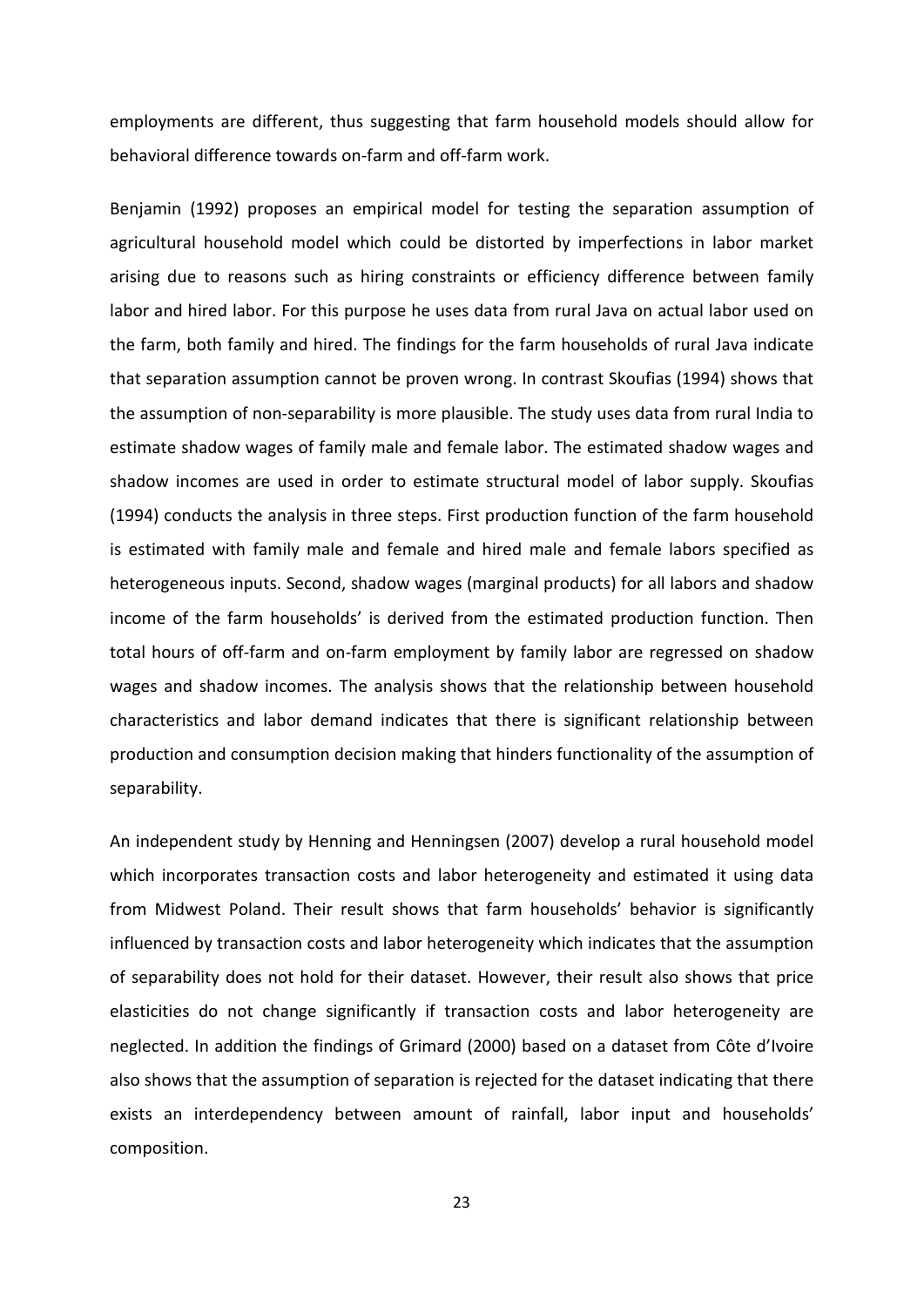employments are different, thus suggesting that farm household models should allow for behavioral difference towards on-farm and off-farm work.

Benjamin (1992) proposes an empirical model for testing the separation assumption of agricultural household model which could be distorted by imperfections in labor market arising due to reasons such as hiring constraints or efficiency difference between family labor and hired labor. For this purpose he uses data from rural Java on actual labor used on the farm, both family and hired. The findings for the farm households of rural Java indicate that separation assumption cannot be proven wrong. In contrast Skoufias (1994) shows that the assumption of non-separability is more plausible. The study uses data from rural India to estimate shadow wages of family male and female labor. The estimated shadow wages and shadow incomes are used in order to estimate structural model of labor supply. Skoufias (1994) conducts the analysis in three steps. First production function of the farm household is estimated with family male and female and hired male and female labors specified as heterogeneous inputs. Second, shadow wages (marginal products) for all labors and shadow income of the farm households' is derived from the estimated production function. Then total hours of off-farm and on-farm employment by family labor are regressed on shadow wages and shadow incomes. The analysis shows that the relationship between household characteristics and labor demand indicates that there is significant relationship between production and consumption decision making that hinders functionality of the assumption of separability.

An independent study by Henning and Henningsen (2007) develop a rural household model which incorporates transaction costs and labor heterogeneity and estimated it using data from Midwest Poland. Their result shows that farm households' behavior is significantly influenced by transaction costs and labor heterogeneity which indicates that the assumption of separability does not hold for their dataset. However, their result also shows that price elasticities do not change significantly if transaction costs and labor heterogeneity are neglected. In addition the findings of Grimard (2000) based on a dataset from Côte d'Ivoire also shows that the assumption of separation is rejected for the dataset indicating that there exists an interdependency between amount of rainfall, labor input and households' composition.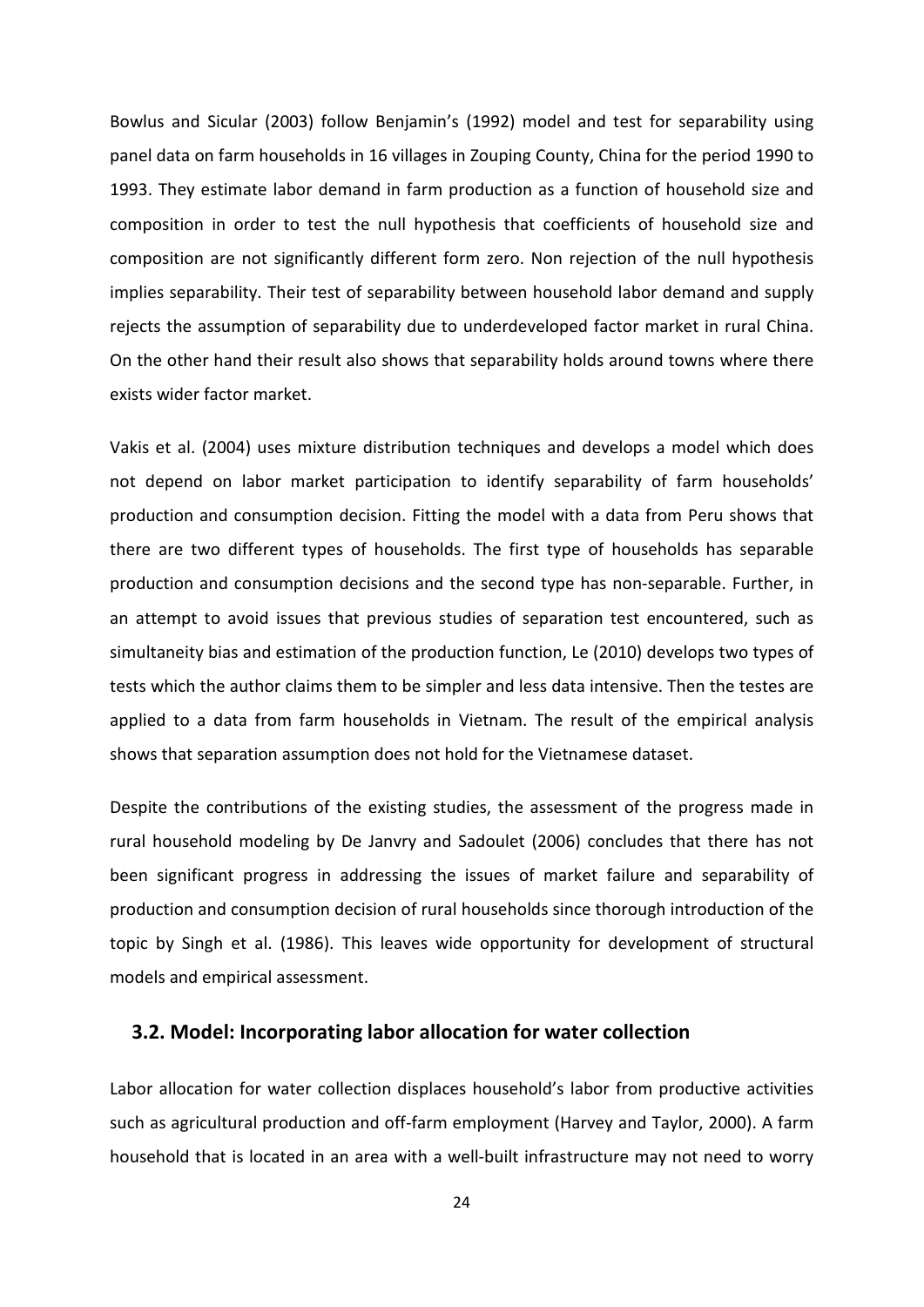Bowlus and Sicular (2003) follow Benjamin's (1992) model and test for separability using panel data on farm households in 16 villages in Zouping County, China for the period 1990 to 1993. They estimate labor demand in farm production as a function of household size and composition in order to test the null hypothesis that coefficients of household size and composition are not significantly different form zero. Non rejection of the null hypothesis implies separability. Their test of separability between household labor demand and supply rejects the assumption of separability due to underdeveloped factor market in rural China. On the other hand their result also shows that separability holds around towns where there exists wider factor market.

Vakis et al. (2004) uses mixture distribution techniques and develops a model which does not depend on labor market participation to identify separability of farm households' production and consumption decision. Fitting the model with a data from Peru shows that there are two different types of households. The first type of households has separable production and consumption decisions and the second type has non-separable. Further, in an attempt to avoid issues that previous studies of separation test encountered, such as simultaneity bias and estimation of the production function, Le (2010) develops two types of tests which the author claims them to be simpler and less data intensive. Then the testes are applied to a data from farm households in Vietnam. The result of the empirical analysis shows that separation assumption does not hold for the Vietnamese dataset.

Despite the contributions of the existing studies, the assessment of the progress made in rural household modeling by De Janvry and Sadoulet (2006) concludes that there has not been significant progress in addressing the issues of market failure and separability of production and consumption decision of rural households since thorough introduction of the topic by Singh et al. (1986). This leaves wide opportunity for development of structural models and empirical assessment.

#### <span id="page-29-0"></span>**3.2. Model: Incorporating labor allocation for water collection**

Labor allocation for water collection displaces household's labor from productive activities such as agricultural production and off-farm employment (Harvey and Taylor, 2000). A farm household that is located in an area with a well-built infrastructure may not need to worry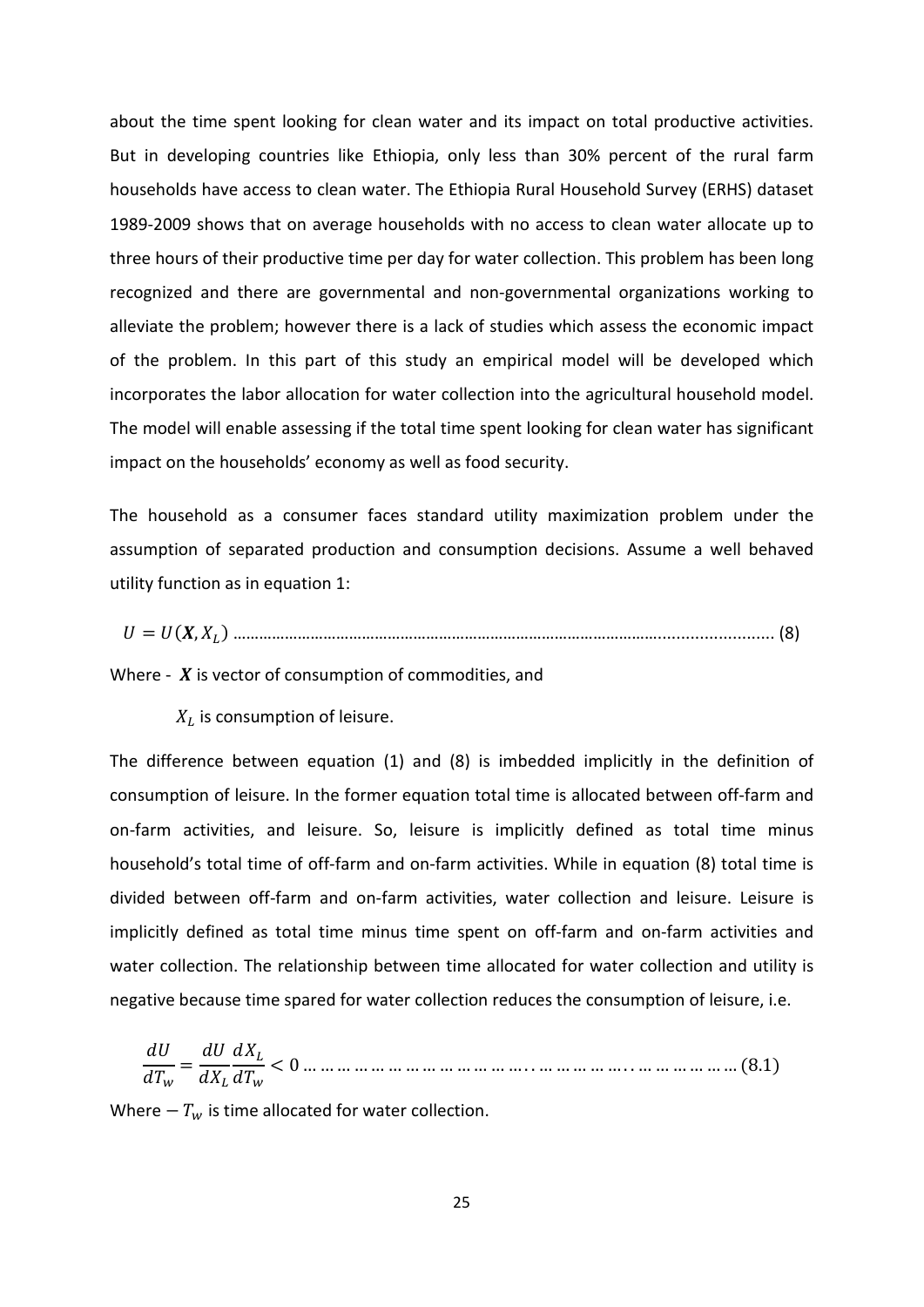about the time spent looking for clean water and its impact on total productive activities. But in developing countries like Ethiopia, only less than 30% percent of the rural farm households have access to clean water. The Ethiopia Rural Household Survey (ERHS) dataset 1989-2009 shows that on average households with no access to clean water allocate up to three hours of their productive time per day for water collection. This problem has been long recognized and there are governmental and non-governmental organizations working to alleviate the problem; however there is a lack of studies which assess the economic impact of the problem. In this part of this study an empirical model will be developed which incorporates the labor allocation for water collection into the agricultural household model. The model will enable assessing if the total time spent looking for clean water has significant impact on the households' economy as well as food security.

The household as a consumer faces standard utility maximization problem under the assumption of separated production and consumption decisions. Assume a well behaved utility function as in equation 1:

= (, ) ………………………………………………………………………………………......................... (8)

Where -  $\boldsymbol{X}$  is vector of consumption of commodities, and

 $X_L$  is consumption of leisure.

The difference between equation (1) and (8) is imbedded implicitly in the definition of consumption of leisure. In the former equation total time is allocated between off-farm and on-farm activities, and leisure. So, leisure is implicitly defined as total time minus household's total time of off-farm and on-farm activities. While in equation (8) total time is divided between off-farm and on-farm activities, water collection and leisure. Leisure is implicitly defined as total time minus time spent on off-farm and on-farm activities and water collection. The relationship between time allocated for water collection and utility is negative because time spared for water collection reduces the consumption of leisure, i.e.

 <sup>=</sup> < 0 … … … … … … … … … … … … … . . … … … … … . . … … … … … … (8.1)

Where  $-T_w$  is time allocated for water collection.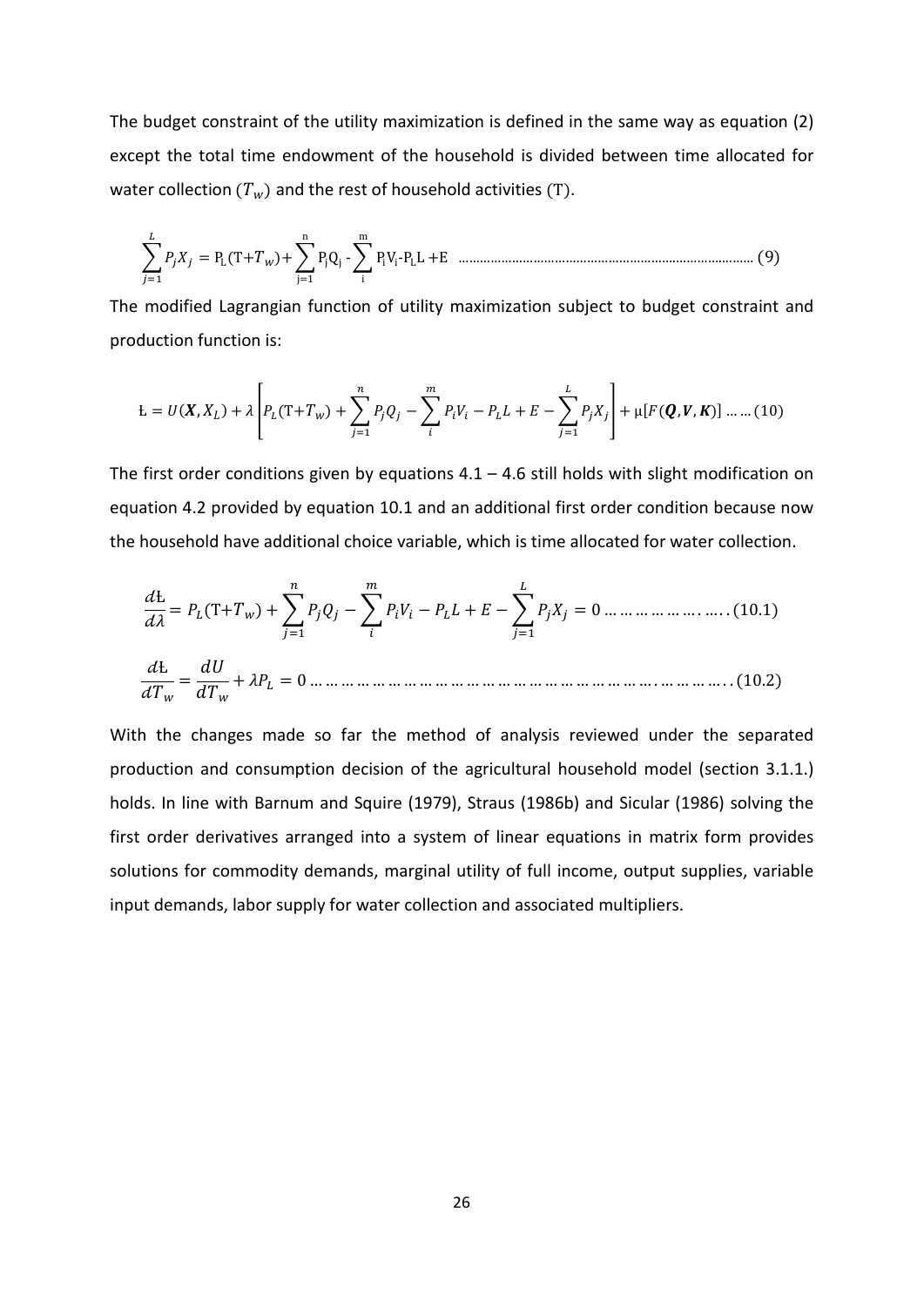The budget constraint of the utility maximization is defined in the same way as equation (2) except the total time endowment of the household is divided between time allocated for water collection  $(T_w)$  and the rest of household activities (T).

� =1 = PL(T+)+�PjQj n j=1 -�PiVi-PLL m i +E …………………………………………………….………….……… (9)

The modified Lagrangian function of utility maximization subject to budget constraint and production function is:

$$
L = U(X, X_L) + \lambda \left[ P_L(T + T_w) + \sum_{j=1}^n P_j Q_j - \sum_i^m P_i V_i - P_L L + E - \sum_{j=1}^L P_j X_j \right] + \mu [F(Q, V, K)] \dots (10)
$$

The first order conditions given by equations  $4.1 - 4.6$  still holds with slight modification on equation 4.2 provided by equation 10.1 and an additional first order condition because now the household have additional choice variable, which is time allocated for water collection.

Ƚ <sup>=</sup> (T+) <sup>+</sup>� =1 −� − + −� =1 = 0 … … … … … … . … . . (10.1) Ƚ <sup>=</sup> + = 0 … … … … … … … … … … … … … … … … … … … … … … . … … … … . . (10.2)

With the changes made so far the method of analysis reviewed under the separated production and consumption decision of the agricultural household model (section 3.1.1.) holds. In line with Barnum and Squire (1979), Straus (1986b) and Sicular (1986) solving the first order derivatives arranged into a system of linear equations in matrix form provides solutions for commodity demands, marginal utility of full income, output supplies, variable input demands, labor supply for water collection and associated multipliers.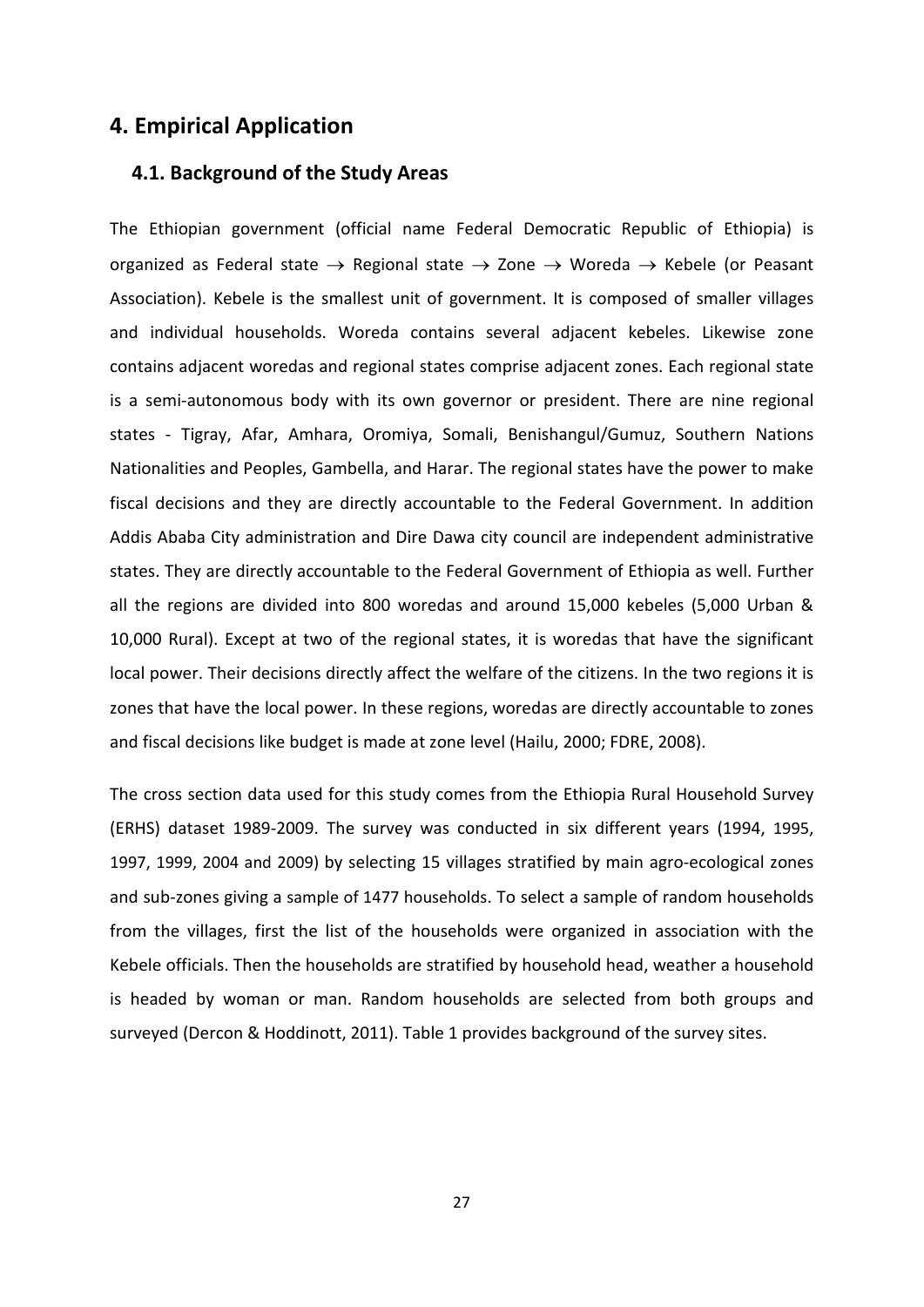### <span id="page-32-1"></span><span id="page-32-0"></span>**4. Empirical Application**

#### **4.1. Background of the Study Areas**

The Ethiopian government (official name Federal Democratic Republic of Ethiopia) is organized as Federal state  $\rightarrow$  Regional state  $\rightarrow$  Zone  $\rightarrow$  Woreda  $\rightarrow$  Kebele (or Peasant Association). Kebele is the smallest unit of government. It is composed of smaller villages and individual households. Woreda contains several adjacent kebeles. Likewise zone contains adjacent woredas and regional states comprise adjacent zones. Each regional state is a semi-autonomous body with its own governor or president. There are nine regional states - Tigray, Afar, Amhara, Oromiya, Somali, Benishangul/Gumuz, Southern Nations Nationalities and Peoples, Gambella, and Harar. The regional states have the power to make fiscal decisions and they are directly accountable to the Federal Government. In addition Addis Ababa City administration and Dire Dawa city council are independent administrative states. They are directly accountable to the Federal Government of Ethiopia as well. Further all the regions are divided into 800 woredas and around 15,000 kebeles (5,000 Urban & 10,000 Rural). Except at two of the regional states, it is woredas that have the significant local power. Their decisions directly affect the welfare of the citizens. In the two regions it is zones that have the local power. In these regions, woredas are directly accountable to zones and fiscal decisions like budget is made at zone level (Hailu, 2000; FDRE, 2008).

The cross section data used for this study comes from the Ethiopia Rural Household Survey (ERHS) dataset 1989-2009. The survey was conducted in six different years (1994, 1995, 1997, 1999, 2004 and 2009) by selecting 15 villages stratified by main agro-ecological zones and sub-zones giving a sample of 1477 households. To select a sample of random households from the villages, first the list of the households were organized in association with the Kebele officials. Then the households are stratified by household head, weather a household is headed by woman or man. Random households are selected from both groups and surveyed (Dercon & Hoddinott, 2011). Table 1 provides background of the survey sites.

27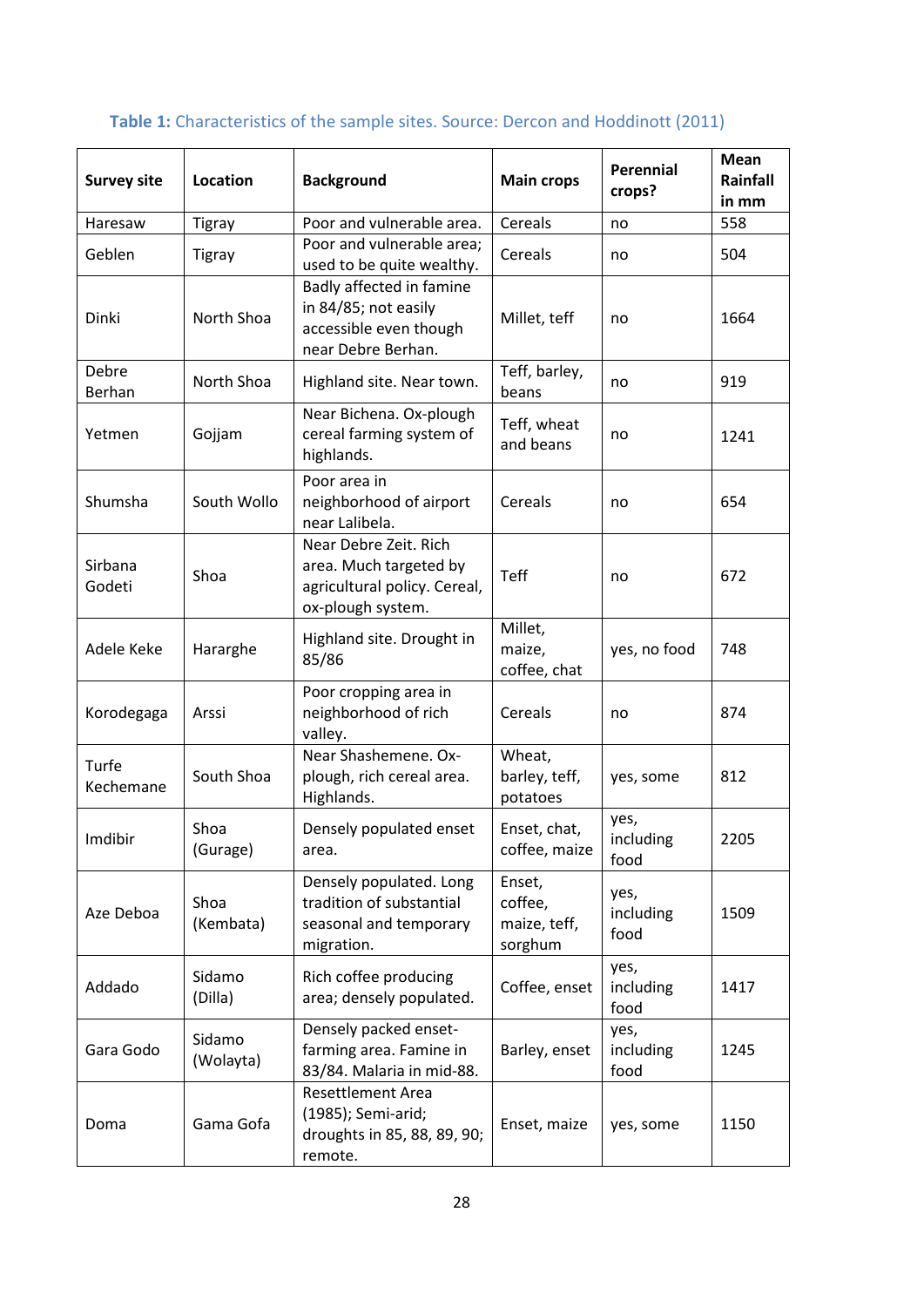| <b>Survey site</b> | Location            | <b>Background</b>                                                                                    | <b>Main crops</b>                            | Perennial<br>crops?       | <b>Mean</b><br>Rainfall<br>in mm |
|--------------------|---------------------|------------------------------------------------------------------------------------------------------|----------------------------------------------|---------------------------|----------------------------------|
| Haresaw            | <b>Tigray</b>       | Poor and vulnerable area.                                                                            | Cereals                                      | no                        | 558                              |
| Geblen             | <b>Tigray</b>       | Poor and vulnerable area;<br>used to be quite wealthy.                                               | Cereals                                      | no                        | 504                              |
| Dinki              | North Shoa          | Badly affected in famine<br>in 84/85; not easily<br>accessible even though<br>near Debre Berhan.     | Millet, teff                                 | no                        | 1664                             |
| Debre<br>Berhan    | North Shoa          | Highland site. Near town.                                                                            | Teff, barley,<br>beans                       | no                        | 919                              |
| Yetmen             | Gojjam              | Near Bichena. Ox-plough<br>cereal farming system of<br>highlands.                                    | Teff, wheat<br>and beans                     | no                        | 1241                             |
| Shumsha            | South Wollo         | Poor area in<br>neighborhood of airport<br>near Lalibela.                                            | Cereals                                      | no                        | 654                              |
| Sirbana<br>Godeti  | Shoa                | Near Debre Zeit. Rich<br>area. Much targeted by<br>agricultural policy. Cereal,<br>ox-plough system. | Teff                                         | no                        | 672                              |
| Adele Keke         | Hararghe            | Highland site. Drought in<br>85/86                                                                   | Millet,<br>maize,<br>coffee, chat            | yes, no food              | 748                              |
| Korodegaga         | Arssi               | Poor cropping area in<br>neighborhood of rich<br>valley.                                             | Cereals                                      | no                        | 874                              |
| Turfe<br>Kechemane | South Shoa          | Near Shashemene. Ox-<br>plough, rich cereal area.<br>Highlands.                                      | Wheat,<br>barley, teff,<br>potatoes          | yes, some                 | 812                              |
| Imdibir            | Shoa<br>(Gurage)    | Densely populated enset<br>area.                                                                     | Enset, chat,<br>coffee, maize                | yes,<br>including<br>food | 2205                             |
| Aze Deboa          | Shoa<br>(Kembata)   | Densely populated. Long<br>tradition of substantial<br>seasonal and temporary<br>migration.          | Enset,<br>coffee,<br>maize, teff,<br>sorghum | yes,<br>including<br>food | 1509                             |
| Addado             | Sidamo<br>(Dilla)   | Rich coffee producing<br>area; densely populated.                                                    | Coffee, enset                                | yes,<br>including<br>food | 1417                             |
| Gara Godo          | Sidamo<br>(Wolayta) | Densely packed enset-<br>farming area. Famine in<br>83/84. Malaria in mid-88.                        | Barley, enset                                | yes,<br>including<br>food | 1245                             |
| Doma               | Gama Gofa           | <b>Resettlement Area</b><br>(1985); Semi-arid;<br>droughts in 85, 88, 89, 90;<br>remote.             | Enset, maize                                 | yes, some                 | 1150                             |

## <span id="page-33-0"></span>Table 1: Characteristics of the sample sites. Source: Dercon and Hoddinott (2011)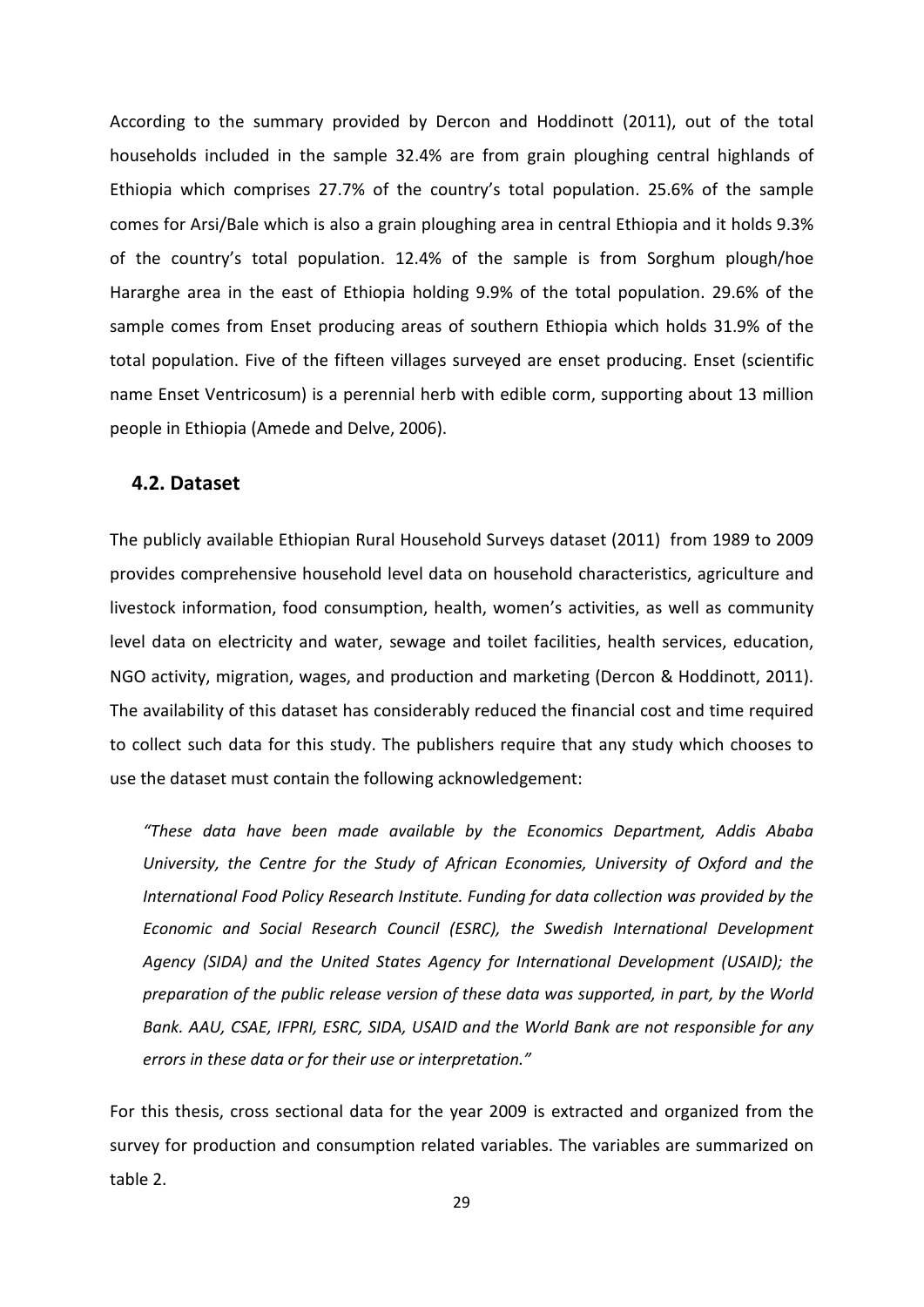According to the summary provided by Dercon and Hoddinott (2011), out of the total households included in the sample 32.4% are from grain ploughing central highlands of Ethiopia which comprises 27.7% of the country's total population. 25.6% of the sample comes for Arsi/Bale which is also a grain ploughing area in central Ethiopia and it holds 9.3% of the country's total population. 12.4% of the sample is from Sorghum plough/hoe Hararghe area in the east of Ethiopia holding 9.9% of the total population. 29.6% of the sample comes from Enset producing areas of southern Ethiopia which holds 31.9% of the total population. Five of the fifteen villages surveyed are enset producing. Enset (scientific name Enset Ventricosum) is a perennial herb with edible corm, supporting about 13 million people in Ethiopia (Amede and Delve, 2006).

#### <span id="page-34-0"></span>**4.2. Dataset**

The publicly available Ethiopian Rural Household Surveys dataset (2011) from 1989 to 2009 provides comprehensive household level data on household characteristics, agriculture and livestock information, food consumption, health, women's activities, as well as community level data on electricity and water, sewage and toilet facilities, health services, education, NGO activity, migration, wages, and production and marketing (Dercon & Hoddinott, 2011). The availability of this dataset has considerably reduced the financial cost and time required to collect such data for this study. The publishers require that any study which chooses to use the dataset must contain the following acknowledgement:

*"These data have been made available by the Economics Department, Addis Ababa University, the Centre for the Study of African Economies, University of Oxford and the International Food Policy Research Institute. Funding for data collection was provided by the Economic and Social Research Council (ESRC), the Swedish International Development Agency (SIDA) and the United States Agency for International Development (USAID); the preparation of the public release version of these data was supported, in part, by the World Bank. AAU, CSAE, IFPRI, ESRC, SIDA, USAID and the World Bank are not responsible for any errors in these data or for their use or interpretation."*

For this thesis, cross sectional data for the year 2009 is extracted and organized from the survey for production and consumption related variables. The variables are summarized on table 2.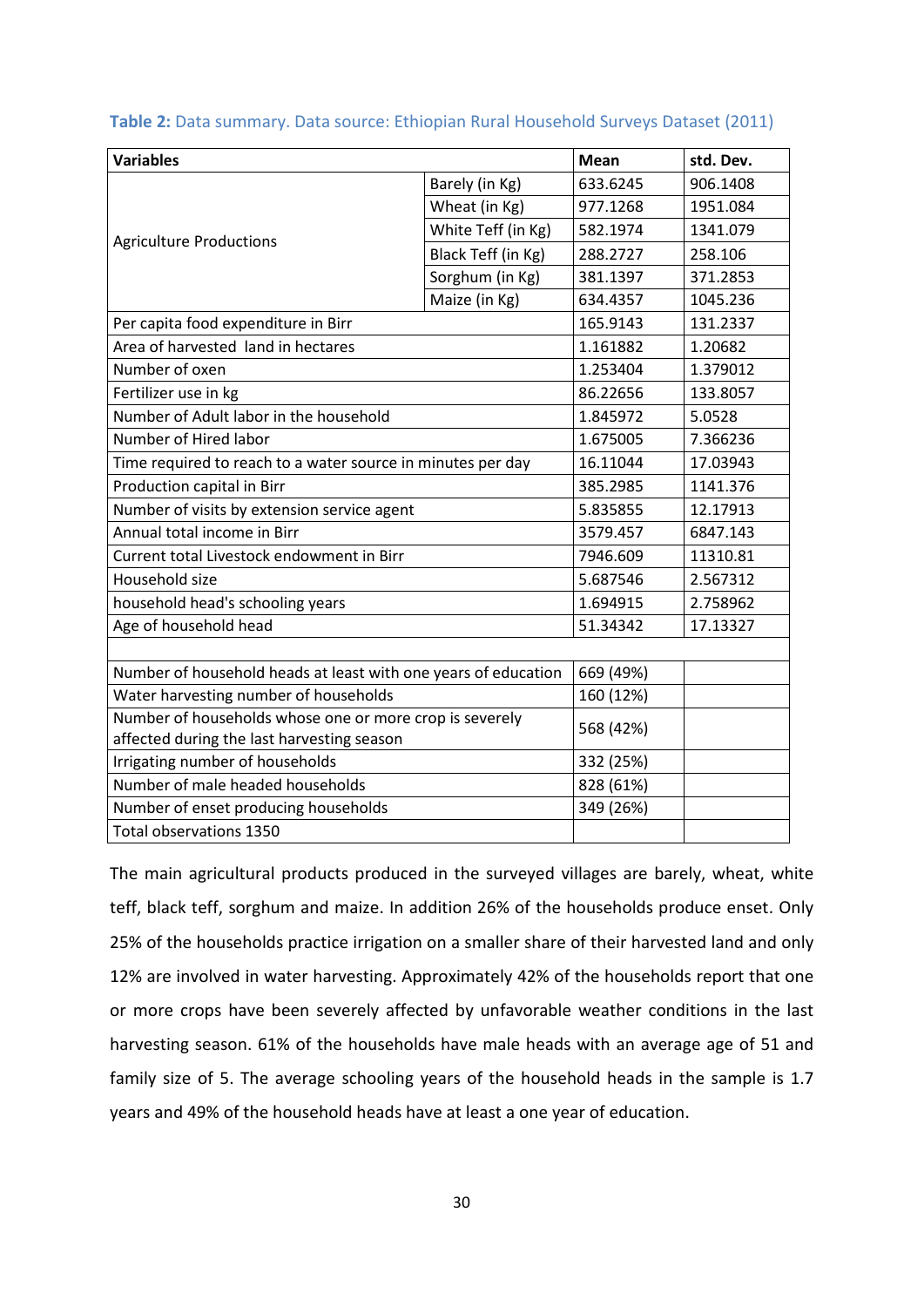| <b>Variables</b>                                               |                    | <b>Mean</b> | std. Dev. |
|----------------------------------------------------------------|--------------------|-------------|-----------|
|                                                                | Barely (in Kg)     | 633.6245    | 906.1408  |
|                                                                | Wheat (in Kg)      | 977.1268    | 1951.084  |
|                                                                | White Teff (in Kg) | 582.1974    | 1341.079  |
| <b>Agriculture Productions</b>                                 | Black Teff (in Kg) | 288.2727    | 258.106   |
|                                                                | Sorghum (in Kg)    | 381.1397    | 371.2853  |
|                                                                | Maize (in Kg)      | 634.4357    | 1045.236  |
| Per capita food expenditure in Birr                            |                    | 165.9143    | 131.2337  |
| Area of harvested land in hectares                             |                    | 1.161882    | 1.20682   |
| Number of oxen                                                 |                    | 1.253404    | 1.379012  |
| Fertilizer use in kg                                           |                    | 86.22656    | 133.8057  |
| Number of Adult labor in the household                         |                    | 1.845972    | 5.0528    |
| Number of Hired labor                                          |                    | 1.675005    | 7.366236  |
| Time required to reach to a water source in minutes per day    |                    | 16.11044    | 17.03943  |
| Production capital in Birr                                     | 385.2985           | 1141.376    |           |
| Number of visits by extension service agent                    |                    | 5.835855    | 12.17913  |
| Annual total income in Birr                                    |                    | 3579.457    | 6847.143  |
| Current total Livestock endowment in Birr                      |                    | 7946.609    | 11310.81  |
| Household size                                                 |                    | 5.687546    | 2.567312  |
| household head's schooling years                               |                    | 1.694915    | 2.758962  |
| Age of household head                                          |                    | 51.34342    | 17.13327  |
|                                                                |                    |             |           |
| Number of household heads at least with one years of education | 669 (49%)          |             |           |
| Water harvesting number of households                          | 160 (12%)          |             |           |
| Number of households whose one or more crop is severely        |                    | 568 (42%)   |           |
| affected during the last harvesting season                     |                    |             |           |
| Irrigating number of households                                |                    | 332 (25%)   |           |
| Number of male headed households                               |                    | 828 (61%)   |           |
| Number of enset producing households                           |                    | 349 (26%)   |           |
| Total observations 1350                                        |                    |             |           |

<span id="page-35-0"></span>**Table 2:** Data summary. Data source: Ethiopian Rural Household Surveys Dataset (2011)

The main agricultural products produced in the surveyed villages are barely, wheat, white teff, black teff, sorghum and maize. In addition 26% of the households produce enset. Only 25% of the households practice irrigation on a smaller share of their harvested land and only 12% are involved in water harvesting. Approximately 42% of the households report that one or more crops have been severely affected by unfavorable weather conditions in the last harvesting season. 61% of the households have male heads with an average age of 51 and family size of 5. The average schooling years of the household heads in the sample is 1.7 years and 49% of the household heads have at least a one year of education.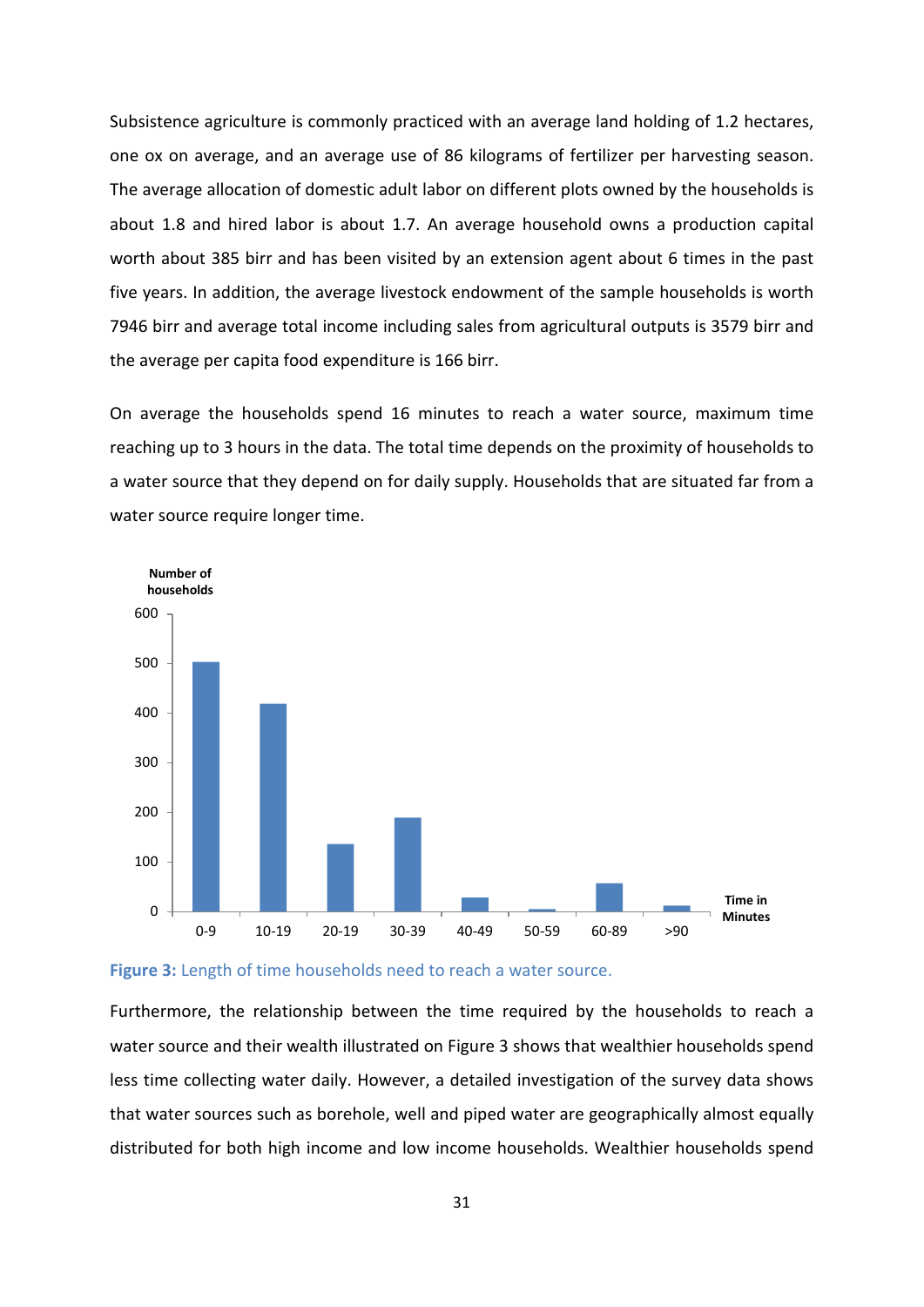Subsistence agriculture is commonly practiced with an average land holding of 1.2 hectares, one ox on average, and an average use of 86 kilograms of fertilizer per harvesting season. The average allocation of domestic adult labor on different plots owned by the households is about 1.8 and hired labor is about 1.7. An average household owns a production capital worth about 385 birr and has been visited by an extension agent about 6 times in the past five years. In addition, the average livestock endowment of the sample households is worth 7946 birr and average total income including sales from agricultural outputs is 3579 birr and the average per capita food expenditure is 166 birr.

On average the households spend 16 minutes to reach a water source, maximum time reaching up to 3 hours in the data. The total time depends on the proximity of households to a water source that they depend on for daily supply. Households that are situated far from a water source require longer time.



<span id="page-36-0"></span>**Figure 3:** Length of time households need to reach a water source.

Furthermore, the relationship between the time required by the households to reach a water source and their wealth illustrated on Figure 3 shows that wealthier households spend less time collecting water daily. However, a detailed investigation of the survey data shows that water sources such as borehole, well and piped water are geographically almost equally distributed for both high income and low income households. Wealthier households spend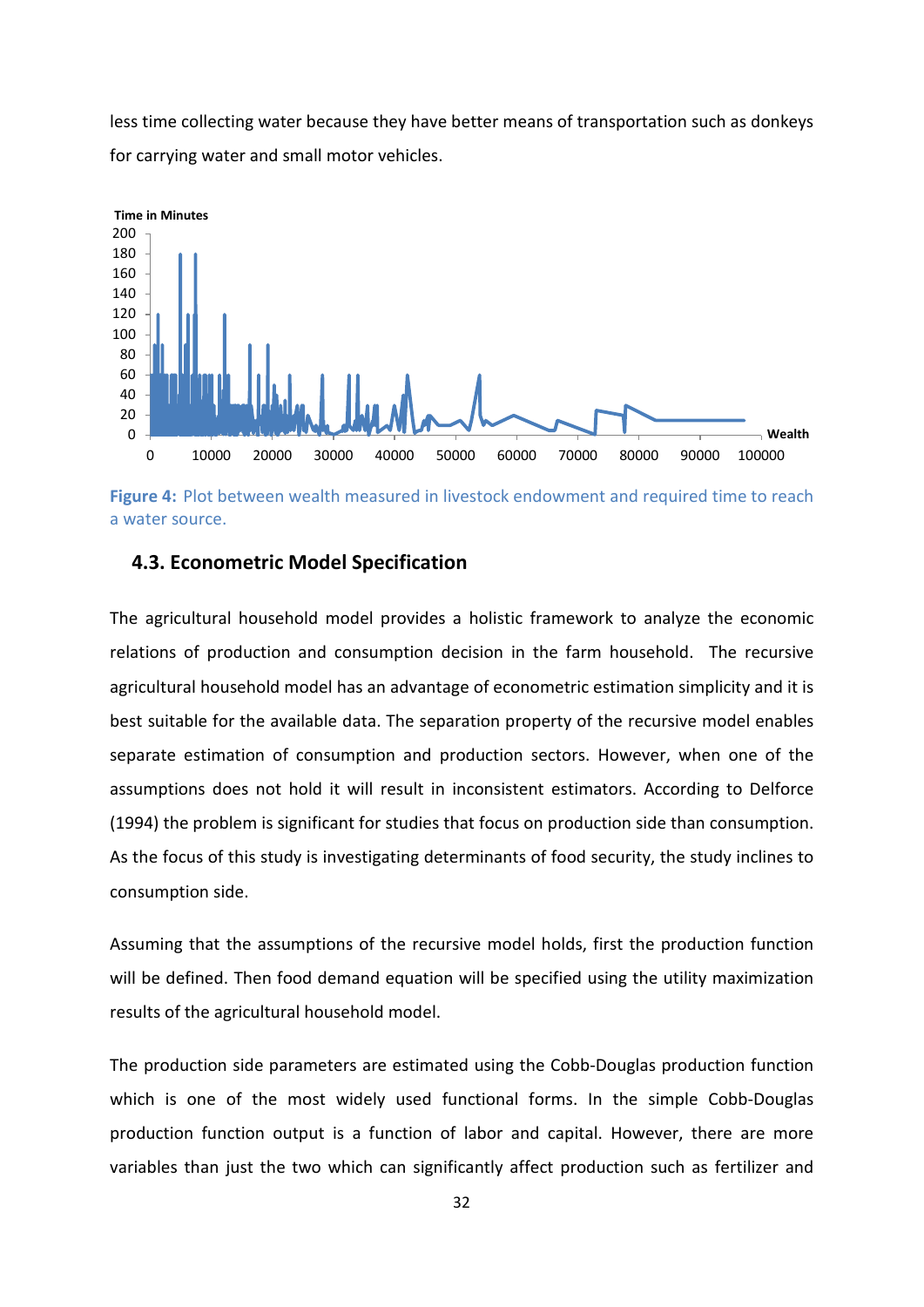less time collecting water because they have better means of transportation such as donkeys for carrying water and small motor vehicles.



<span id="page-37-1"></span>**Figure 4:** Plot between wealth measured in livestock endowment and required time to reach a water source.

#### <span id="page-37-0"></span>**4.3. Econometric Model Specification**

The agricultural household model provides a holistic framework to analyze the economic relations of production and consumption decision in the farm household. The recursive agricultural household model has an advantage of econometric estimation simplicity and it is best suitable for the available data. The separation property of the recursive model enables separate estimation of consumption and production sectors. However, when one of the assumptions does not hold it will result in inconsistent estimators. According to Delforce (1994) the problem is significant for studies that focus on production side than consumption. As the focus of this study is investigating determinants of food security, the study inclines to consumption side.

Assuming that the assumptions of the recursive model holds, first the production function will be defined. Then food demand equation will be specified using the utility maximization results of the agricultural household model.

The production side parameters are estimated using the Cobb-Douglas production function which is one of the most widely used functional forms. In the simple Cobb-Douglas production function output is a function of labor and capital. However, there are more variables than just the two which can significantly affect production such as fertilizer and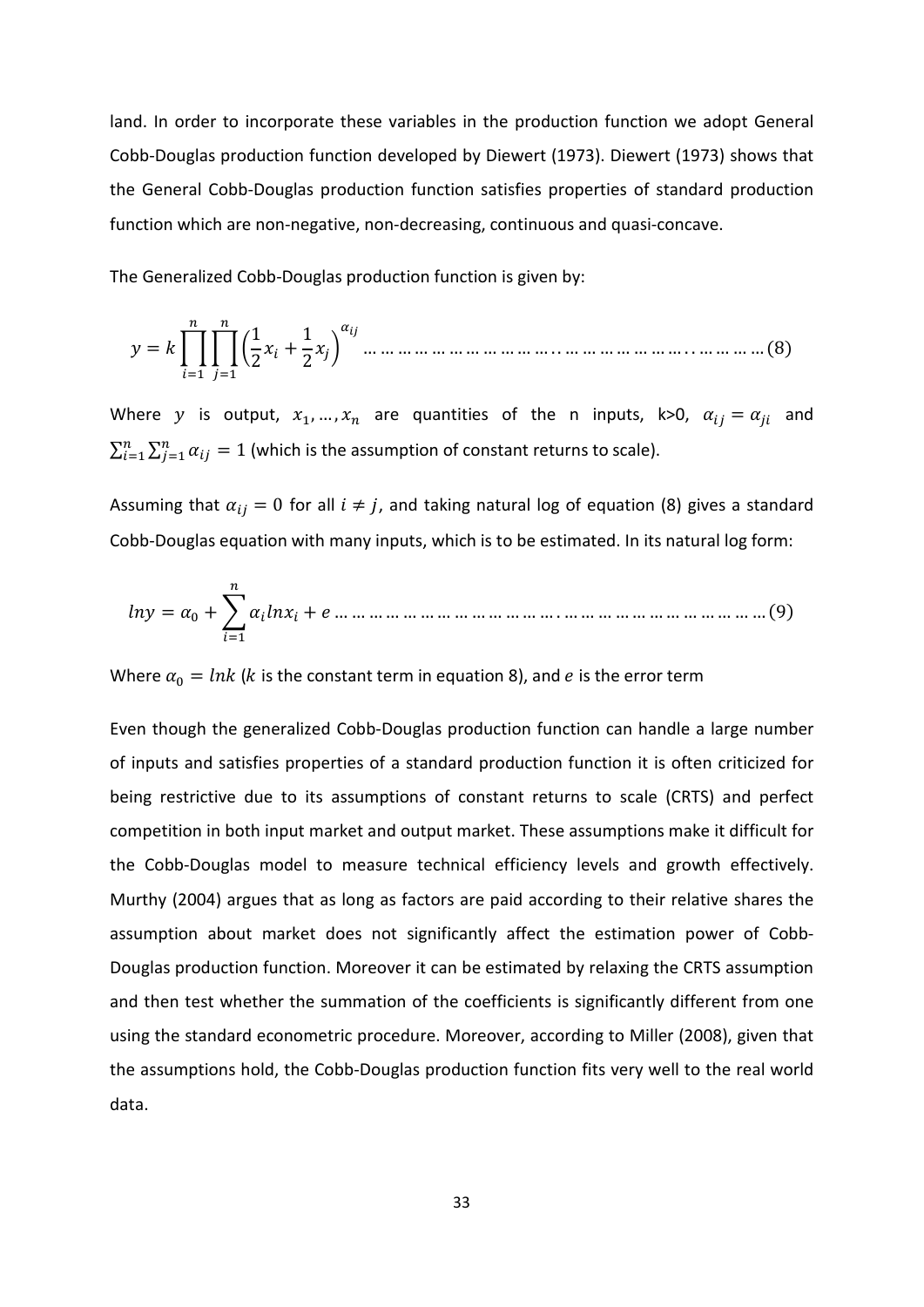land. In order to incorporate these variables in the production function we adopt General Cobb-Douglas production function developed by Diewert (1973). Diewert (1973) shows that the General Cobb-Douglas production function satisfies properties of standard production function which are non-negative, non-decreasing, continuous and quasi-concave.

The Generalized Cobb-Douglas production function is given by:

 = ��� 1 <sup>2</sup> <sup>+</sup> 1 <sup>2</sup> � … … … … … … … … … … … . . … … … … … … … . . … … … … (8) =1 =1

Where y is output,  $x_1, ..., x_n$  are quantities of the n inputs, k>0,  $\alpha_{ij} = \alpha_{ji}$  and  $\sum_{i=1}^n\sum_{j=1}^n\alpha_{ij}=1$  (which is the assumption of constant returns to scale).

Assuming that  $\alpha_{ij} = 0$  for all  $i \neq j$ , and taking natural log of equation (8) gives a standard Cobb-Douglas equation with many inputs, which is to be estimated. In its natural log form:

 = 0 + � =1 + … … … … … … … … … … … … … . … … … … … … … … … … … … (9)

Where  $\alpha_0 = lnk$  (*k* is the constant term in equation 8), and *e* is the error term

Even though the generalized Cobb-Douglas production function can handle a large number of inputs and satisfies properties of a standard production function it is often criticized for being restrictive due to its assumptions of constant returns to scale (CRTS) and perfect competition in both input market and output market. These assumptions make it difficult for the Cobb-Douglas model to measure technical efficiency levels and growth effectively. Murthy (2004) argues that as long as factors are paid according to their relative shares the assumption about market does not significantly affect the estimation power of Cobb-Douglas production function. Moreover it can be estimated by relaxing the CRTS assumption and then test whether the summation of the coefficients is significantly different from one using the standard econometric procedure. Moreover, according to Miller (2008), given that the assumptions hold, the Cobb-Douglas production function fits very well to the real world data.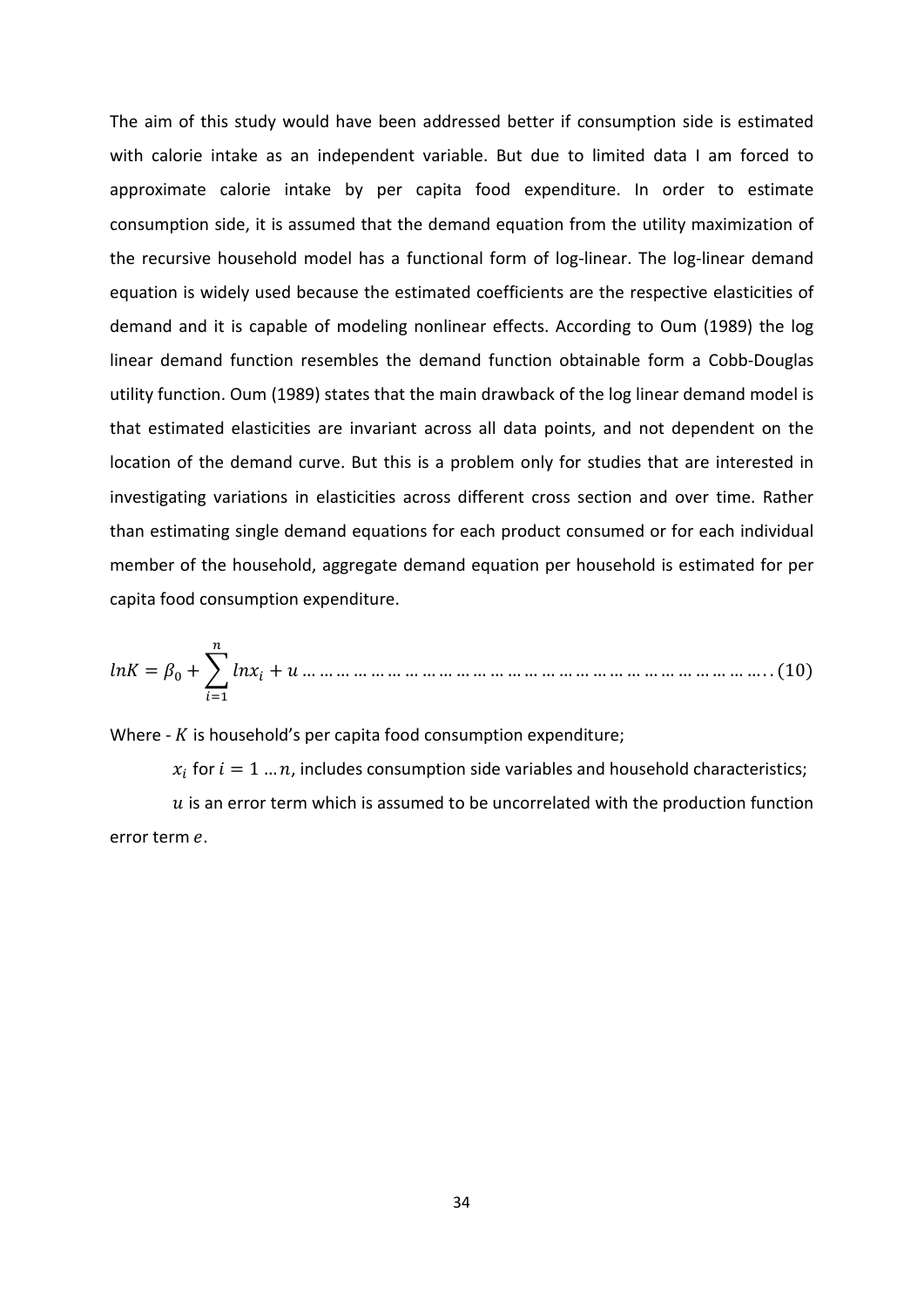The aim of this study would have been addressed better if consumption side is estimated with calorie intake as an independent variable. But due to limited data I am forced to approximate calorie intake by per capita food expenditure. In order to estimate consumption side, it is assumed that the demand equation from the utility maximization of the recursive household model has a functional form of log-linear. The log-linear demand equation is widely used because the estimated coefficients are the respective elasticities of demand and it is capable of modeling nonlinear effects. According to Oum (1989) the log linear demand function resembles the demand function obtainable form a Cobb-Douglas utility function. Oum (1989) states that the main drawback of the log linear demand model is that estimated elasticities are invariant across all data points, and not dependent on the location of the demand curve. But this is a problem only for studies that are interested in investigating variations in elasticities across different cross section and over time. Rather than estimating single demand equations for each product consumed or for each individual member of the household, aggregate demand equation per household is estimated for per capita food consumption expenditure.

 = 0 +� + … … … … … … … … … … … … … … … … … … … … … … … … … … … . . (10) =1

Where  $-K$  is household's per capita food consumption expenditure;

 $x_i$  for  $i = 1...n$ , includes consumption side variables and household characteristics;  $u$  is an error term which is assumed to be uncorrelated with the production function error term e.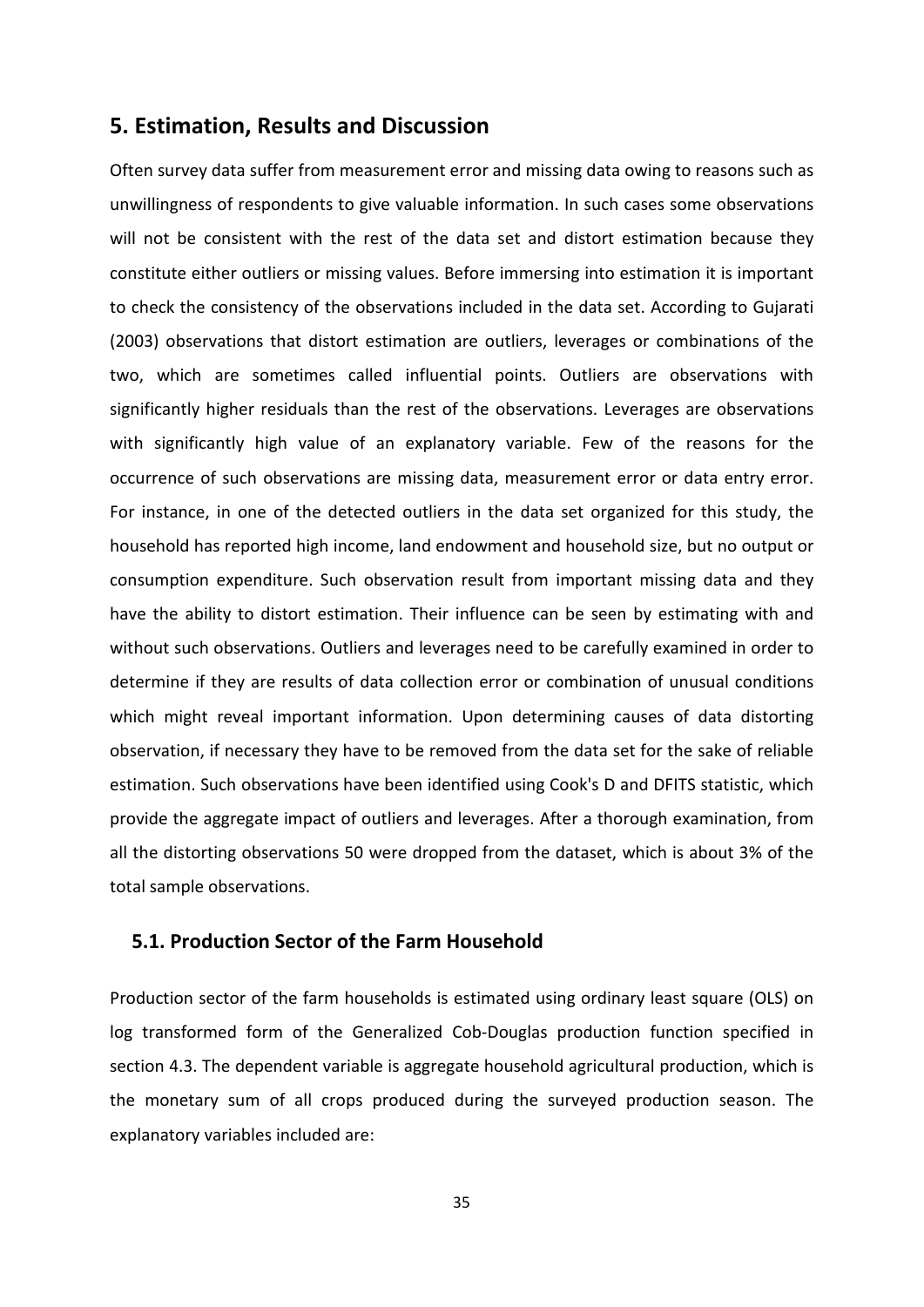### <span id="page-40-0"></span>**5. Estimation, Results and Discussion**

Often survey data suffer from measurement error and missing data owing to reasons such as unwillingness of respondents to give valuable information. In such cases some observations will not be consistent with the rest of the data set and distort estimation because they constitute either outliers or missing values. Before immersing into estimation it is important to check the consistency of the observations included in the data set. According to Gujarati (2003) observations that distort estimation are outliers, leverages or combinations of the two, which are sometimes called influential points. Outliers are observations with significantly higher residuals than the rest of the observations. Leverages are observations with significantly high value of an explanatory variable. Few of the reasons for the occurrence of such observations are missing data, measurement error or data entry error. For instance, in one of the detected outliers in the data set organized for this study, the household has reported high income, land endowment and household size, but no output or consumption expenditure. Such observation result from important missing data and they have the ability to distort estimation. Their influence can be seen by estimating with and without such observations. Outliers and leverages need to be carefully examined in order to determine if they are results of data collection error or combination of unusual conditions which might reveal important information. Upon determining causes of data distorting observation, if necessary they have to be removed from the data set for the sake of reliable estimation. Such observations have been identified using Cook's D and DFITS statistic, which provide the aggregate impact of outliers and leverages. After a thorough examination, from all the distorting observations 50 were dropped from the dataset, which is about 3% of the total sample observations.

#### <span id="page-40-1"></span>**5.1. Production Sector of the Farm Household**

Production sector of the farm households is estimated using ordinary least square (OLS) on log transformed form of the Generalized Cob-Douglas production function specified in section 4.3. The dependent variable is aggregate household agricultural production, which is the monetary sum of all crops produced during the surveyed production season. The explanatory variables included are: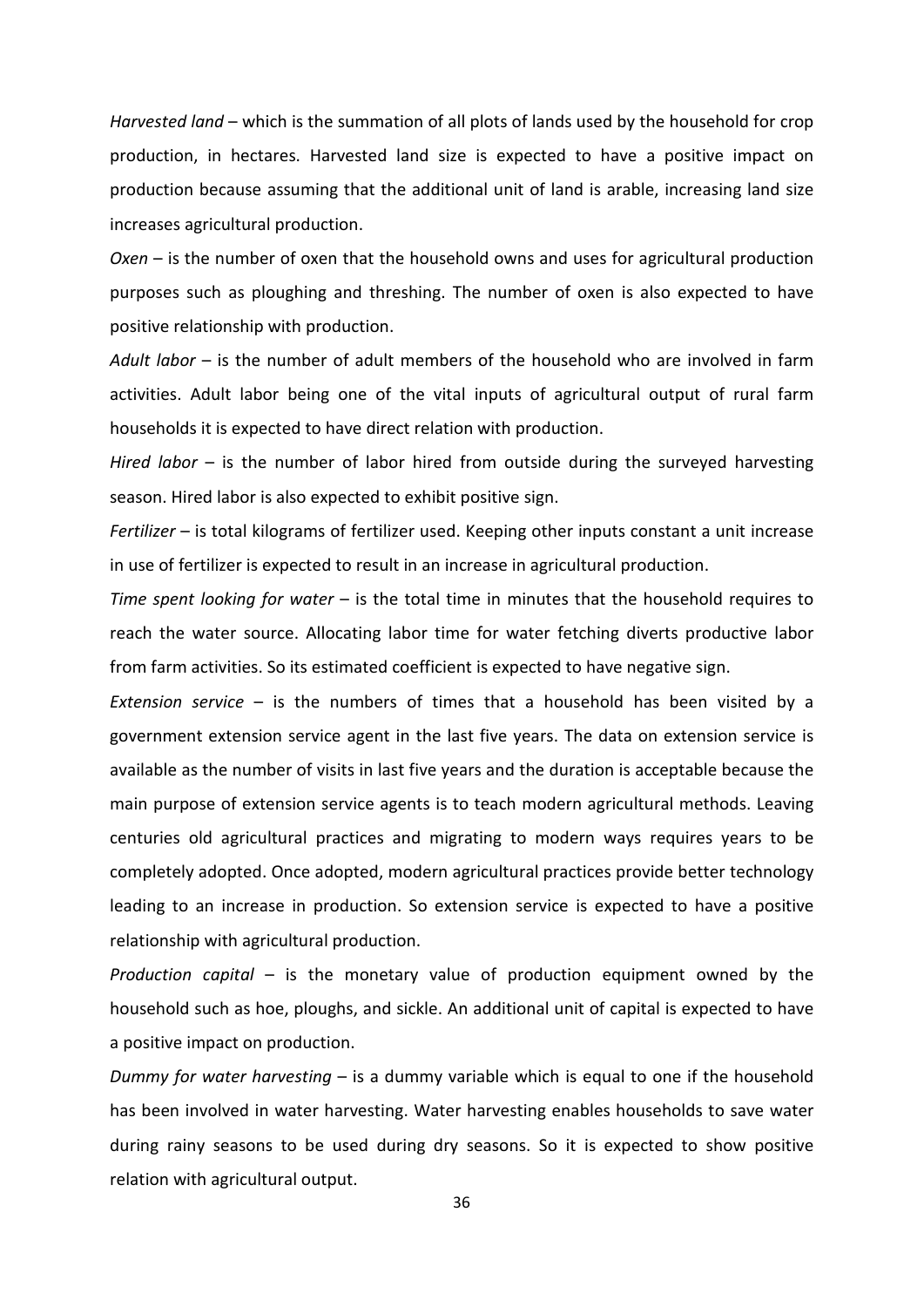*Harvested land* – which is the summation of all plots of lands used by the household for crop production, in hectares. Harvested land size is expected to have a positive impact on production because assuming that the additional unit of land is arable, increasing land size increases agricultural production.

*Oxen* – is the number of oxen that the household owns and uses for agricultural production purposes such as ploughing and threshing. The number of oxen is also expected to have positive relationship with production.

*Adult labor* – is the number of adult members of the household who are involved in farm activities. Adult labor being one of the vital inputs of agricultural output of rural farm households it is expected to have direct relation with production.

*Hired labor* – is the number of labor hired from outside during the surveyed harvesting season. Hired labor is also expected to exhibit positive sign.

*Fertilizer* – is total kilograms of fertilizer used. Keeping other inputs constant a unit increase in use of fertilizer is expected to result in an increase in agricultural production.

*Time spent looking for water* – is the total time in minutes that the household requires to reach the water source. Allocating labor time for water fetching diverts productive labor from farm activities. So its estimated coefficient is expected to have negative sign.

*Extension service* – is the numbers of times that a household has been visited by a government extension service agent in the last five years. The data on extension service is available as the number of visits in last five years and the duration is acceptable because the main purpose of extension service agents is to teach modern agricultural methods. Leaving centuries old agricultural practices and migrating to modern ways requires years to be completely adopted. Once adopted, modern agricultural practices provide better technology leading to an increase in production. So extension service is expected to have a positive relationship with agricultural production.

*Production capital* – is the monetary value of production equipment owned by the household such as hoe, ploughs, and sickle. An additional unit of capital is expected to have a positive impact on production.

*Dummy for water harvesting* – is a dummy variable which is equal to one if the household has been involved in water harvesting. Water harvesting enables households to save water during rainy seasons to be used during dry seasons. So it is expected to show positive relation with agricultural output.

36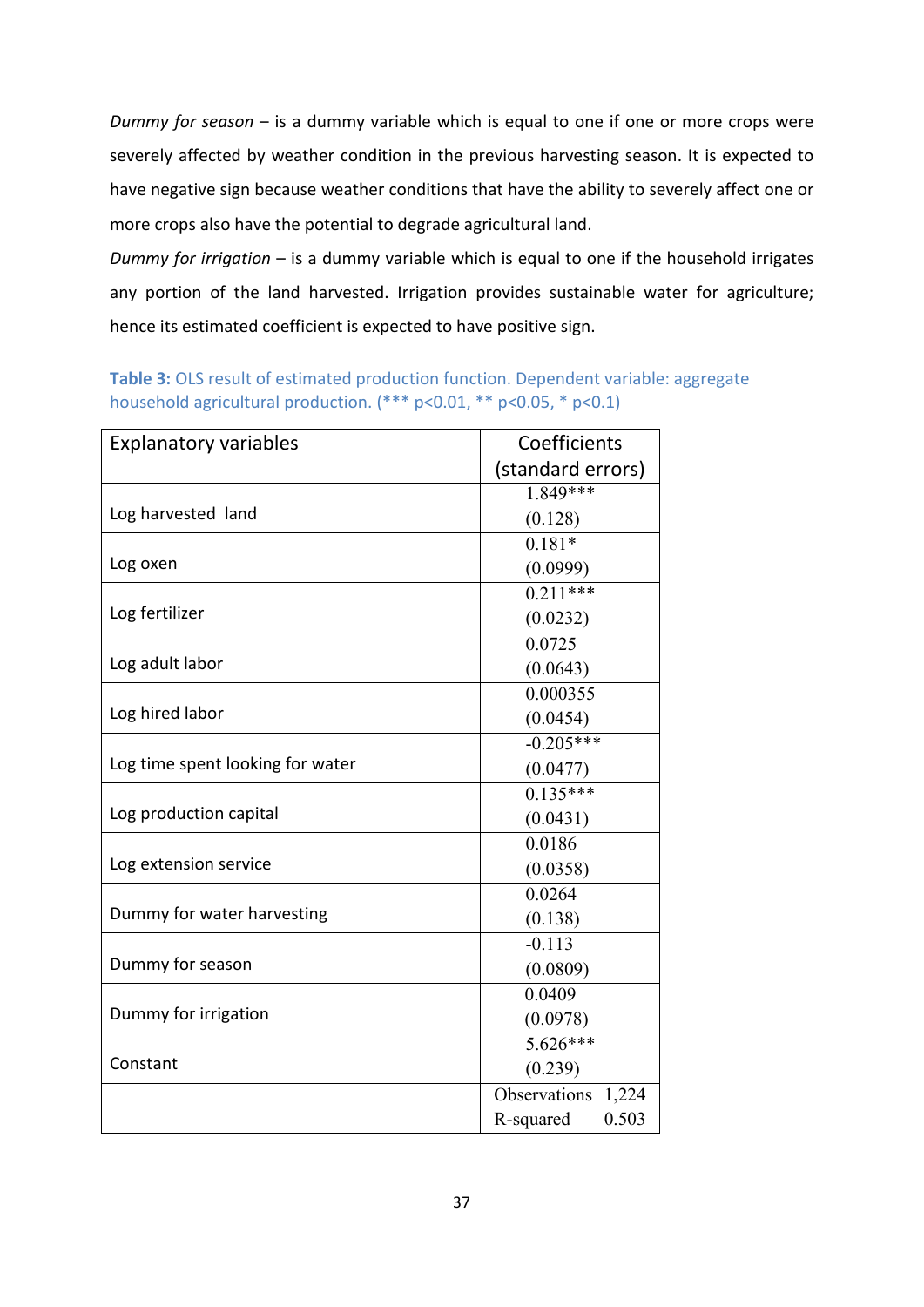*Dummy for season* – is a dummy variable which is equal to one if one or more crops were severely affected by weather condition in the previous harvesting season. It is expected to have negative sign because weather conditions that have the ability to severely affect one or more crops also have the potential to degrade agricultural land.

*Dummy for irrigation* – is a dummy variable which is equal to one if the household irrigates any portion of the land harvested. Irrigation provides sustainable water for agriculture; hence its estimated coefficient is expected to have positive sign.

| <b>Explanatory variables</b>     | Coefficients       |
|----------------------------------|--------------------|
|                                  | (standard errors)  |
|                                  | 1.849***           |
| Log harvested land               | (0.128)            |
|                                  | $0.181*$           |
| Log oxen                         | (0.0999)           |
|                                  | $0.211***$         |
| Log fertilizer                   | (0.0232)           |
|                                  | 0.0725             |
| Log adult labor                  | (0.0643)           |
|                                  | 0.000355           |
| Log hired labor                  | (0.0454)           |
|                                  | $-0.205***$        |
| Log time spent looking for water | (0.0477)           |
|                                  | $0.135***$         |
| Log production capital           | (0.0431)           |
|                                  | 0.0186             |
| Log extension service            | (0.0358)           |
|                                  | 0.0264             |
| Dummy for water harvesting       | (0.138)            |
|                                  | $-0.113$           |
| Dummy for season                 | (0.0809)           |
|                                  | 0.0409             |
| Dummy for irrigation             | (0.0978)           |
|                                  | $5.626***$         |
| Constant                         | (0.239)            |
|                                  | Observations 1,224 |
|                                  | 0.503<br>R-squared |

<span id="page-42-0"></span>**Table 3:** OLS result of estimated production function. Dependent variable: aggregate household agricultural production. (\*\*\* p<0.01, \*\* p<0.05, \* p<0.1)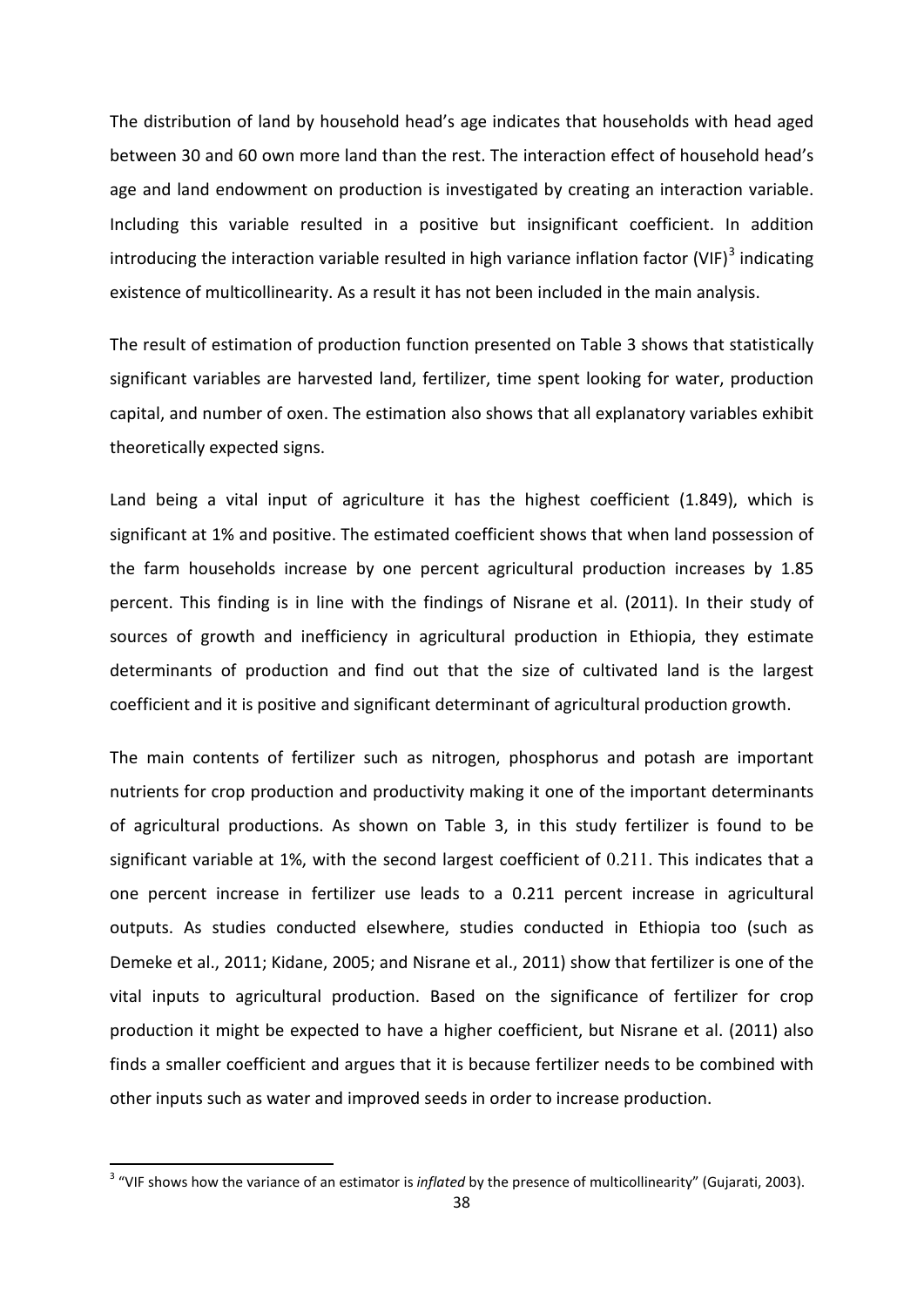The distribution of land by household head's age indicates that households with head aged between 30 and 60 own more land than the rest. The interaction effect of household head's age and land endowment on production is investigated by creating an interaction variable. Including this variable resulted in a positive but insignificant coefficient. In addition introducing the interaction variable resulted in high variance inflation factor (VIF) $3$  indicating existence of multicollinearity. As a result it has not been included in the main analysis.

The result of estimation of production function presented on Table 3 shows that statistically significant variables are harvested land, fertilizer, time spent looking for water, production capital, and number of oxen. The estimation also shows that all explanatory variables exhibit theoretically expected signs.

Land being a vital input of agriculture it has the highest coefficient (1.849), which is significant at 1% and positive. The estimated coefficient shows that when land possession of the farm households increase by one percent agricultural production increases by 1.85 percent. This finding is in line with the findings of Nisrane et al. (2011). In their study of sources of growth and inefficiency in agricultural production in Ethiopia, they estimate determinants of production and find out that the size of cultivated land is the largest coefficient and it is positive and significant determinant of agricultural production growth.

The main contents of fertilizer such as nitrogen, phosphorus and potash are important nutrients for crop production and productivity making it one of the important determinants of agricultural productions. As shown on Table 3, in this study fertilizer is found to be significant variable at 1%, with the second largest coefficient of 0.211. This indicates that a one percent increase in fertilizer use leads to a 0.211 percent increase in agricultural outputs. As studies conducted elsewhere, studies conducted in Ethiopia too (such as Demeke et al., 2011; Kidane, 2005; and Nisrane et al., 2011) show that fertilizer is one of the vital inputs to agricultural production. Based on the significance of fertilizer for crop production it might be expected to have a higher coefficient, but Nisrane et al. (2011) also finds a smaller coefficient and argues that it is because fertilizer needs to be combined with other inputs such as water and improved seeds in order to increase production.

 $\overline{a}$ 

<span id="page-43-0"></span><sup>3</sup> "VIF shows how the variance of an estimator is *inflated* by the presence of multicollinearity" (Gujarati, 2003).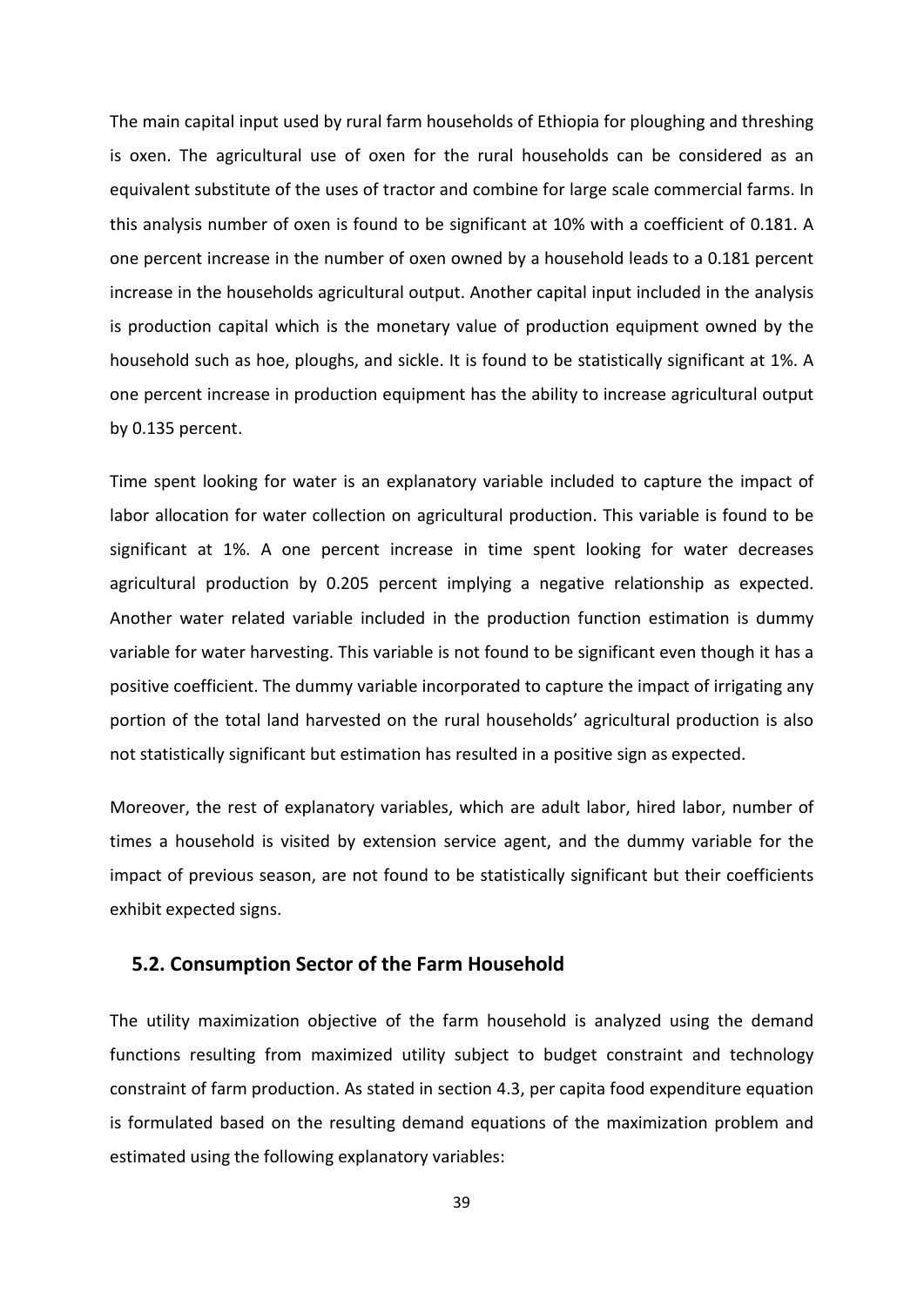The main capital input used by rural farm households of Ethiopia for ploughing and threshing is oxen. The agricultural use of oxen for the rural households can be considered as an equivalent substitute of the uses of tractor and combine for large scale commercial farms. In this analysis number of oxen is found to be significant at 10% with a coefficient of 0.181. A one percent increase in the number of oxen owned by a household leads to a 0.181 percent increase in the households agricultural output. Another capital input included in the analysis is production capital which is the monetary value of production equipment owned by the household such as hoe, ploughs, and sickle. It is found to be statistically significant at 1%. A one percent increase in production equipment has the ability to increase agricultural output by 0.135 percent.

Time spent looking for water is an explanatory variable included to capture the impact of labor allocation for water collection on agricultural production. This variable is found to be significant at 1%. A one percent increase in time spent looking for water decreases agricultural production by 0.205 percent implying a negative relationship as expected. Another water related variable included in the production function estimation is dummy variable for water harvesting. This variable is not found to be significant even though it has a positive coefficient. The dummy variable incorporated to capture the impact of irrigating any portion of the total land harvested on the rural households' agricultural production is also not statistically significant but estimation has resulted in a positive sign as expected.

Moreover, the rest of explanatory variables, which are adult labor, hired labor, number of times a household is visited by extension service agent, and the dummy variable for the impact of previous season, are not found to be statistically significant but their coefficients exhibit expected signs.

#### <span id="page-44-0"></span>**5.2. Consumption Sector of the Farm Household**

The utility maximization objective of the farm household is analyzed using the demand functions resulting from maximized utility subject to budget constraint and technology constraint of farm production. As stated in section 4.3, per capita food expenditure equation is formulated based on the resulting demand equations of the maximization problem and estimated using the following explanatory variables: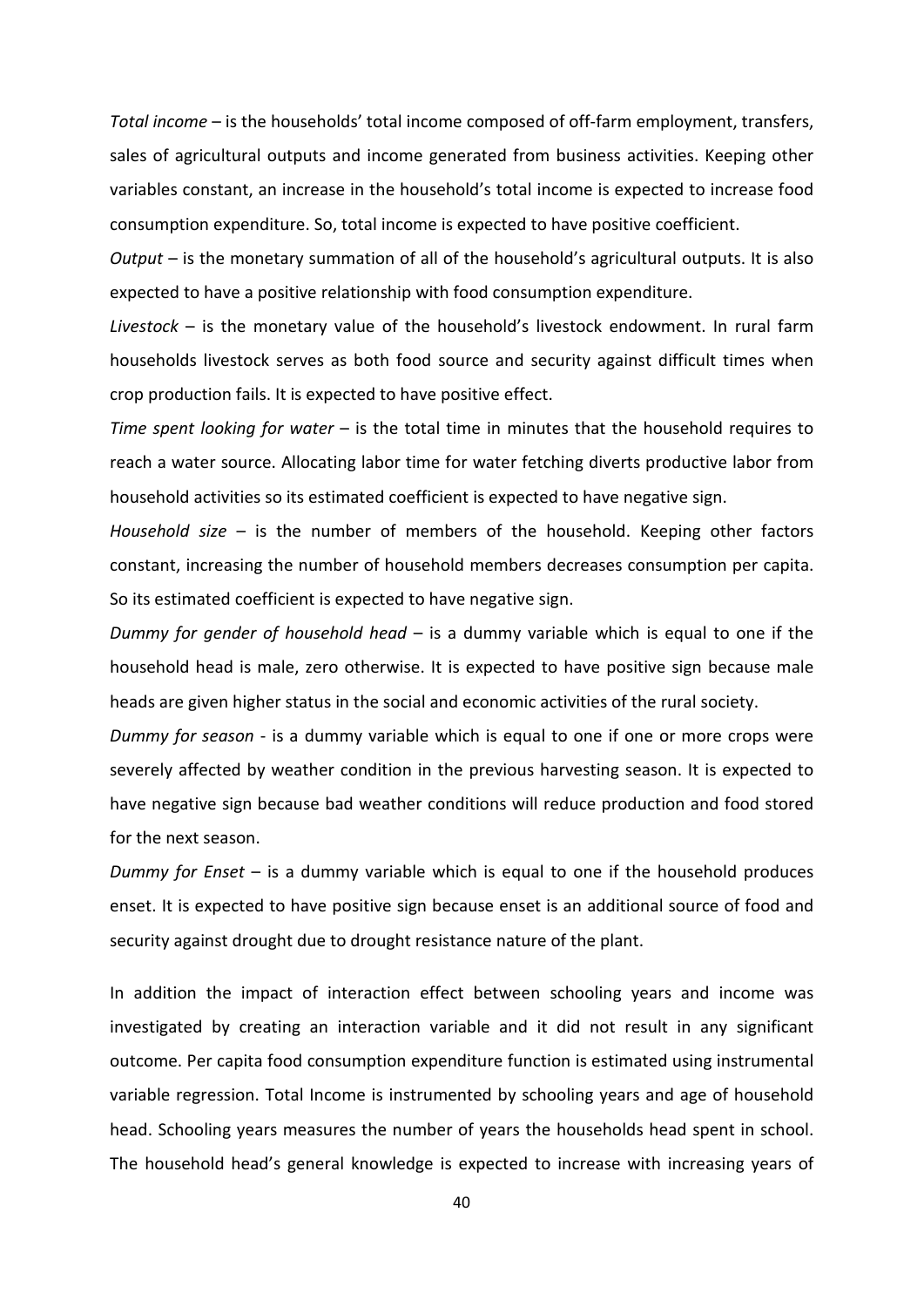*Total income* – is the households' total income composed of off-farm employment, transfers, sales of agricultural outputs and income generated from business activities. Keeping other variables constant, an increase in the household's total income is expected to increase food consumption expenditure. So, total income is expected to have positive coefficient.

*Output* – is the monetary summation of all of the household's agricultural outputs. It is also expected to have a positive relationship with food consumption expenditure.

*Livestock* – is the monetary value of the household's livestock endowment. In rural farm households livestock serves as both food source and security against difficult times when crop production fails. It is expected to have positive effect.

*Time spent looking for water* – is the total time in minutes that the household requires to reach a water source. Allocating labor time for water fetching diverts productive labor from household activities so its estimated coefficient is expected to have negative sign.

*Household size* – is the number of members of the household. Keeping other factors constant, increasing the number of household members decreases consumption per capita. So its estimated coefficient is expected to have negative sign.

*Dummy for gender of household head* – is a dummy variable which is equal to one if the household head is male, zero otherwise. It is expected to have positive sign because male heads are given higher status in the social and economic activities of the rural society.

*Dummy for season* - is a dummy variable which is equal to one if one or more crops were severely affected by weather condition in the previous harvesting season. It is expected to have negative sign because bad weather conditions will reduce production and food stored for the next season.

*Dummy for Enset* – is a dummy variable which is equal to one if the household produces enset. It is expected to have positive sign because enset is an additional source of food and security against drought due to drought resistance nature of the plant.

In addition the impact of interaction effect between schooling years and income was investigated by creating an interaction variable and it did not result in any significant outcome. Per capita food consumption expenditure function is estimated using instrumental variable regression. Total Income is instrumented by schooling years and age of household head. Schooling years measures the number of years the households head spent in school. The household head's general knowledge is expected to increase with increasing years of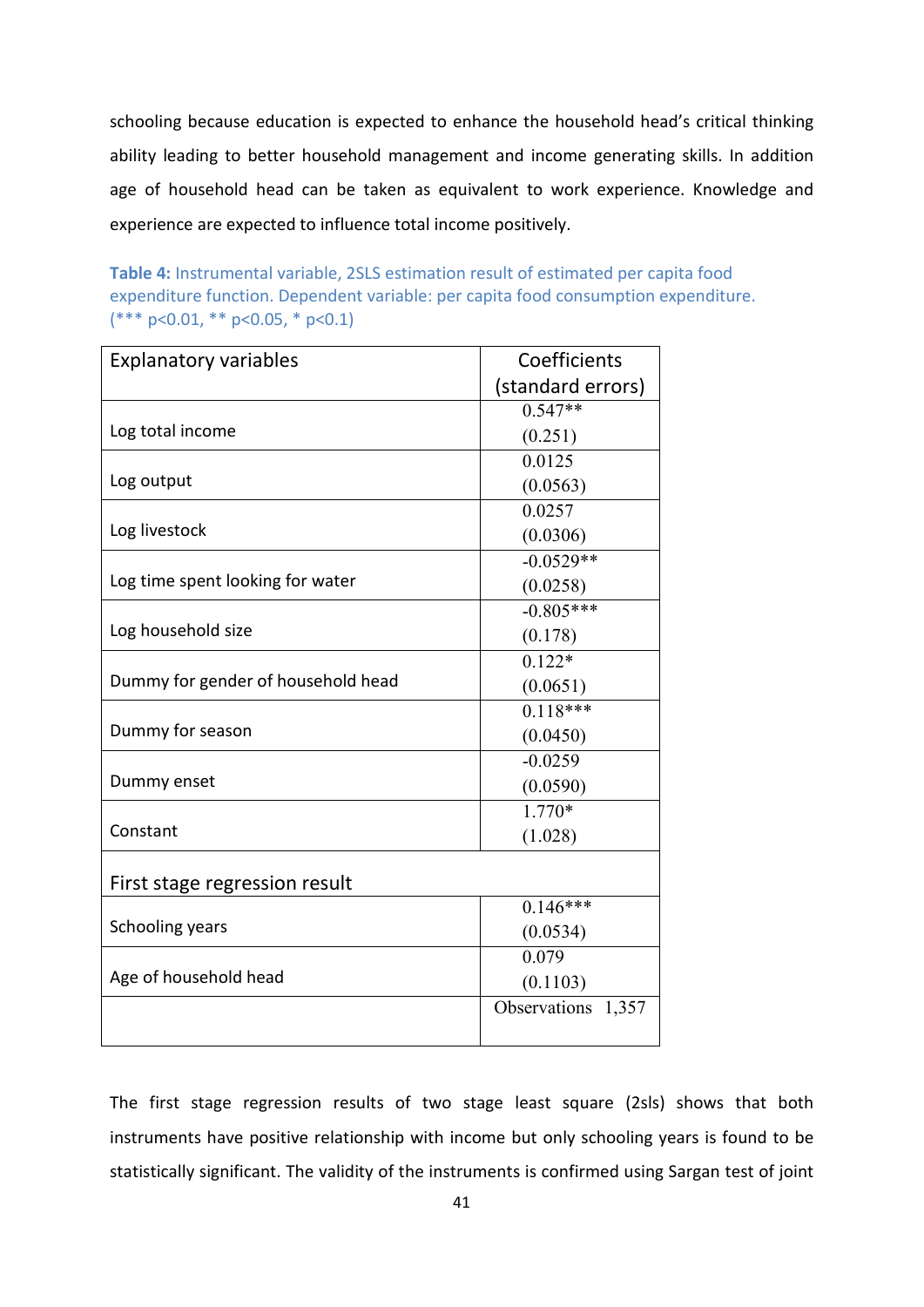schooling because education is expected to enhance the household head's critical thinking ability leading to better household management and income generating skills. In addition age of household head can be taken as equivalent to work experience. Knowledge and experience are expected to influence total income positively.

<span id="page-46-0"></span>**Table 4:** Instrumental variable, 2SLS estimation result of estimated per capita food expenditure function. Dependent variable: per capita food consumption expenditure.  $(*** p<0.01, ** p<0.05, * p<0.1)$ 

| <b>Explanatory variables</b>       | Coefficients       |
|------------------------------------|--------------------|
|                                    | (standard errors)  |
|                                    | $0.547**$          |
| Log total income                   | (0.251)            |
|                                    | 0.0125             |
| Log output                         | (0.0563)           |
|                                    | 0.0257             |
| Log livestock                      | (0.0306)           |
|                                    | $-0.0529**$        |
| Log time spent looking for water   | (0.0258)           |
|                                    | $-0.805***$        |
| Log household size                 | (0.178)            |
|                                    | $0.122*$           |
| Dummy for gender of household head | (0.0651)           |
|                                    | $0.118***$         |
| Dummy for season                   | (0.0450)           |
|                                    | $-0.0259$          |
| Dummy enset                        | (0.0590)           |
|                                    | $1.770*$           |
| Constant                           | (1.028)            |
|                                    |                    |
| First stage regression result      |                    |
|                                    | $0.146***$         |
| Schooling years                    | (0.0534)           |
|                                    | 0.079              |
| Age of household head              | (0.1103)           |
|                                    | Observations 1,357 |
|                                    |                    |

The first stage regression results of two stage least square (2sls) shows that both instruments have positive relationship with income but only schooling years is found to be statistically significant. The validity of the instruments is confirmed using Sargan test of joint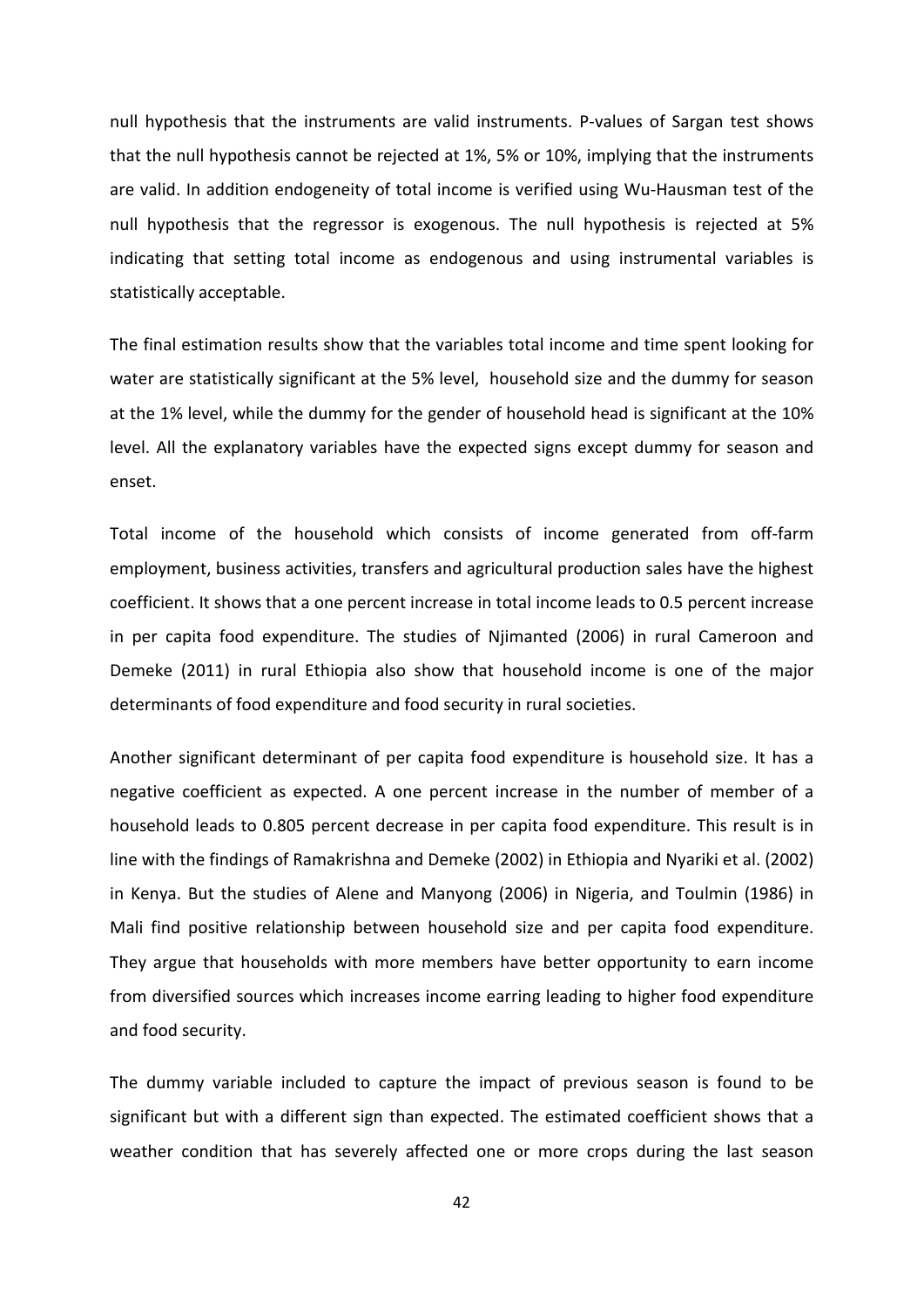null hypothesis that the instruments are valid instruments. P-values of Sargan test shows that the null hypothesis cannot be rejected at 1%, 5% or 10%, implying that the instruments are valid. In addition endogeneity of total income is verified using Wu-Hausman test of the null hypothesis that the regressor is exogenous. The null hypothesis is rejected at 5% indicating that setting total income as endogenous and using instrumental variables is statistically acceptable.

The final estimation results show that the variables total income and time spent looking for water are statistically significant at the 5% level, household size and the dummy for season at the 1% level, while the dummy for the gender of household head is significant at the 10% level. All the explanatory variables have the expected signs except dummy for season and enset.

Total income of the household which consists of income generated from off-farm employment, business activities, transfers and agricultural production sales have the highest coefficient. It shows that a one percent increase in total income leads to 0.5 percent increase in per capita food expenditure. The studies of Njimanted (2006) in rural Cameroon and Demeke (2011) in rural Ethiopia also show that household income is one of the major determinants of food expenditure and food security in rural societies.

Another significant determinant of per capita food expenditure is household size. It has a negative coefficient as expected. A one percent increase in the number of member of a household leads to 0.805 percent decrease in per capita food expenditure. This result is in line with the findings of Ramakrishna and Demeke (2002) in Ethiopia and Nyariki et al. (2002) in Kenya. But the studies of Alene and Manyong (2006) in Nigeria, and Toulmin (1986) in Mali find positive relationship between household size and per capita food expenditure. They argue that households with more members have better opportunity to earn income from diversified sources which increases income earring leading to higher food expenditure and food security.

The dummy variable included to capture the impact of previous season is found to be significant but with a different sign than expected. The estimated coefficient shows that a weather condition that has severely affected one or more crops during the last season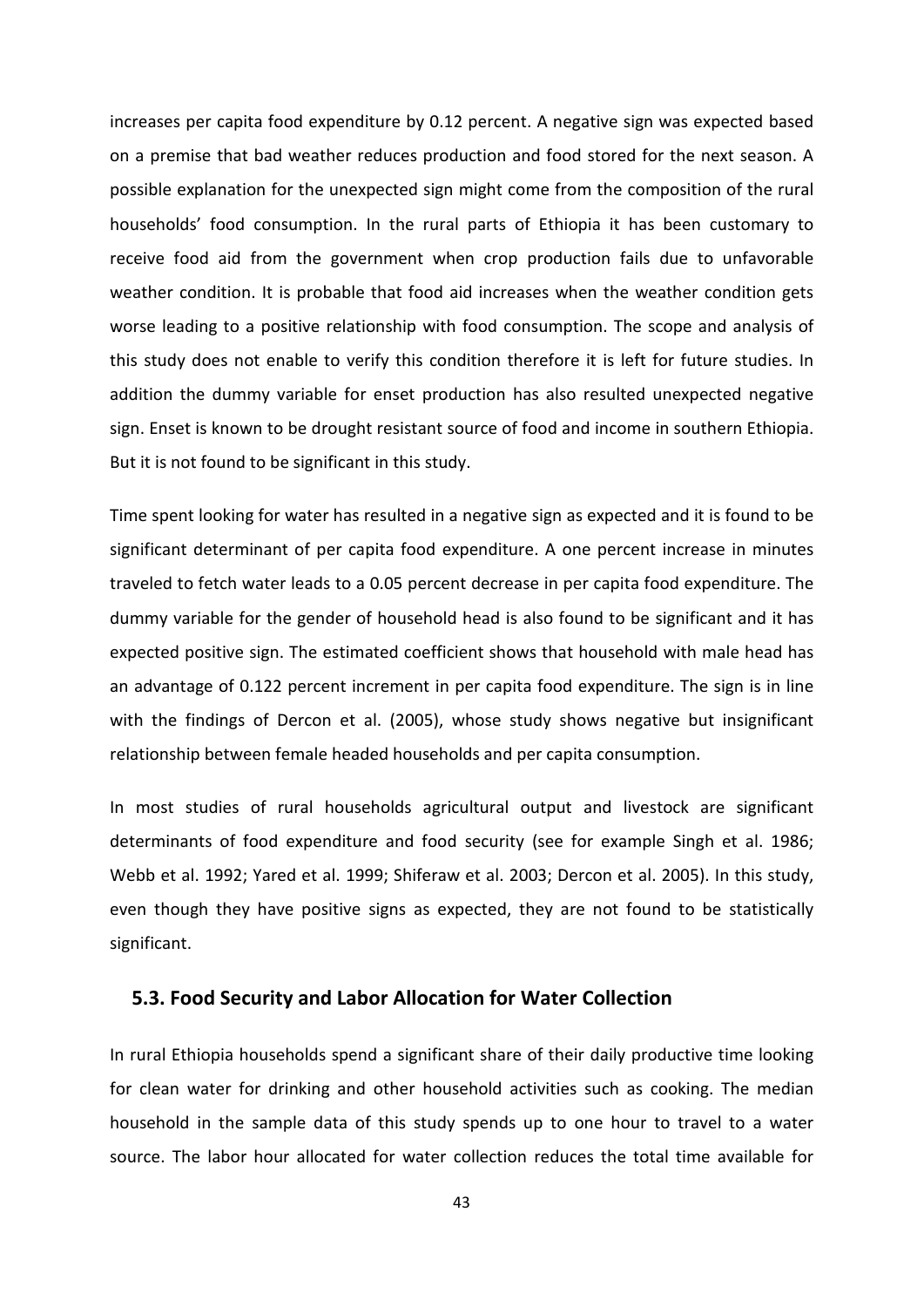increases per capita food expenditure by 0.12 percent. A negative sign was expected based on a premise that bad weather reduces production and food stored for the next season. A possible explanation for the unexpected sign might come from the composition of the rural households' food consumption. In the rural parts of Ethiopia it has been customary to receive food aid from the government when crop production fails due to unfavorable weather condition. It is probable that food aid increases when the weather condition gets worse leading to a positive relationship with food consumption. The scope and analysis of this study does not enable to verify this condition therefore it is left for future studies. In addition the dummy variable for enset production has also resulted unexpected negative sign. Enset is known to be drought resistant source of food and income in southern Ethiopia. But it is not found to be significant in this study.

Time spent looking for water has resulted in a negative sign as expected and it is found to be significant determinant of per capita food expenditure. A one percent increase in minutes traveled to fetch water leads to a 0.05 percent decrease in per capita food expenditure. The dummy variable for the gender of household head is also found to be significant and it has expected positive sign. The estimated coefficient shows that household with male head has an advantage of 0.122 percent increment in per capita food expenditure. The sign is in line with the findings of Dercon et al. (2005), whose study shows negative but insignificant relationship between female headed households and per capita consumption.

In most studies of rural households agricultural output and livestock are significant determinants of food expenditure and food security (see for example Singh et al. 1986; Webb et al. 1992; Yared et al. 1999; Shiferaw et al. 2003; Dercon et al. 2005). In this study, even though they have positive signs as expected, they are not found to be statistically significant.

### <span id="page-48-0"></span>**5.3. Food Security and Labor Allocation for Water Collection**

In rural Ethiopia households spend a significant share of their daily productive time looking for clean water for drinking and other household activities such as cooking. The median household in the sample data of this study spends up to one hour to travel to a water source. The labor hour allocated for water collection reduces the total time available for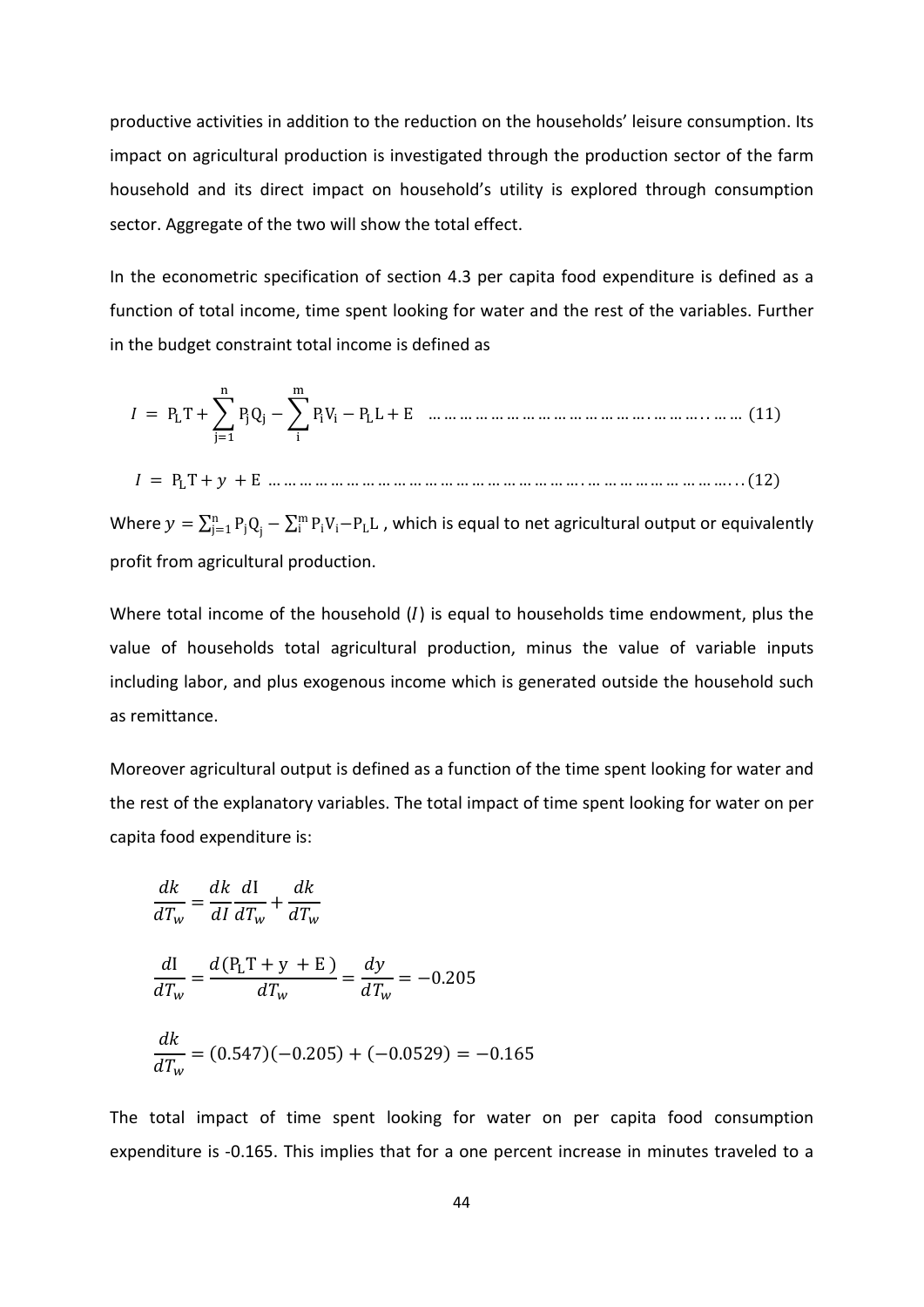productive activities in addition to the reduction on the households' leisure consumption. Its impact on agricultural production is investigated through the production sector of the farm household and its direct impact on household's utility is explored through consumption sector. Aggregate of the two will show the total effect.

In the econometric specification of section 4.3 per capita food expenditure is defined as a function of total income, time spent looking for water and the rest of the variables. Further in the budget constraint total income is defined as

 = PLT +�PjQ<sup>j</sup> n j=1 −�PiV<sup>i</sup> − PLL m i + E … … … … … … … … … … … … … … . … … … . . … … (11)

= PLT + + E … … … … … … … … … … … … … … … … … … … … . … … … … … … … … … . . . (12)

Where  $y = \sum_{j=1}^n P_j Q_j - \sum_{i=1}^m P_i V_i - P_L L$  , which is equal to net agricultural output or equivalently profit from agricultural production.

Where total income of the household  $(I)$  is equal to households time endowment, plus the value of households total agricultural production, minus the value of variable inputs including labor, and plus exogenous income which is generated outside the household such as remittance.

Moreover agricultural output is defined as a function of the time spent looking for water and the rest of the explanatory variables. The total impact of time spent looking for water on per capita food expenditure is:

$$
\frac{dk}{dT_w} = \frac{dk}{dI} \frac{dI}{dT_w} + \frac{dk}{dT_w}
$$
\n
$$
\frac{dI}{dT_w} = \frac{d(P_L T + y + E)}{dT_w} = \frac{dy}{dT_w} = -0.205
$$
\n
$$
\frac{dk}{dT_w} = (0.547)(-0.205) + (-0.0529) = -0.165
$$

The total impact of time spent looking for water on per capita food consumption expenditure is -0.165. This implies that for a one percent increase in minutes traveled to a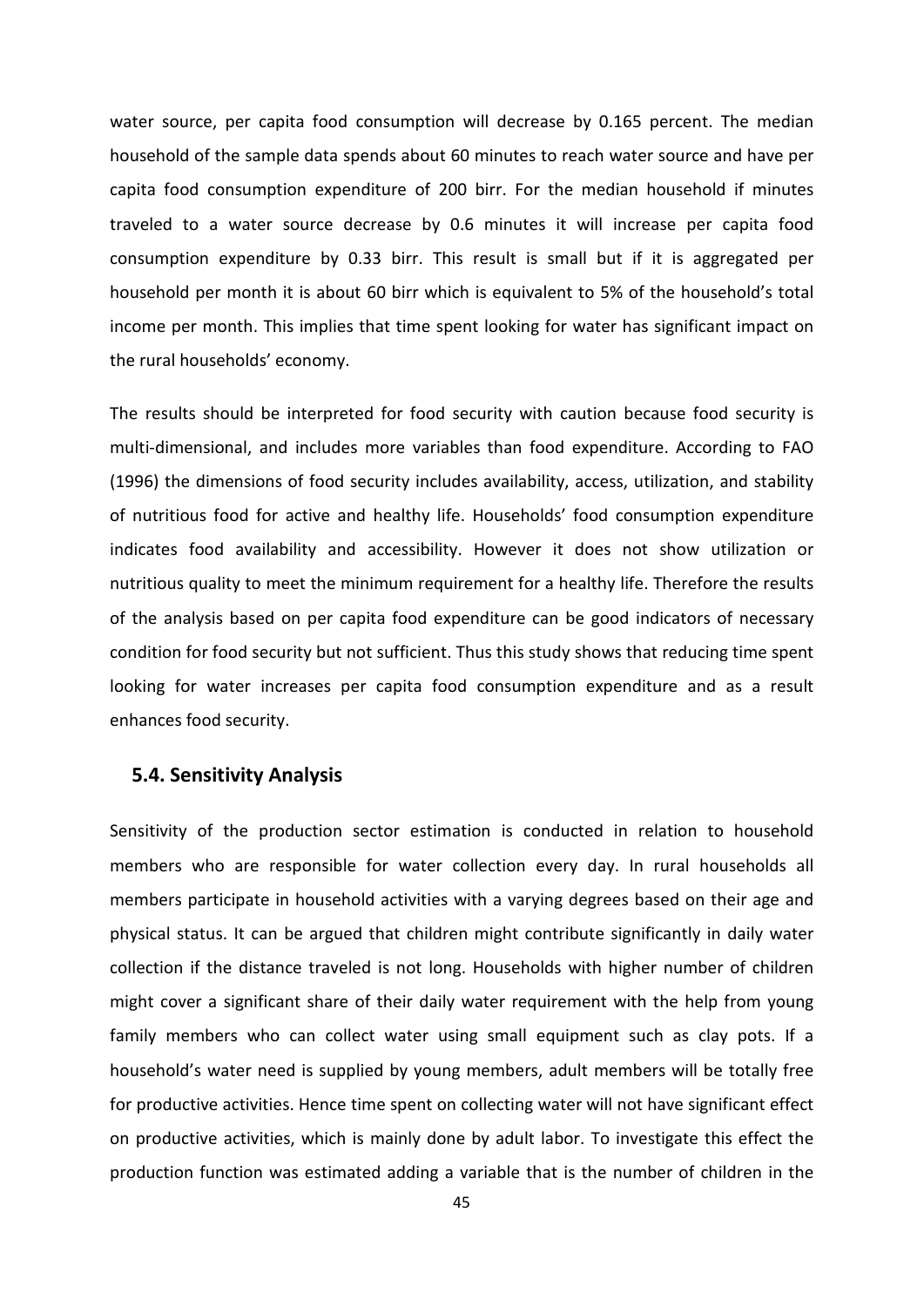water source, per capita food consumption will decrease by 0.165 percent. The median household of the sample data spends about 60 minutes to reach water source and have per capita food consumption expenditure of 200 birr. For the median household if minutes traveled to a water source decrease by 0.6 minutes it will increase per capita food consumption expenditure by 0.33 birr. This result is small but if it is aggregated per household per month it is about 60 birr which is equivalent to 5% of the household's total income per month. This implies that time spent looking for water has significant impact on the rural households' economy.

The results should be interpreted for food security with caution because food security is multi-dimensional, and includes more variables than food expenditure. According to FAO (1996) the dimensions of food security includes availability, access, utilization, and stability of nutritious food for active and healthy life. Households' food consumption expenditure indicates food availability and accessibility. However it does not show utilization or nutritious quality to meet the minimum requirement for a healthy life. Therefore the results of the analysis based on per capita food expenditure can be good indicators of necessary condition for food security but not sufficient. Thus this study shows that reducing time spent looking for water increases per capita food consumption expenditure and as a result enhances food security.

#### <span id="page-50-0"></span>**5.4. Sensitivity Analysis**

Sensitivity of the production sector estimation is conducted in relation to household members who are responsible for water collection every day. In rural households all members participate in household activities with a varying degrees based on their age and physical status. It can be argued that children might contribute significantly in daily water collection if the distance traveled is not long. Households with higher number of children might cover a significant share of their daily water requirement with the help from young family members who can collect water using small equipment such as clay pots. If a household's water need is supplied by young members, adult members will be totally free for productive activities. Hence time spent on collecting water will not have significant effect on productive activities, which is mainly done by adult labor. To investigate this effect the production function was estimated adding a variable that is the number of children in the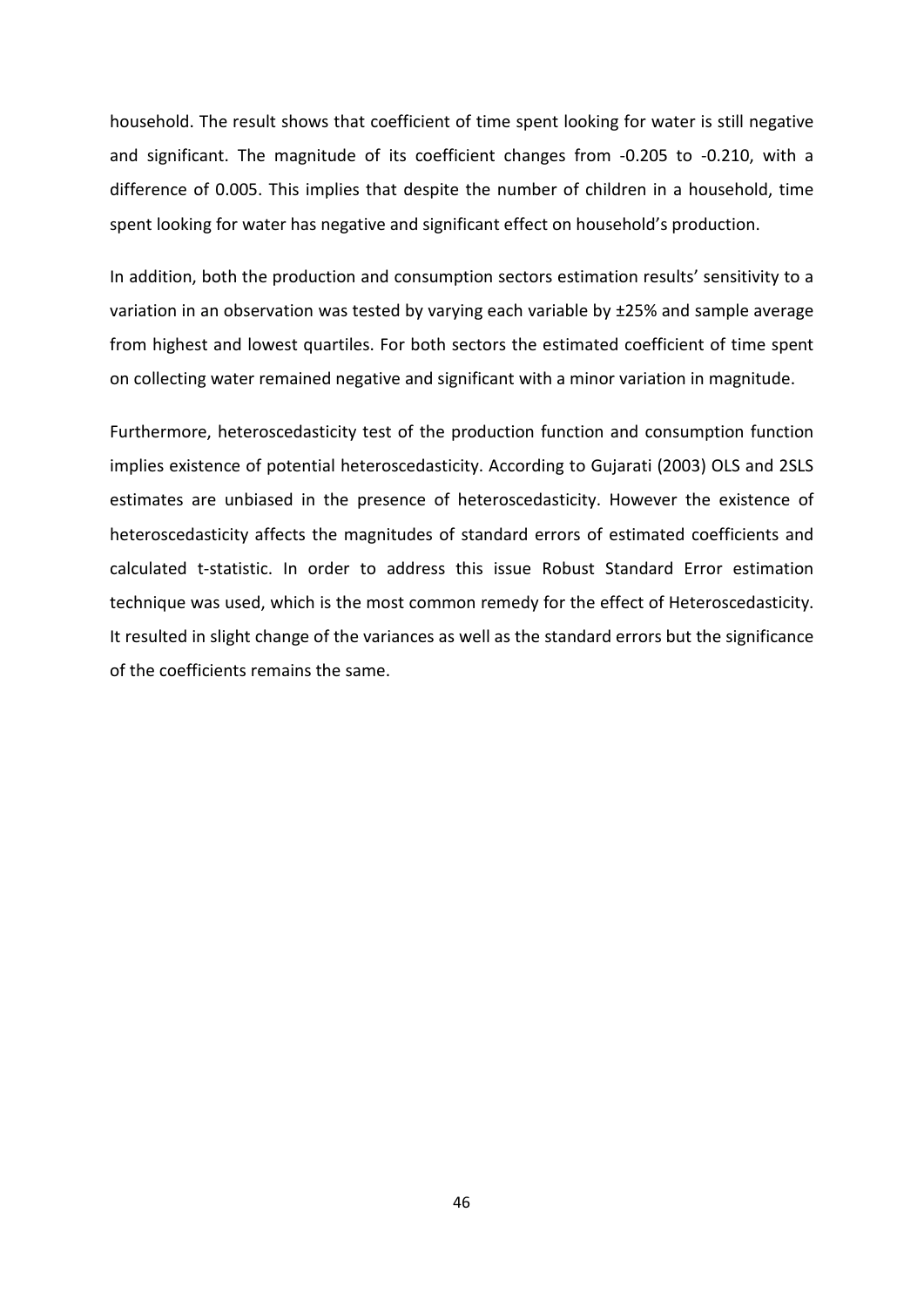household. The result shows that coefficient of time spent looking for water is still negative and significant. The magnitude of its coefficient changes from -0.205 to -0.210, with a difference of 0.005. This implies that despite the number of children in a household, time spent looking for water has negative and significant effect on household's production.

In addition, both the production and consumption sectors estimation results' sensitivity to a variation in an observation was tested by varying each variable by ±25% and sample average from highest and lowest quartiles. For both sectors the estimated coefficient of time spent on collecting water remained negative and significant with a minor variation in magnitude.

Furthermore, heteroscedasticity test of the production function and consumption function implies existence of potential heteroscedasticity. According to Gujarati (2003) OLS and 2SLS estimates are unbiased in the presence of heteroscedasticity. However the existence of heteroscedasticity affects the magnitudes of standard errors of estimated coefficients and calculated t-statistic. In order to address this issue Robust Standard Error estimation technique was used, which is the most common remedy for the effect of Heteroscedasticity. It resulted in slight change of the variances as well as the standard errors but the significance of the coefficients remains the same.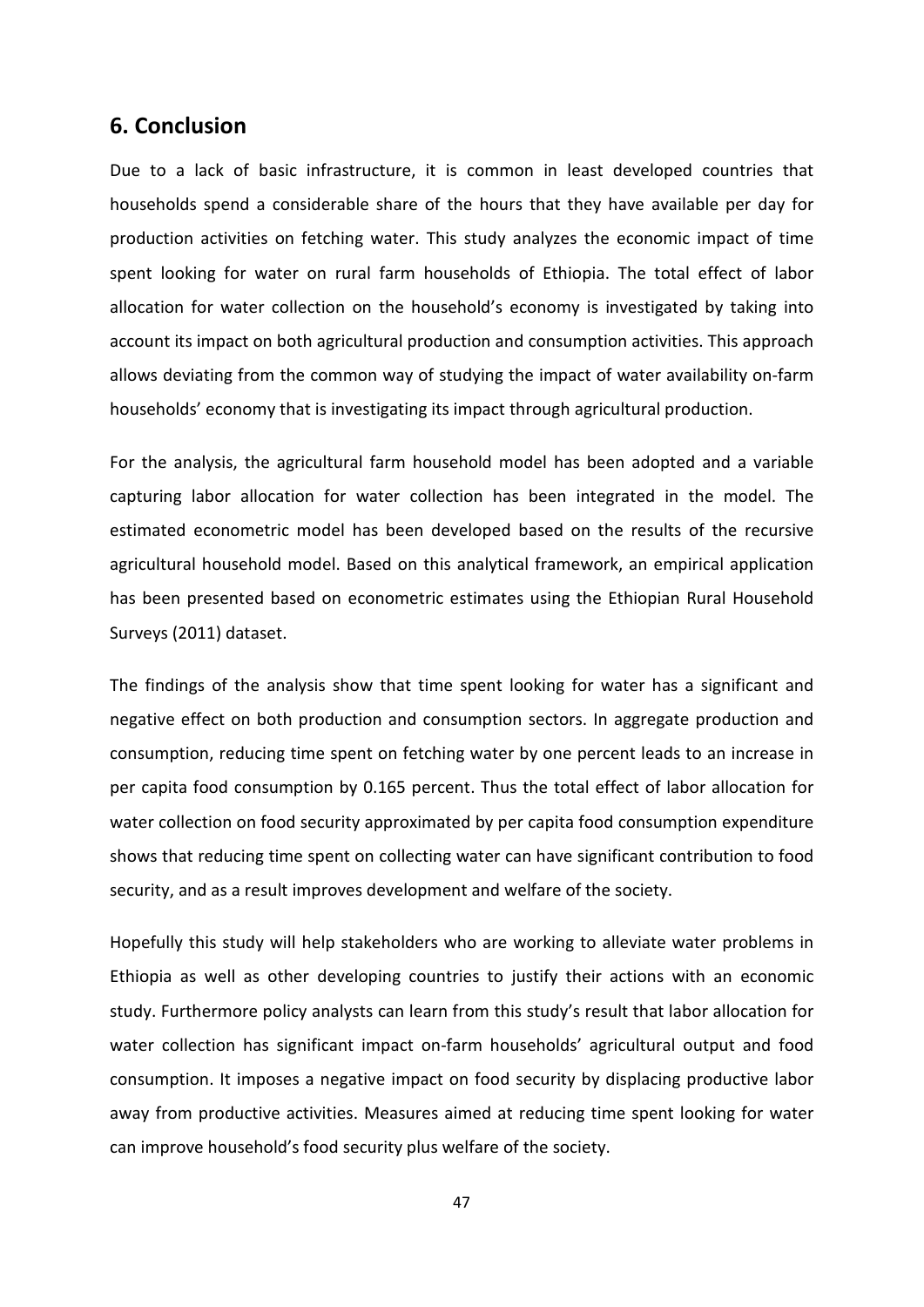## <span id="page-52-0"></span>**6. Conclusion**

Due to a lack of basic infrastructure, it is common in least developed countries that households spend a considerable share of the hours that they have available per day for production activities on fetching water. This study analyzes the economic impact of time spent looking for water on rural farm households of Ethiopia. The total effect of labor allocation for water collection on the household's economy is investigated by taking into account its impact on both agricultural production and consumption activities. This approach allows deviating from the common way of studying the impact of water availability on-farm households' economy that is investigating its impact through agricultural production.

For the analysis, the agricultural farm household model has been adopted and a variable capturing labor allocation for water collection has been integrated in the model. The estimated econometric model has been developed based on the results of the recursive agricultural household model. Based on this analytical framework, an empirical application has been presented based on econometric estimates using the Ethiopian Rural Household Surveys (2011) dataset.

The findings of the analysis show that time spent looking for water has a significant and negative effect on both production and consumption sectors. In aggregate production and consumption, reducing time spent on fetching water by one percent leads to an increase in per capita food consumption by 0.165 percent. Thus the total effect of labor allocation for water collection on food security approximated by per capita food consumption expenditure shows that reducing time spent on collecting water can have significant contribution to food security, and as a result improves development and welfare of the society.

Hopefully this study will help stakeholders who are working to alleviate water problems in Ethiopia as well as other developing countries to justify their actions with an economic study. Furthermore policy analysts can learn from this study's result that labor allocation for water collection has significant impact on-farm households' agricultural output and food consumption. It imposes a negative impact on food security by displacing productive labor away from productive activities. Measures aimed at reducing time spent looking for water can improve household's food security plus welfare of the society.

47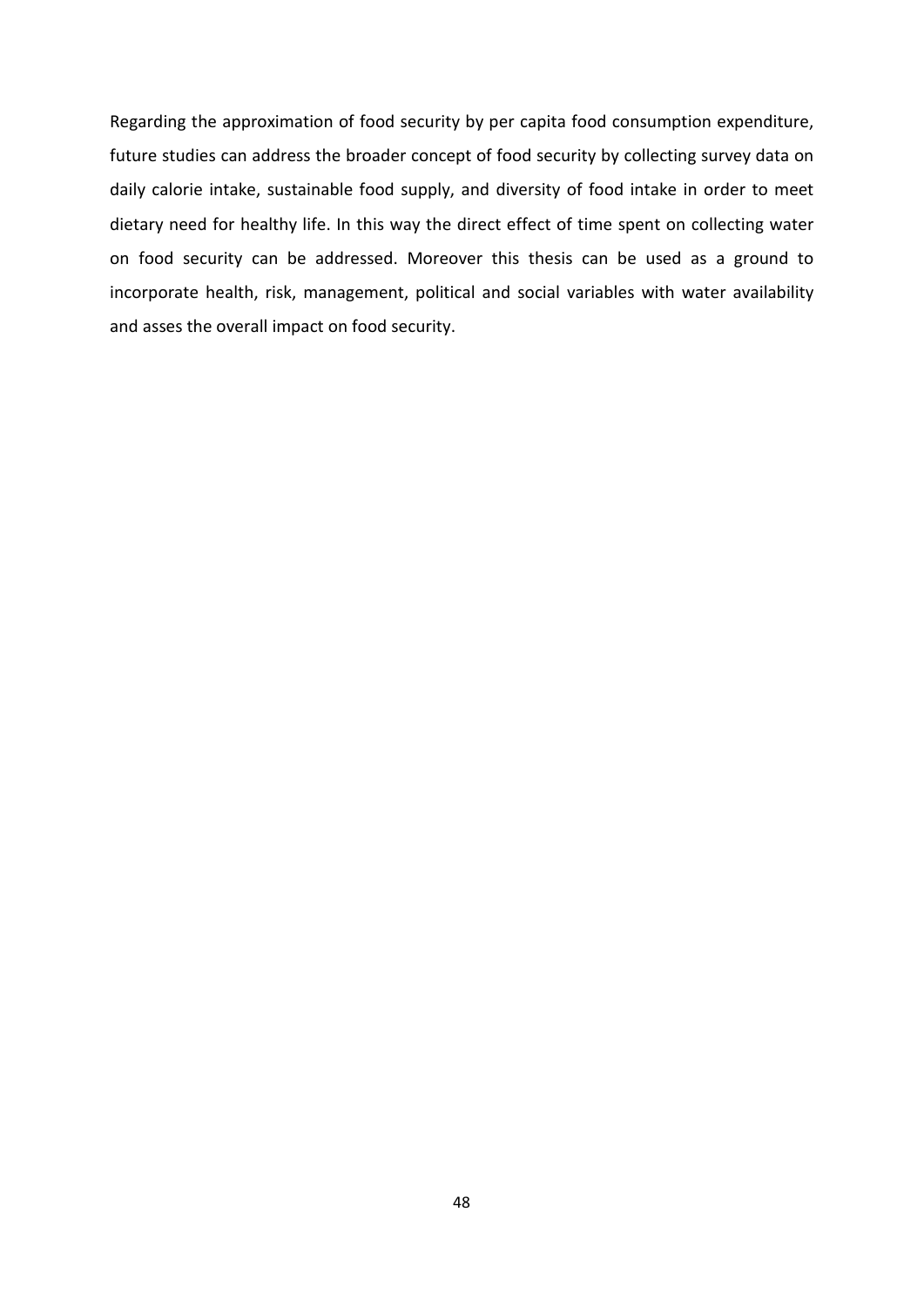Regarding the approximation of food security by per capita food consumption expenditure, future studies can address the broader concept of food security by collecting survey data on daily calorie intake, sustainable food supply, and diversity of food intake in order to meet dietary need for healthy life. In this way the direct effect of time spent on collecting water on food security can be addressed. Moreover this thesis can be used as a ground to incorporate health, risk, management, political and social variables with water availability and asses the overall impact on food security.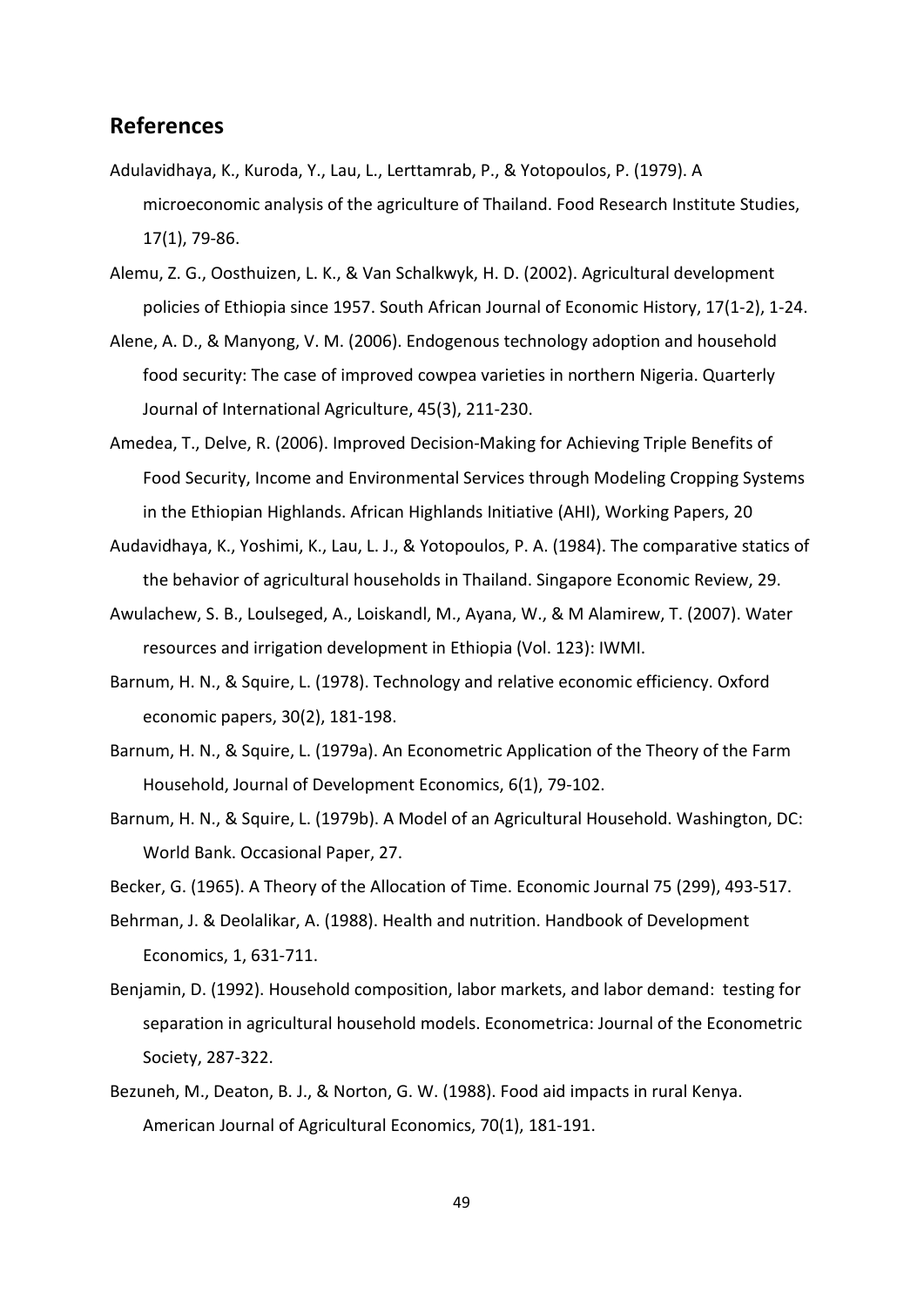### <span id="page-54-0"></span>**References**

- Adulavidhaya, K., Kuroda, Y., Lau, L., Lerttamrab, P., & Yotopoulos, P. (1979). A microeconomic analysis of the agriculture of Thailand. Food Research Institute Studies, 17(1), 79-86.
- Alemu, Z. G., Oosthuizen, L. K., & Van Schalkwyk, H. D. (2002). Agricultural development policies of Ethiopia since 1957. South African Journal of Economic History, 17(1-2), 1-24.
- Alene, A. D., & Manyong, V. M. (2006). Endogenous technology adoption and household food security: The case of improved cowpea varieties in northern Nigeria. Quarterly Journal of International Agriculture, 45(3), 211-230.
- Amedea, T., Delve, R. (2006). Improved Decision-Making for Achieving Triple Benefits of Food Security, Income and Environmental Services through Modeling Cropping Systems in the Ethiopian Highlands. African Highlands Initiative (AHI), Working Papers, 20
- Audavidhaya, K., Yoshimi, K., Lau, L. J., & Yotopoulos, P. A. (1984). The comparative statics of the behavior of agricultural households in Thailand. Singapore Economic Review, 29.
- Awulachew, S. B., Loulseged, A., Loiskandl, M., Ayana, W., & M Alamirew, T. (2007). Water resources and irrigation development in Ethiopia (Vol. 123): IWMI.
- Barnum, H. N., & Squire, L. (1978). Technology and relative economic efficiency. Oxford economic papers, 30(2), 181-198.
- Barnum, H. N., & Squire, L. (1979a). An Econometric Application of the Theory of the Farm Household, Journal of Development Economics, 6(1), 79-102.
- Barnum, H. N., & Squire, L. (1979b). A Model of an Agricultural Household. Washington, DC: World Bank. Occasional Paper, 27.

Becker, G. (1965). A Theory of the Allocation of Time. Economic Journal 75 (299), 493-517.

- Behrman, J. & Deolalikar, A. (1988). Health and nutrition. Handbook of Development Economics, 1, 631-711.
- Benjamin, D. (1992). Household composition, labor markets, and labor demand: testing for separation in agricultural household models. Econometrica: Journal of the Econometric Society, 287-322.
- Bezuneh, M., Deaton, B. J., & Norton, G. W. (1988). Food aid impacts in rural Kenya. American Journal of Agricultural Economics, 70(1), 181-191.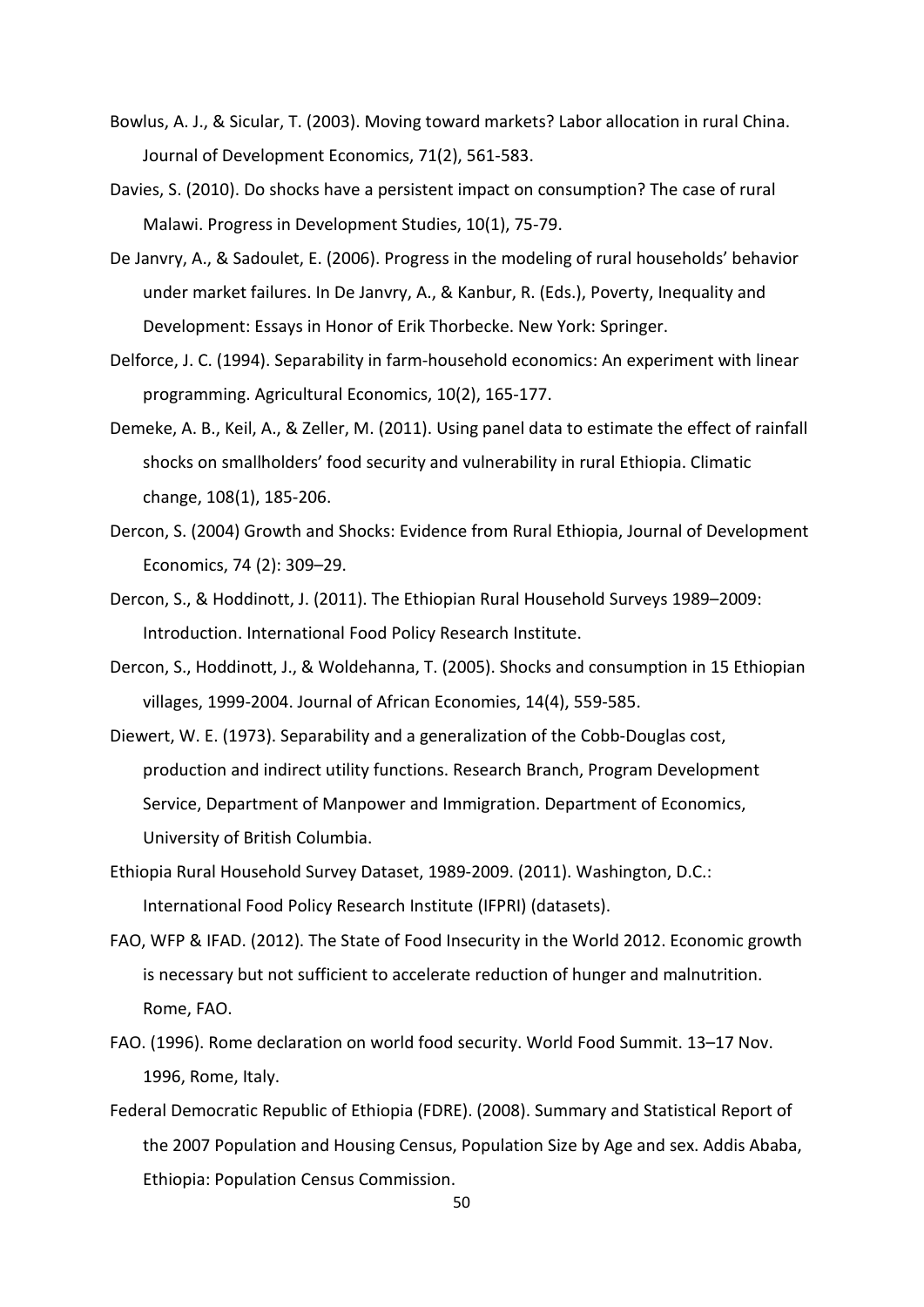- Bowlus, A. J., & Sicular, T. (2003). Moving toward markets? Labor allocation in rural China. Journal of Development Economics, 71(2), 561-583.
- Davies, S. (2010). Do shocks have a persistent impact on consumption? The case of rural Malawi. Progress in Development Studies, 10(1), 75-79.
- De Janvry, A., & Sadoulet, E. (2006). Progress in the modeling of rural households' behavior under market failures. In De Janvry, A., & Kanbur, R. (Eds.), Poverty, Inequality and Development: Essays in Honor of Erik Thorbecke. New York: Springer.
- Delforce, J. C. (1994). Separability in farm-household economics: An experiment with linear programming. Agricultural Economics, 10(2), 165-177.
- Demeke, A. B., Keil, A., & Zeller, M. (2011). Using panel data to estimate the effect of rainfall shocks on smallholders' food security and vulnerability in rural Ethiopia. Climatic change, 108(1), 185-206.
- Dercon, S. (2004) Growth and Shocks: Evidence from Rural Ethiopia, Journal of Development Economics, 74 (2): 309–29.
- Dercon, S., & Hoddinott, J. (2011). The Ethiopian Rural Household Surveys 1989–2009: Introduction. International Food Policy Research Institute.
- Dercon, S., Hoddinott, J., & Woldehanna, T. (2005). Shocks and consumption in 15 Ethiopian villages, 1999-2004. Journal of African Economies, 14(4), 559-585.
- Diewert, W. E. (1973). Separability and a generalization of the Cobb-Douglas cost, production and indirect utility functions. Research Branch, Program Development Service, Department of Manpower and Immigration. Department of Economics, University of British Columbia.
- Ethiopia Rural Household Survey Dataset, 1989-2009. (2011). Washington, D.C.: International Food Policy Research Institute (IFPRI) (datasets).
- FAO, WFP & IFAD. (2012). The State of Food Insecurity in the World 2012. Economic growth is necessary but not sufficient to accelerate reduction of hunger and malnutrition. Rome, FAO.
- FAO. (1996). Rome declaration on world food security. World Food Summit. 13–17 Nov. 1996, Rome, Italy.
- Federal Democratic Republic of Ethiopia (FDRE). (2008). Summary and Statistical Report of the 2007 Population and Housing Census, Population Size by Age and sex. Addis Ababa, Ethiopia: Population Census Commission.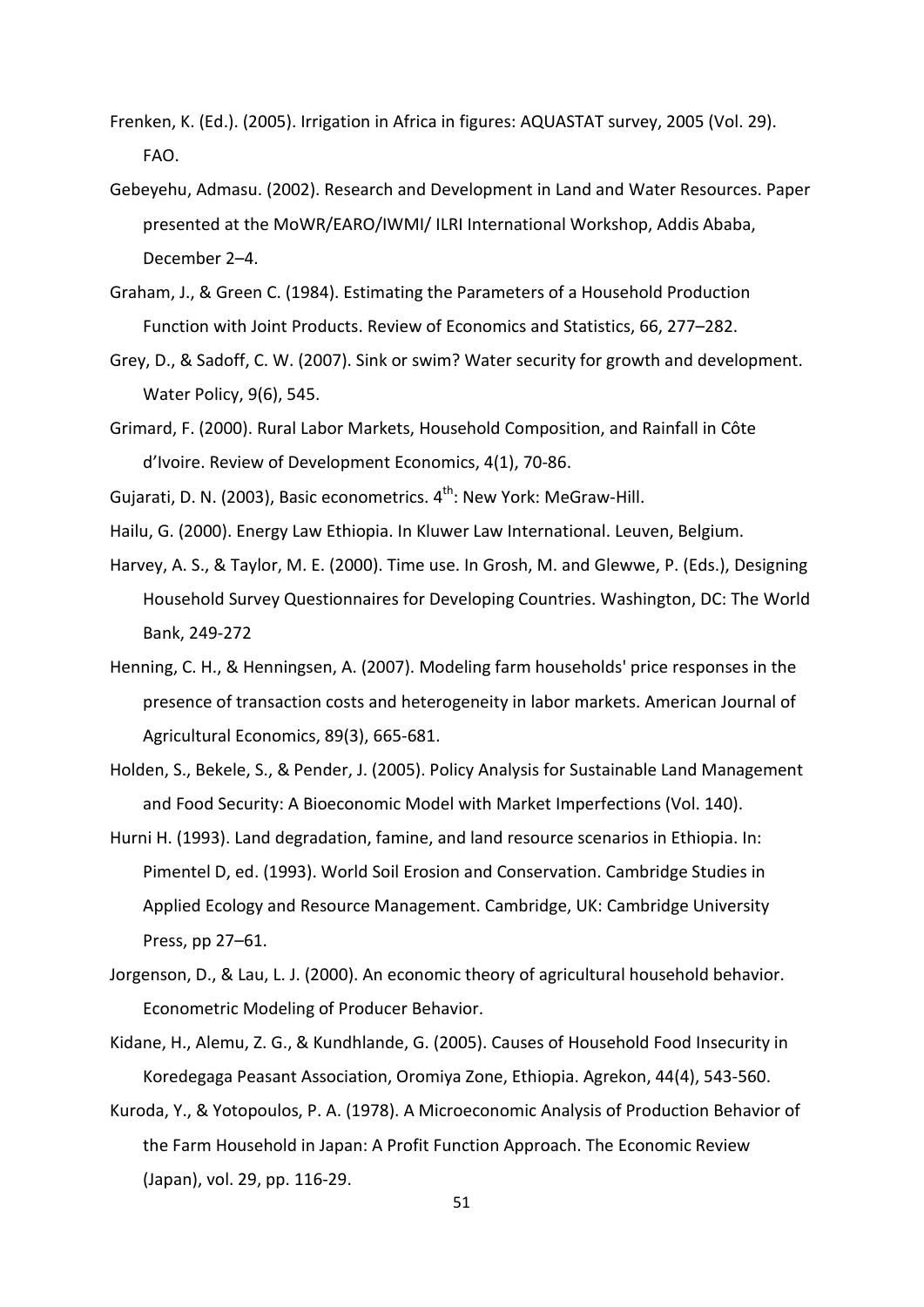- Frenken, K. (Ed.). (2005). Irrigation in Africa in figures: AQUASTAT survey, 2005 (Vol. 29). FAO.
- Gebeyehu, Admasu. (2002). Research and Development in Land and Water Resources. Paper presented at the MoWR/EARO/IWMI/ ILRI International Workshop, Addis Ababa, December 2–4.
- Graham, J., & Green C. (1984). Estimating the Parameters of a Household Production Function with Joint Products. Review of Economics and Statistics, 66, 277–282.
- Grey, D., & Sadoff, C. W. (2007). Sink or swim? Water security for growth and development. Water Policy, 9(6), 545.
- Grimard, F. (2000). Rural Labor Markets, Household Composition, and Rainfall in Côte d'Ivoire. Review of Development Economics, 4(1), 70-86.
- Gujarati, D. N. (2003), Basic econometrics. 4<sup>th</sup>: New York: MeGraw-Hill.
- Hailu, G. (2000). Energy Law Ethiopia. In Kluwer Law International. Leuven, Belgium.
- Harvey, A. S., & Taylor, M. E. (2000). Time use. In Grosh, M. and Glewwe, P. (Eds.), Designing Household Survey Questionnaires for Developing Countries. Washington, DC: The World Bank, 249-272
- Henning, C. H., & Henningsen, A. (2007). Modeling farm households' price responses in the presence of transaction costs and heterogeneity in labor markets. American Journal of Agricultural Economics, 89(3), 665-681.
- Holden, S., Bekele, S., & Pender, J. (2005). Policy Analysis for Sustainable Land Management and Food Security: A Bioeconomic Model with Market Imperfections (Vol. 140).
- Hurni H. (1993). Land degradation, famine, and land resource scenarios in Ethiopia. In: Pimentel D, ed. (1993). World Soil Erosion and Conservation. Cambridge Studies in Applied Ecology and Resource Management. Cambridge, UK: Cambridge University Press, pp 27–61.
- Jorgenson, D., & Lau, L. J. (2000). An economic theory of agricultural household behavior. Econometric Modeling of Producer Behavior.
- Kidane, H., Alemu, Z. G., & Kundhlande, G. (2005). Causes of Household Food Insecurity in Koredegaga Peasant Association, Oromiya Zone, Ethiopia. Agrekon, 44(4), 543-560.
- Kuroda, Y., & Yotopoulos, P. A. (1978). A Microeconomic Analysis of Production Behavior of the Farm Household in Japan: A Profit Function Approach. The Economic Review (Japan), vol. 29, pp. 116-29.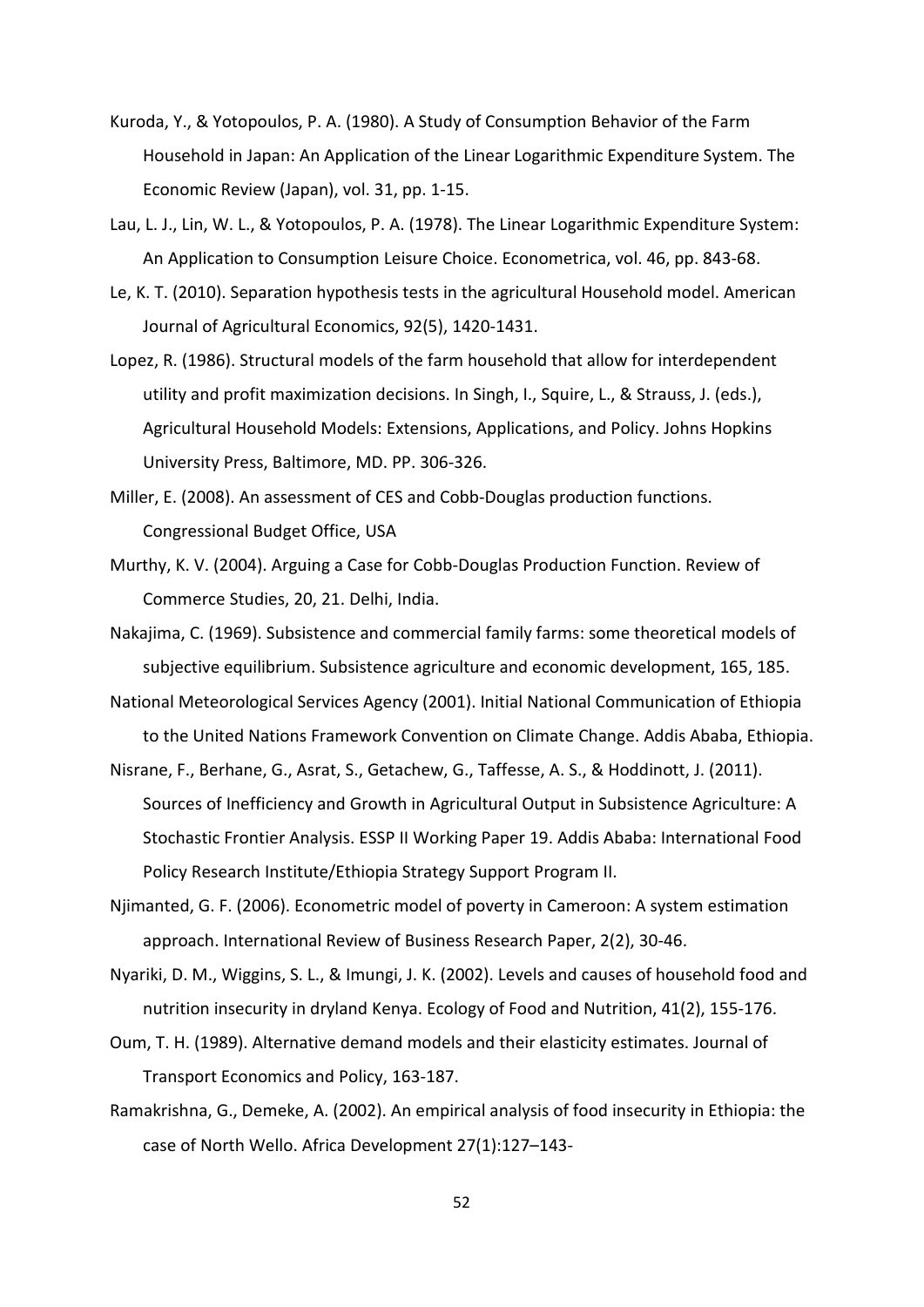- Kuroda, Y., & Yotopoulos, P. A. (1980). A Study of Consumption Behavior of the Farm Household in Japan: An Application of the Linear Logarithmic Expenditure System. The Economic Review (Japan), vol. 31, pp. 1-15.
- Lau, L. J., Lin, W. L., & Yotopoulos, P. A. (1978). The Linear Logarithmic Expenditure System: An Application to Consumption Leisure Choice. Econometrica, vol. 46, pp. 843-68.
- Le, K. T. (2010). Separation hypothesis tests in the agricultural Household model. American Journal of Agricultural Economics, 92(5), 1420-1431.
- Lopez, R. (1986). Structural models of the farm household that allow for interdependent utility and profit maximization decisions. In Singh, I., Squire, L., & Strauss, J. (eds.), Agricultural Household Models: Extensions, Applications, and Policy. Johns Hopkins University Press, Baltimore, MD. PP. 306-326.
- Miller, E. (2008). An assessment of CES and Cobb-Douglas production functions. Congressional Budget Office, USA
- Murthy, K. V. (2004). Arguing a Case for Cobb-Douglas Production Function. Review of Commerce Studies, 20, 21. Delhi, India.
- Nakajima, C. (1969). Subsistence and commercial family farms: some theoretical models of subjective equilibrium. Subsistence agriculture and economic development, 165, 185.
- National Meteorological Services Agency (2001). Initial National Communication of Ethiopia to the United Nations Framework Convention on Climate Change. Addis Ababa, Ethiopia.
- Nisrane, F., Berhane, G., Asrat, S., Getachew, G., Taffesse, A. S., & Hoddinott, J. (2011). Sources of Inefficiency and Growth in Agricultural Output in Subsistence Agriculture: A Stochastic Frontier Analysis. ESSP II Working Paper 19. Addis Ababa: International Food Policy Research Institute/Ethiopia Strategy Support Program II.
- Njimanted, G. F. (2006). Econometric model of poverty in Cameroon: A system estimation approach. International Review of Business Research Paper, 2(2), 30-46.
- Nyariki, D. M., Wiggins, S. L., & Imungi, J. K. (2002). Levels and causes of household food and nutrition insecurity in dryland Kenya. Ecology of Food and Nutrition, 41(2), 155-176.
- Oum, T. H. (1989). Alternative demand models and their elasticity estimates. Journal of Transport Economics and Policy, 163-187.
- Ramakrishna, G., Demeke, A. (2002). An empirical analysis of food insecurity in Ethiopia: the case of North Wello. Africa Development 27(1):127–143-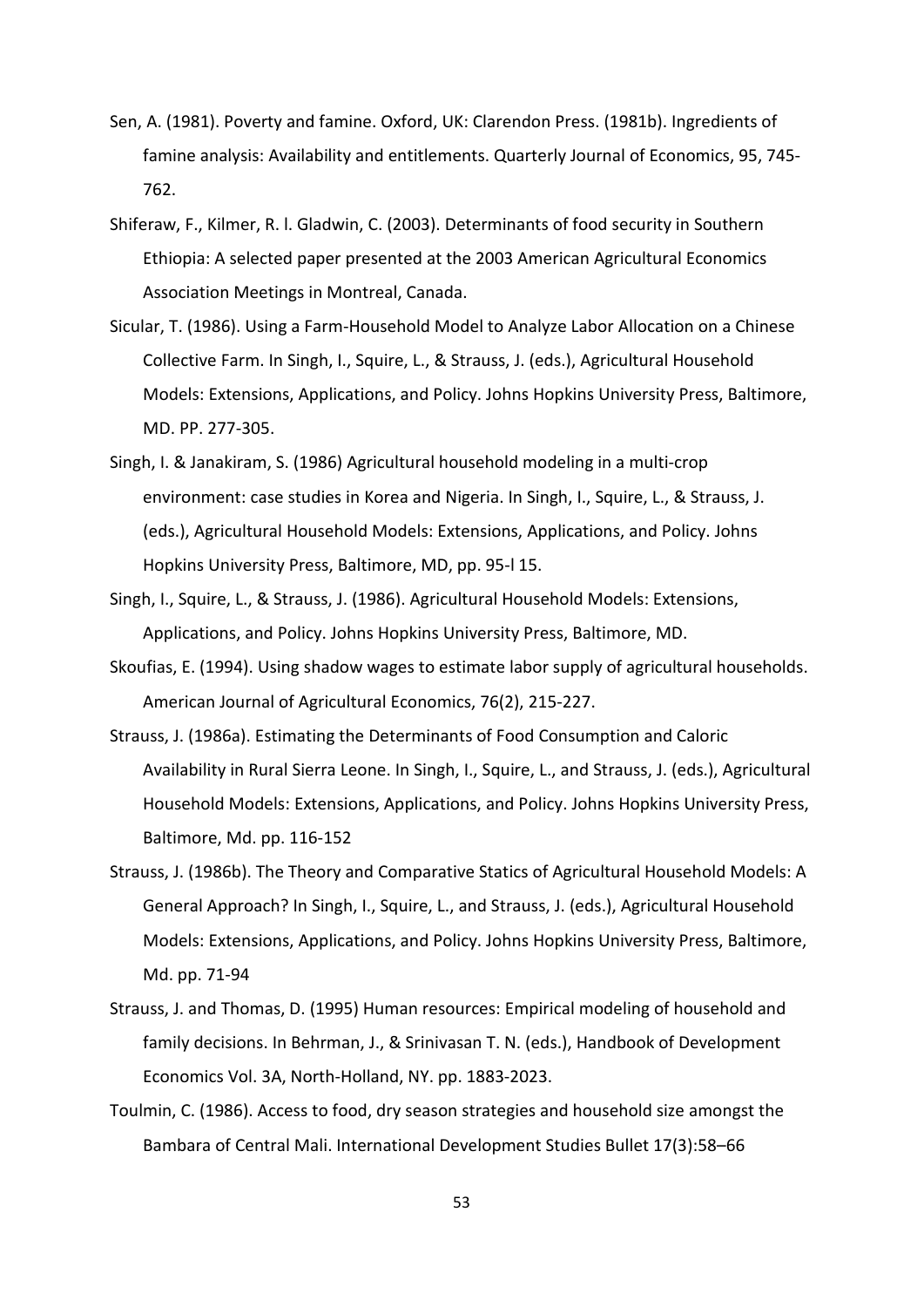- Sen, A. (1981). Poverty and famine. Oxford, UK: Clarendon Press. (1981b). Ingredients of famine analysis: Availability and entitlements. Quarterly Journal of Economics, 95, 745- 762.
- Shiferaw, F., Kilmer, R. l. Gladwin, C. (2003). Determinants of food security in Southern Ethiopia: A selected paper presented at the 2003 American Agricultural Economics Association Meetings in Montreal, Canada.
- Sicular, T. (1986). Using a Farm-Household Model to Analyze Labor Allocation on a Chinese Collective Farm. In Singh, I., Squire, L., & Strauss, J. (eds.), Agricultural Household Models: Extensions, Applications, and Policy. Johns Hopkins University Press, Baltimore, MD. PP. 277-305.
- Singh, I. & Janakiram, S. (1986) Agricultural household modeling in a multi-crop environment: case studies in Korea and Nigeria. In Singh, I., Squire, L., & Strauss, J. (eds.), Agricultural Household Models: Extensions, Applications, and Policy. Johns Hopkins University Press, Baltimore, MD, pp. 95-l 15.
- Singh, I., Squire, L., & Strauss, J. (1986). Agricultural Household Models: Extensions, Applications, and Policy. Johns Hopkins University Press, Baltimore, MD.
- Skoufias, E. (1994). Using shadow wages to estimate labor supply of agricultural households. American Journal of Agricultural Economics, 76(2), 215-227.
- Strauss, J. (1986a). Estimating the Determinants of Food Consumption and Caloric Availability in Rural Sierra Leone. In Singh, I., Squire, L., and Strauss, J. (eds.), Agricultural Household Models: Extensions, Applications, and Policy. Johns Hopkins University Press, Baltimore, Md. pp. 116-152
- Strauss, J. (1986b). The Theory and Comparative Statics of Agricultural Household Models: A General Approach? In Singh, I., Squire, L., and Strauss, J. (eds.), Agricultural Household Models: Extensions, Applications, and Policy. Johns Hopkins University Press, Baltimore, Md. pp. 71-94
- Strauss, J. and Thomas, D. (1995) Human resources: Empirical modeling of household and family decisions. In Behrman, J., & Srinivasan T. N. (eds.), Handbook of Development Economics Vol. 3A, North-Holland, NY. pp. 1883-2023.
- Toulmin, C. (1986). Access to food, dry season strategies and household size amongst the Bambara of Central Mali. International Development Studies Bullet 17(3):58–66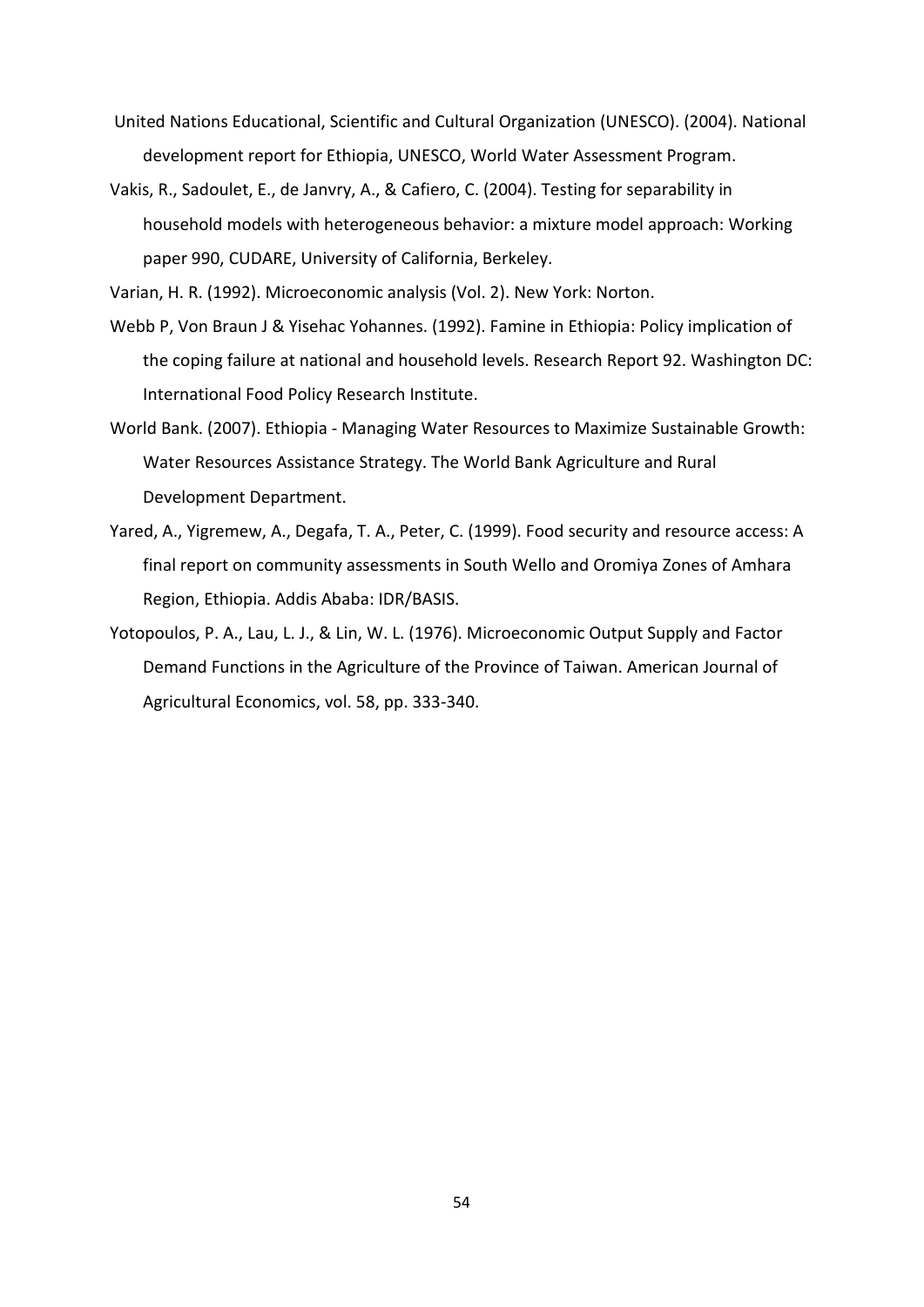- United Nations Educational, Scientific and Cultural Organization (UNESCO). (2004). National development report for Ethiopia, UNESCO, World Water Assessment Program.
- Vakis, R., Sadoulet, E., de Janvry, A., & Cafiero, C. (2004). Testing for separability in household models with heterogeneous behavior: a mixture model approach: Working paper 990, CUDARE, University of California, Berkeley.

Varian, H. R. (1992). Microeconomic analysis (Vol. 2). New York: Norton.

- Webb P, Von Braun J & Yisehac Yohannes. (1992). Famine in Ethiopia: Policy implication of the coping failure at national and household levels. Research Report 92. Washington DC: International Food Policy Research Institute.
- World Bank. (2007). Ethiopia Managing Water Resources to Maximize Sustainable Growth: Water Resources Assistance Strategy. The World Bank Agriculture and Rural Development Department.
- Yared, A., Yigremew, A., Degafa, T. A., Peter, C. (1999). Food security and resource access: A final report on community assessments in South Wello and Oromiya Zones of Amhara Region, Ethiopia. Addis Ababa: IDR/BASIS.
- Yotopoulos, P. A., Lau, L. J., & Lin, W. L. (1976). Microeconomic Output Supply and Factor Demand Functions in the Agriculture of the Province of Taiwan. American Journal of Agricultural Economics, vol. 58, pp. 333-340.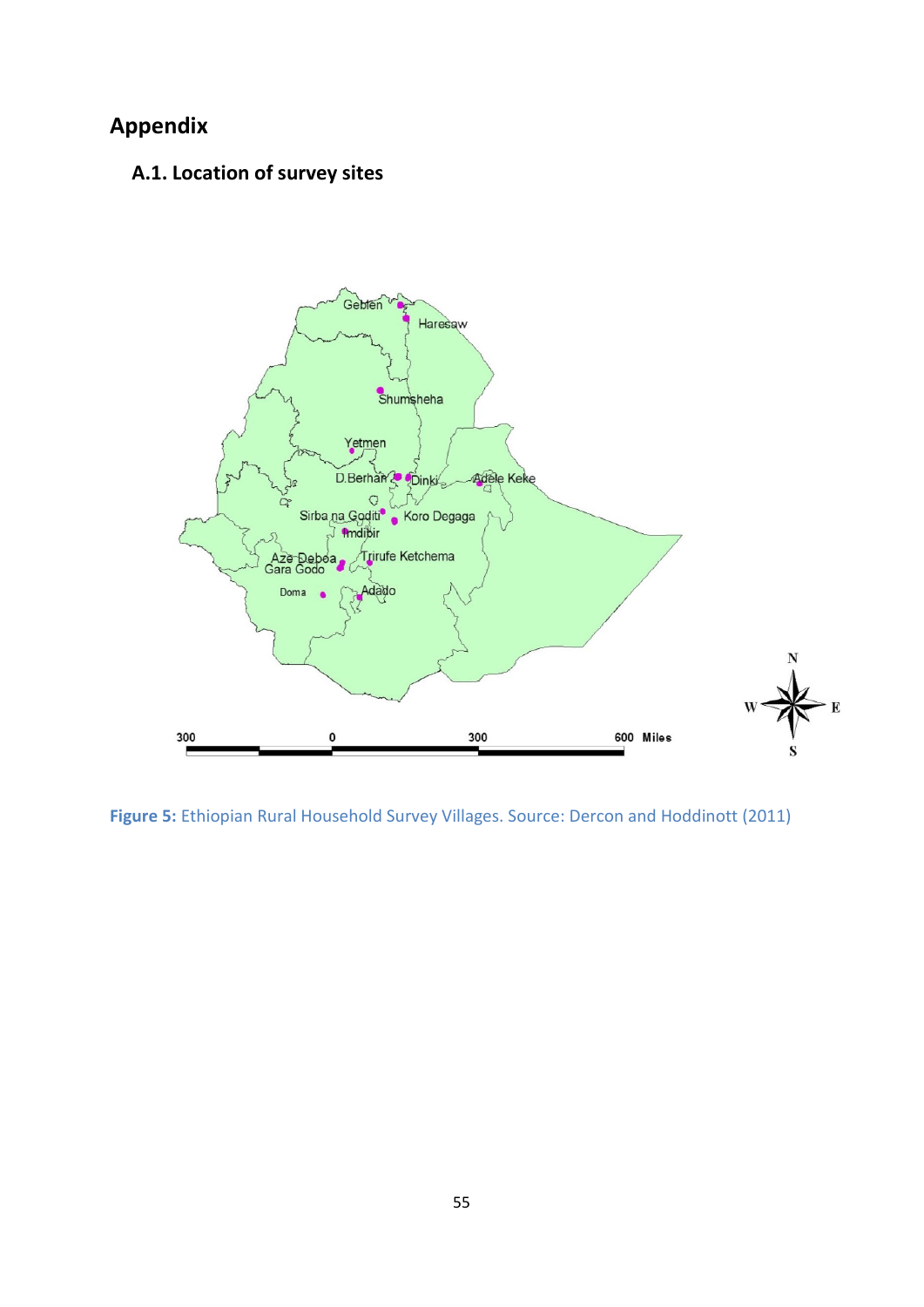# <span id="page-60-1"></span><span id="page-60-0"></span>**Appendix**

# **A.1. Location of survey sites**



<span id="page-60-2"></span>**Figure 5:** Ethiopian Rural Household Survey Villages. Source: Dercon and Hoddinott (2011)